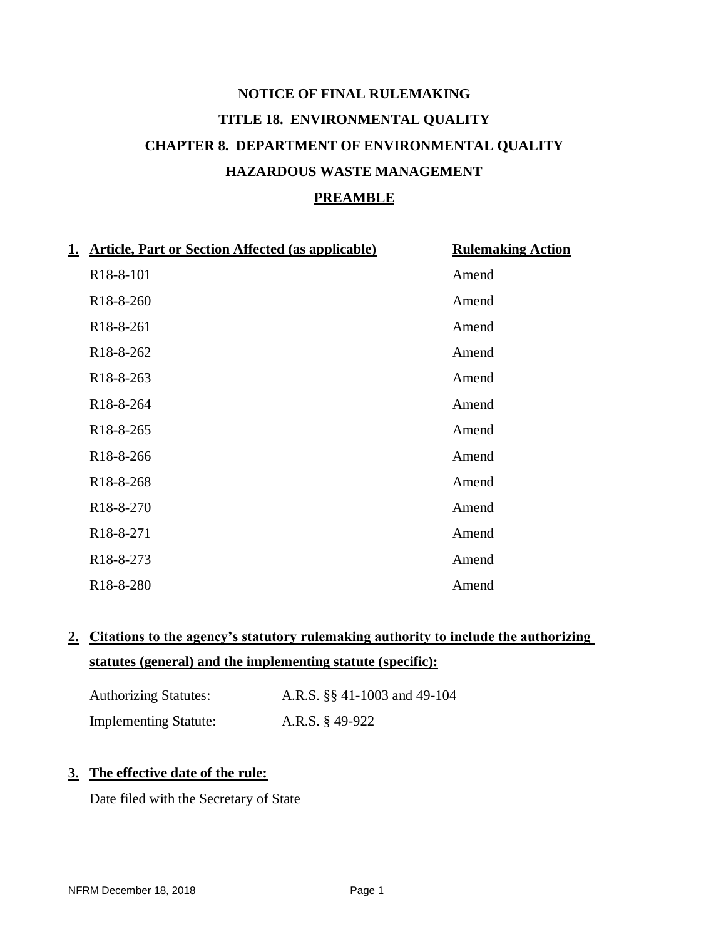# **NOTICE OF FINAL RULEMAKING TITLE 18. ENVIRONMENTAL QUALITY CHAPTER 8. DEPARTMENT OF ENVIRONMENTAL QUALITY HAZARDOUS WASTE MANAGEMENT PREAMBLE**

| 1. | <b>Article, Part or Section Affected (as applicable)</b> | <b>Rulemaking Action</b> |
|----|----------------------------------------------------------|--------------------------|
|    | R <sub>18</sub> -8-101                                   | Amend                    |
|    | R18-8-260                                                | Amend                    |
|    | R <sub>18</sub> -8-261                                   | Amend                    |
|    | R <sub>18</sub> -8-262                                   | Amend                    |
|    | R <sub>18</sub> -8-263                                   | Amend                    |
|    | R <sub>18</sub> -8-264                                   | Amend                    |
|    | R <sub>18</sub> -8-265                                   | Amend                    |
|    | R <sub>18</sub> -8-266                                   | Amend                    |
|    | R <sub>18</sub> -8-268                                   | Amend                    |
|    | R <sub>18</sub> -8-270                                   | Amend                    |
|    | R <sub>18</sub> -8-271                                   | Amend                    |
|    | R <sub>18</sub> -8-273                                   | Amend                    |
|    | R <sub>18</sub> -8-280                                   | Amend                    |

## **2. Citations to the agency's statutory rulemaking authority to include the authorizing statutes (general) and the implementing statute (specific):**

| <b>Authorizing Statutes:</b> | A.R.S. §§ 41-1003 and 49-104 |
|------------------------------|------------------------------|
| <b>Implementing Statute:</b> | A.R.S. $\S$ 49-922           |

### **3. The effective date of the rule:**

Date filed with the Secretary of State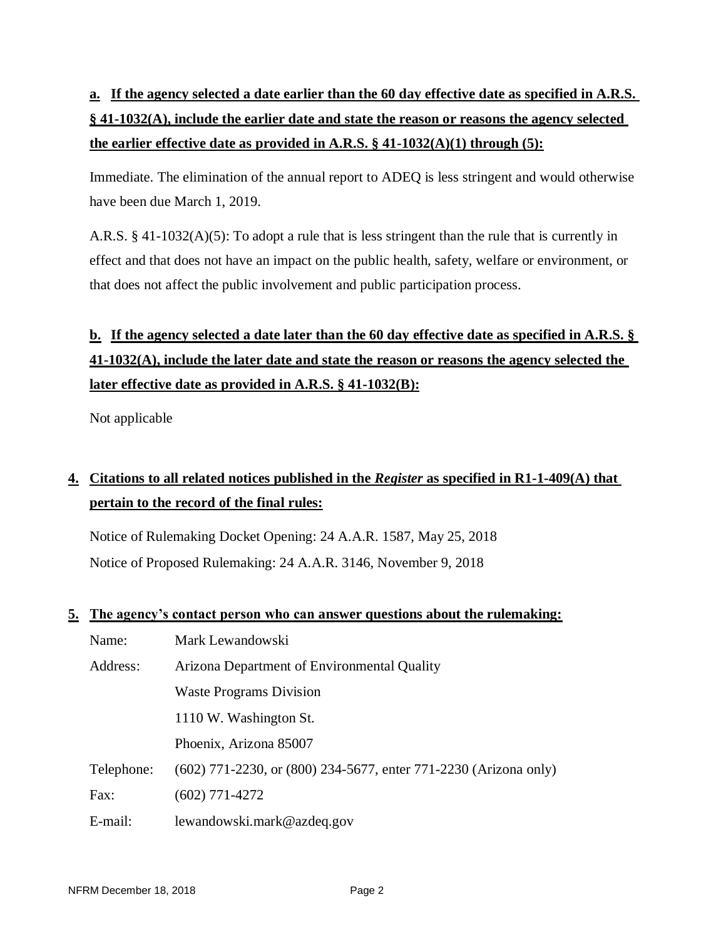# **a. If the agency selected a date earlier than the 60 day effective date as specified in A.R.S. § 41-1032(A), include the earlier date and state the reason or reasons the agency selected the earlier effective date as provided in A.R.S. § 41-1032(A)(1) through (5):**

Immediate. The elimination of the annual report to ADEQ is less stringent and would otherwise have been due March 1, 2019.

A.R.S. § 41-1032(A)(5): To adopt a rule that is less stringent than the rule that is currently in effect and that does not have an impact on the public health, safety, welfare or environment, or that does not affect the public involvement and public participation process.

# **b. If the agency selected a date later than the 60 day effective date as specified in A.R.S. § 41-1032(A), include the later date and state the reason or reasons the agency selected the later effective date as provided in A.R.S. § 41-1032(B):**

Not applicable

## **4. Citations to all related notices published in the** *Register* **as specified in R1-1-409(A) that pertain to the record of the final rules:**

Notice of Rulemaking Docket Opening: 24 A.A.R. 1587, May 25, 2018 Notice of Proposed Rulemaking: 24 A.A.R. 3146, November 9, 2018

### **5. The agency's contact person who can answer questions about the rulemaking:**

| Name:      | Mark Lewandowski                                                 |
|------------|------------------------------------------------------------------|
| Address:   | Arizona Department of Environmental Quality                      |
|            | <b>Waste Programs Division</b>                                   |
|            | 1110 W. Washington St.                                           |
|            | Phoenix, Arizona 85007                                           |
| Telephone: | (602) 771-2230, or (800) 234-5677, enter 771-2230 (Arizona only) |
| Fax:       | $(602)$ 771-4272                                                 |
| E-mail:    | lewandowski.mark@azdeq.gov                                       |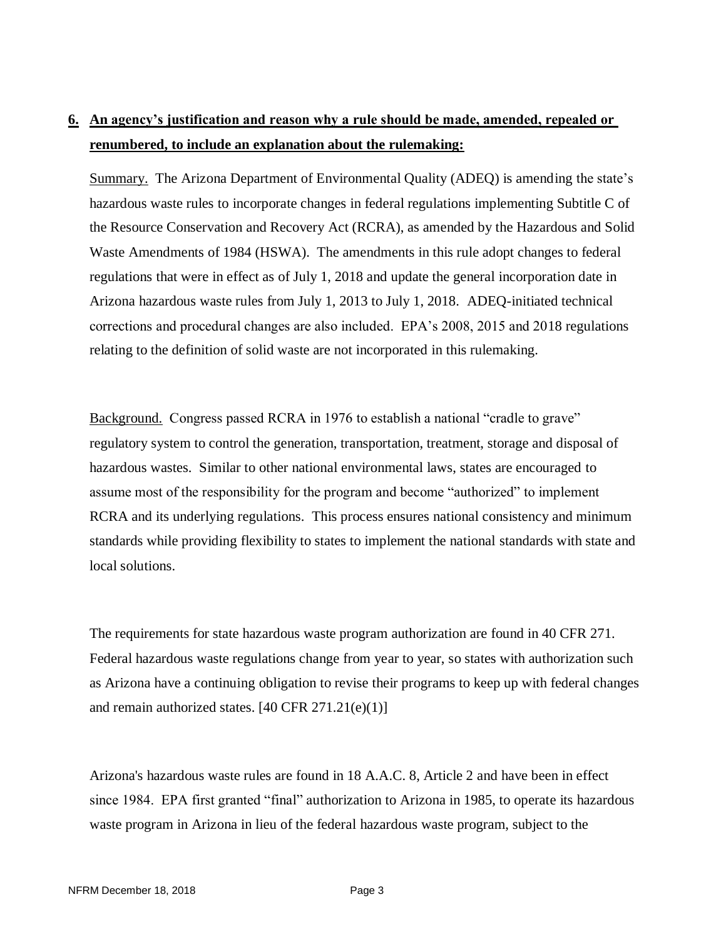## **6. An agency's justification and reason why a rule should be made, amended, repealed or renumbered, to include an explanation about the rulemaking:**

Summary. The Arizona Department of Environmental Quality (ADEQ) is amending the state's hazardous waste rules to incorporate changes in federal regulations implementing Subtitle C of the Resource Conservation and Recovery Act (RCRA), as amended by the Hazardous and Solid Waste Amendments of 1984 (HSWA). The amendments in this rule adopt changes to federal regulations that were in effect as of July 1, 2018 and update the general incorporation date in Arizona hazardous waste rules from July 1, 2013 to July 1, 2018. ADEQ-initiated technical corrections and procedural changes are also included. EPA's 2008, 2015 and 2018 regulations relating to the definition of solid waste are not incorporated in this rulemaking.

Background. Congress passed RCRA in 1976 to establish a national "cradle to grave" regulatory system to control the generation, transportation, treatment, storage and disposal of hazardous wastes. Similar to other national environmental laws, states are encouraged to assume most of the responsibility for the program and become "authorized" to implement RCRA and its underlying regulations. This process ensures national consistency and minimum standards while providing flexibility to states to implement the national standards with state and local solutions.

The requirements for state hazardous waste program authorization are found in 40 CFR 271. Federal hazardous waste regulations change from year to year, so states with authorization such as Arizona have a continuing obligation to revise their programs to keep up with federal changes and remain authorized states.  $[40 \text{ CFR } 271.21(e)(1)]$ 

Arizona's hazardous waste rules are found in 18 A.A.C. 8, Article 2 and have been in effect since 1984. EPA first granted "final" authorization to Arizona in 1985, to operate its hazardous waste program in Arizona in lieu of the federal hazardous waste program, subject to the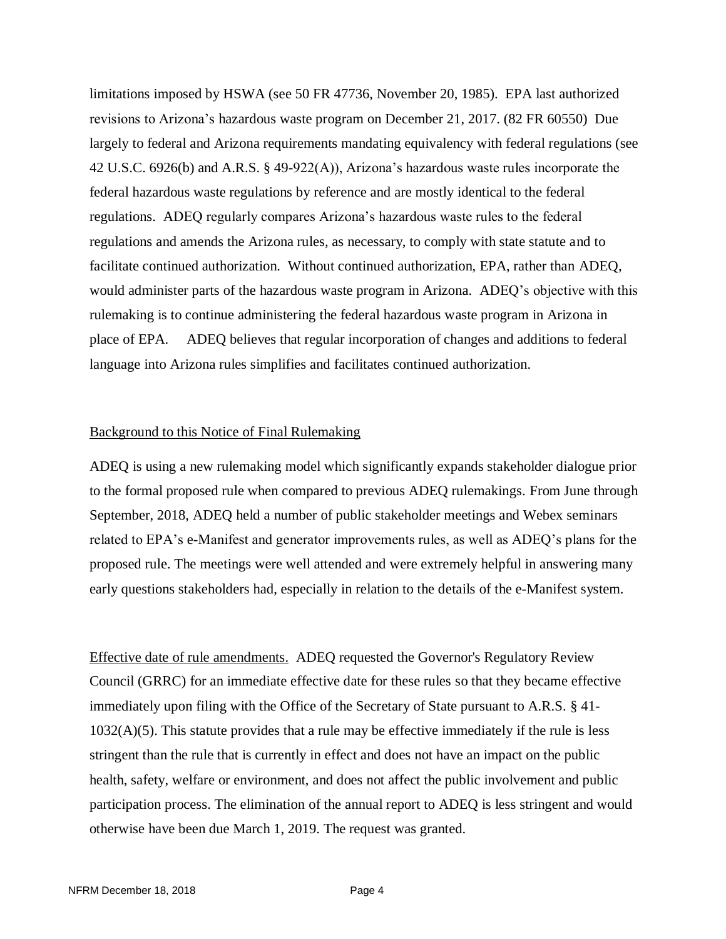limitations imposed by HSWA (see 50 FR 47736, November 20, 1985). EPA last authorized revisions to Arizona's hazardous waste program on December 21, 2017. (82 FR 60550) Due largely to federal and Arizona requirements mandating equivalency with federal regulations (see 42 U.S.C. 6926(b) and A.R.S. § 49-922(A)), Arizona's hazardous waste rules incorporate the federal hazardous waste regulations by reference and are mostly identical to the federal regulations. ADEQ regularly compares Arizona's hazardous waste rules to the federal regulations and amends the Arizona rules, as necessary, to comply with state statute and to facilitate continued authorization. Without continued authorization, EPA, rather than ADEQ, would administer parts of the hazardous waste program in Arizona. ADEQ's objective with this rulemaking is to continue administering the federal hazardous waste program in Arizona in place of EPA. ADEQ believes that regular incorporation of changes and additions to federal language into Arizona rules simplifies and facilitates continued authorization.

#### Background to this Notice of Final Rulemaking

ADEQ is using a new rulemaking model which significantly expands stakeholder dialogue prior to the formal proposed rule when compared to previous ADEQ rulemakings. From June through September, 2018, ADEQ held a number of public stakeholder meetings and Webex seminars related to EPA's e-Manifest and generator improvements rules, as well as ADEQ's plans for the proposed rule. The meetings were well attended and were extremely helpful in answering many early questions stakeholders had, especially in relation to the details of the e-Manifest system.

Effective date of rule amendments. ADEQ requested the Governor's Regulatory Review Council (GRRC) for an immediate effective date for these rules so that they became effective immediately upon filing with the Office of the Secretary of State pursuant to A.R.S. § 41- 1032(A)(5). This statute provides that a rule may be effective immediately if the rule is less stringent than the rule that is currently in effect and does not have an impact on the public health, safety, welfare or environment, and does not affect the public involvement and public participation process. The elimination of the annual report to ADEQ is less stringent and would otherwise have been due March 1, 2019. The request was granted.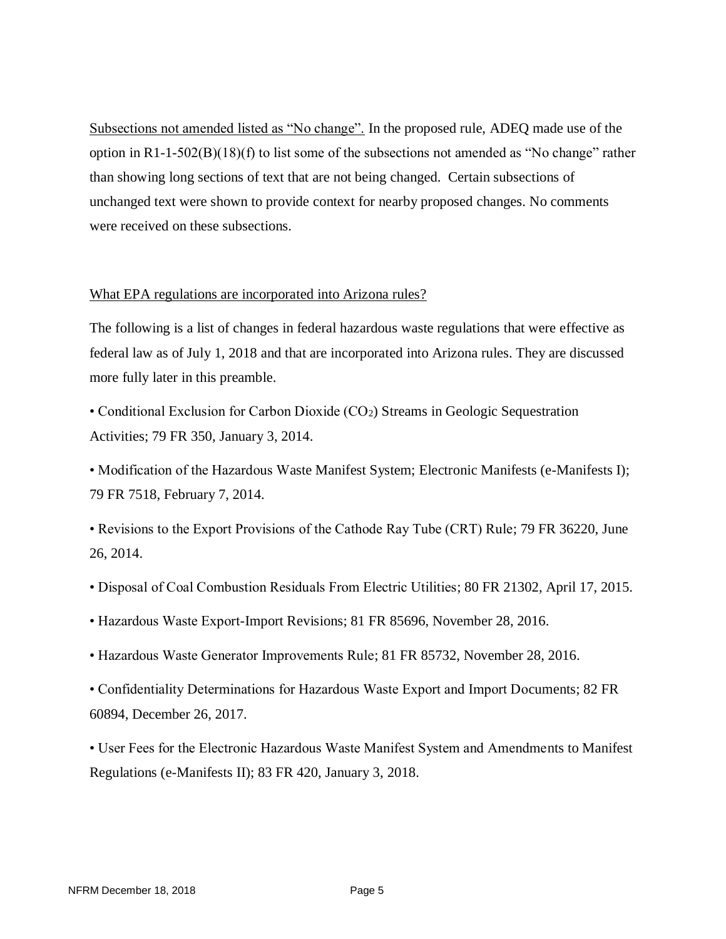Subsections not amended listed as "No change". In the proposed rule, ADEQ made use of the option in  $R1-1-502(B)(18)(f)$  to list some of the subsections not amended as "No change" rather than showing long sections of text that are not being changed. Certain subsections of unchanged text were shown to provide context for nearby proposed changes. No comments were received on these subsections.

#### What EPA regulations are incorporated into Arizona rules?

The following is a list of changes in federal hazardous waste regulations that were effective as federal law as of July 1, 2018 and that are incorporated into Arizona rules. They are discussed more fully later in this preamble.

• Conditional Exclusion for Carbon Dioxide (CO<sub>2</sub>) Streams in Geologic Sequestration Activities; 79 FR 350, January 3, 2014.

• Modification of the Hazardous Waste Manifest System; Electronic Manifests (e-Manifests I); 79 FR 7518, February 7, 2014.

- Revisions to the Export Provisions of the Cathode Ray Tube (CRT) Rule; 79 FR 36220, June 26, 2014.
- Disposal of Coal Combustion Residuals From Electric Utilities; 80 FR 21302, April 17, 2015.
- Hazardous Waste Export-Import Revisions; 81 FR 85696, November 28, 2016.
- Hazardous Waste Generator Improvements Rule; 81 FR 85732, November 28, 2016.
- Confidentiality Determinations for Hazardous Waste Export and Import Documents; 82 FR 60894, December 26, 2017.
- User Fees for the Electronic Hazardous Waste Manifest System and Amendments to Manifest Regulations (e-Manifests II); 83 FR 420, January 3, 2018.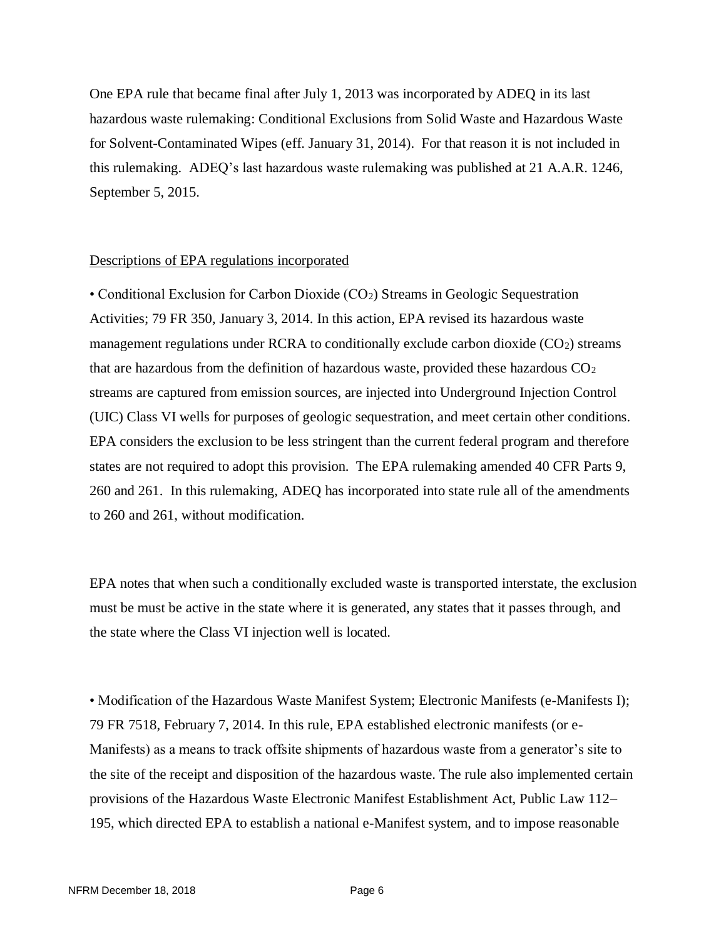One EPA rule that became final after July 1, 2013 was incorporated by ADEQ in its last hazardous waste rulemaking: Conditional Exclusions from Solid Waste and Hazardous Waste for Solvent-Contaminated Wipes (eff. January 31, 2014). For that reason it is not included in this rulemaking. ADEQ's last hazardous waste rulemaking was published at 21 A.A.R. 1246, September 5, 2015.

#### Descriptions of EPA regulations incorporated

• Conditional Exclusion for Carbon Dioxide (CO2) Streams in Geologic Sequestration Activities; 79 FR 350, January 3, 2014. In this action, EPA revised its hazardous waste management regulations under RCRA to conditionally exclude carbon dioxide  $(CO<sub>2</sub>)$  streams that are hazardous from the definition of hazardous waste, provided these hazardous  $CO<sub>2</sub>$ streams are captured from emission sources, are injected into Underground Injection Control (UIC) Class VI wells for purposes of geologic sequestration, and meet certain other conditions. EPA considers the exclusion to be less stringent than the current federal program and therefore states are not required to adopt this provision. The EPA rulemaking amended 40 CFR Parts 9, 260 and 261. In this rulemaking, ADEQ has incorporated into state rule all of the amendments to 260 and 261, without modification.

EPA notes that when such a conditionally excluded waste is transported interstate, the exclusion must be must be active in the state where it is generated, any states that it passes through, and the state where the Class VI injection well is located.

• Modification of the Hazardous Waste Manifest System; Electronic Manifests (e-Manifests I); 79 FR 7518, February 7, 2014. In this rule, EPA established electronic manifests (or e-Manifests) as a means to track offsite shipments of hazardous waste from a generator's site to the site of the receipt and disposition of the hazardous waste. The rule also implemented certain provisions of the Hazardous Waste Electronic Manifest Establishment Act, Public Law 112– 195, which directed EPA to establish a national e-Manifest system, and to impose reasonable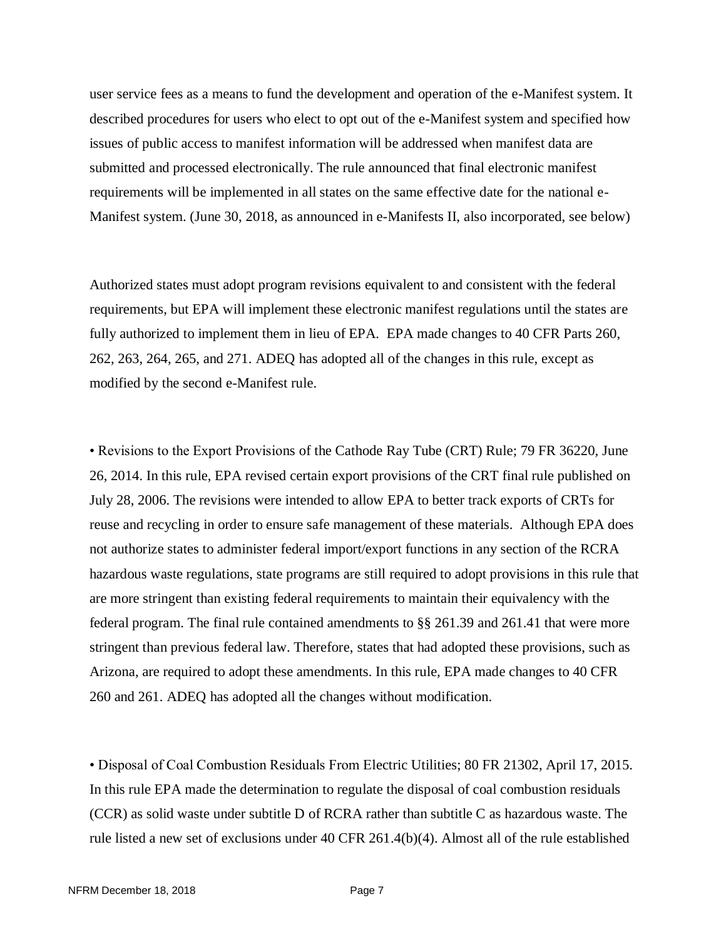user service fees as a means to fund the development and operation of the e-Manifest system. It described procedures for users who elect to opt out of the e-Manifest system and specified how issues of public access to manifest information will be addressed when manifest data are submitted and processed electronically. The rule announced that final electronic manifest requirements will be implemented in all states on the same effective date for the national e-Manifest system. (June 30, 2018, as announced in e-Manifests II, also incorporated, see below)

Authorized states must adopt program revisions equivalent to and consistent with the federal requirements, but EPA will implement these electronic manifest regulations until the states are fully authorized to implement them in lieu of EPA. EPA made changes to 40 CFR Parts 260, 262, 263, 264, 265, and 271. ADEQ has adopted all of the changes in this rule, except as modified by the second e-Manifest rule.

• Revisions to the Export Provisions of the Cathode Ray Tube (CRT) Rule; 79 FR 36220, June 26, 2014. In this rule, EPA revised certain export provisions of the CRT final rule published on July 28, 2006. The revisions were intended to allow EPA to better track exports of CRTs for reuse and recycling in order to ensure safe management of these materials. Although EPA does not authorize states to administer federal import/export functions in any section of the RCRA hazardous waste regulations, state programs are still required to adopt provisions in this rule that are more stringent than existing federal requirements to maintain their equivalency with the federal program. The final rule contained amendments to §§ 261.39 and 261.41 that were more stringent than previous federal law. Therefore, states that had adopted these provisions, such as Arizona, are required to adopt these amendments. In this rule, EPA made changes to 40 CFR 260 and 261. ADEQ has adopted all the changes without modification.

• Disposal of Coal Combustion Residuals From Electric Utilities; 80 FR 21302, April 17, 2015. In this rule EPA made the determination to regulate the disposal of coal combustion residuals (CCR) as solid waste under subtitle D of RCRA rather than subtitle C as hazardous waste. The rule listed a new set of exclusions under 40 CFR 261.4(b)(4). Almost all of the rule established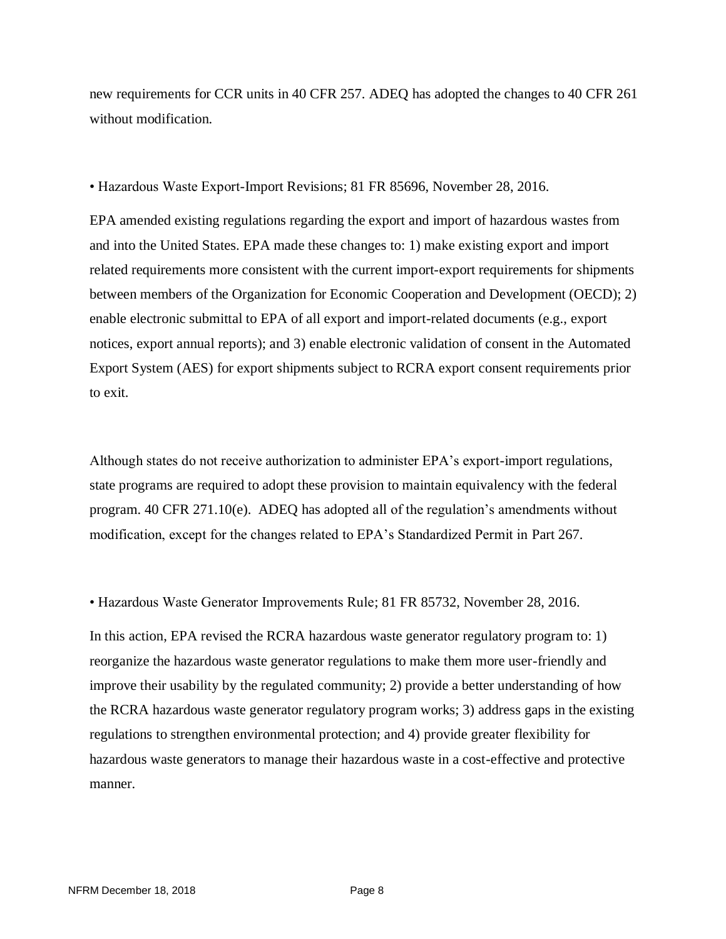new requirements for CCR units in 40 CFR 257. ADEQ has adopted the changes to 40 CFR 261 without modification.

• Hazardous Waste Export-Import Revisions; 81 FR 85696, November 28, 2016.

EPA amended existing regulations regarding the export and import of hazardous wastes from and into the United States. EPA made these changes to: 1) make existing export and import related requirements more consistent with the current import-export requirements for shipments between members of the Organization for Economic Cooperation and Development (OECD); 2) enable electronic submittal to EPA of all export and import-related documents (e.g., export notices, export annual reports); and 3) enable electronic validation of consent in the Automated Export System (AES) for export shipments subject to RCRA export consent requirements prior to exit.

Although states do not receive authorization to administer EPA's export-import regulations, state programs are required to adopt these provision to maintain equivalency with the federal program. 40 CFR 271.10(e). ADEQ has adopted all of the regulation's amendments without modification, except for the changes related to EPA's Standardized Permit in Part 267.

• Hazardous Waste Generator Improvements Rule; 81 FR 85732, November 28, 2016.

In this action, EPA revised the RCRA hazardous waste generator regulatory program to: 1) reorganize the hazardous waste generator regulations to make them more user-friendly and improve their usability by the regulated community; 2) provide a better understanding of how the RCRA hazardous waste generator regulatory program works; 3) address gaps in the existing regulations to strengthen environmental protection; and 4) provide greater flexibility for hazardous waste generators to manage their hazardous waste in a cost-effective and protective manner.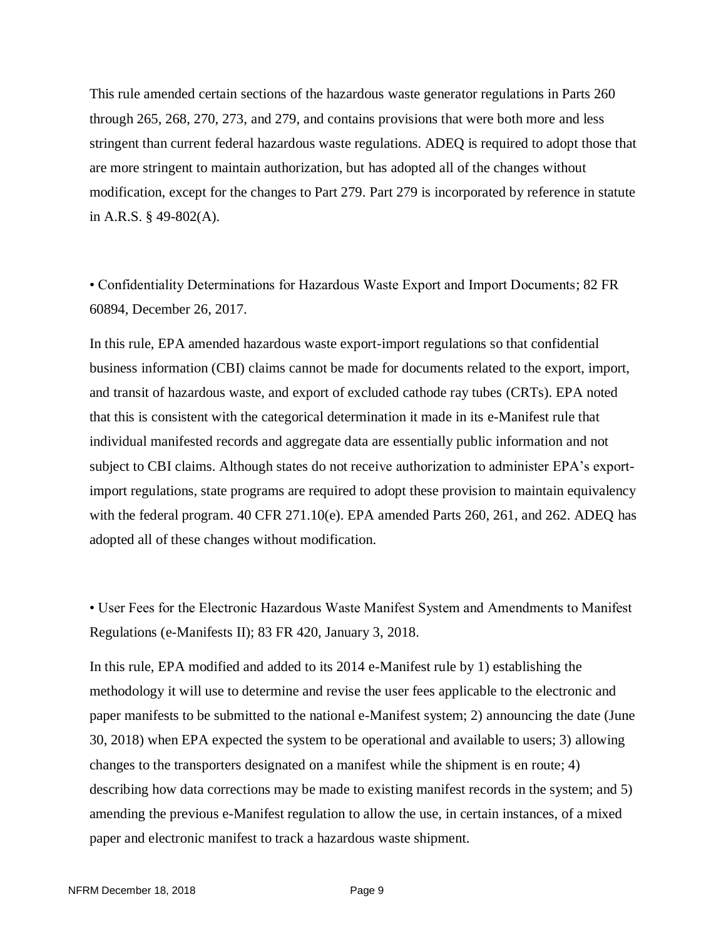This rule amended certain sections of the hazardous waste generator regulations in Parts 260 through 265, 268, 270, 273, and 279, and contains provisions that were both more and less stringent than current federal hazardous waste regulations. ADEQ is required to adopt those that are more stringent to maintain authorization, but has adopted all of the changes without modification, except for the changes to Part 279. Part 279 is incorporated by reference in statute in A.R.S. § 49-802(A).

• Confidentiality Determinations for Hazardous Waste Export and Import Documents; 82 FR 60894, December 26, 2017.

In this rule, EPA amended hazardous waste export-import regulations so that confidential business information (CBI) claims cannot be made for documents related to the export, import, and transit of hazardous waste, and export of excluded cathode ray tubes (CRTs). EPA noted that this is consistent with the categorical determination it made in its e-Manifest rule that individual manifested records and aggregate data are essentially public information and not subject to CBI claims. Although states do not receive authorization to administer EPA's exportimport regulations, state programs are required to adopt these provision to maintain equivalency with the federal program.  $40 \text{ CFR } 271.10(e)$ . EPA amended Parts 260, 261, and 262. ADEQ has adopted all of these changes without modification.

• User Fees for the Electronic Hazardous Waste Manifest System and Amendments to Manifest Regulations (e-Manifests II); 83 FR 420, January 3, 2018.

In this rule, EPA modified and added to its 2014 e-Manifest rule by 1) establishing the methodology it will use to determine and revise the user fees applicable to the electronic and paper manifests to be submitted to the national e-Manifest system; 2) announcing the date (June 30, 2018) when EPA expected the system to be operational and available to users; 3) allowing changes to the transporters designated on a manifest while the shipment is en route; 4) describing how data corrections may be made to existing manifest records in the system; and 5) amending the previous e-Manifest regulation to allow the use, in certain instances, of a mixed paper and electronic manifest to track a hazardous waste shipment.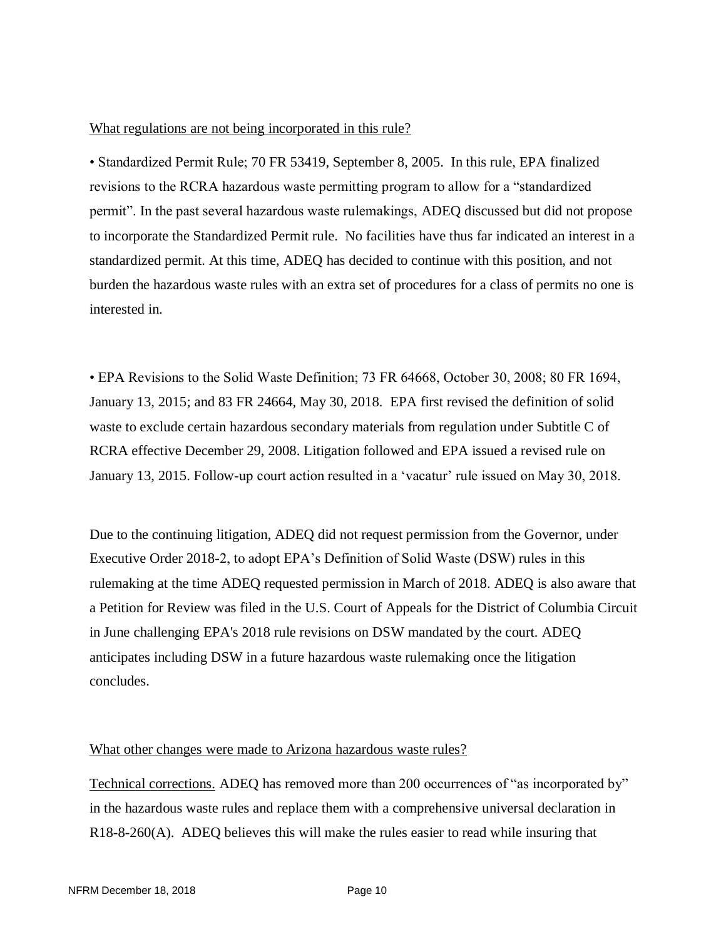#### What regulations are not being incorporated in this rule?

• Standardized Permit Rule; 70 FR 53419, September 8, 2005. In this rule, EPA finalized revisions to the RCRA hazardous waste permitting program to allow for a "standardized permit". In the past several hazardous waste rulemakings, ADEQ discussed but did not propose to incorporate the Standardized Permit rule. No facilities have thus far indicated an interest in a standardized permit. At this time, ADEQ has decided to continue with this position, and not burden the hazardous waste rules with an extra set of procedures for a class of permits no one is interested in.

• EPA Revisions to the Solid Waste Definition; 73 FR 64668, October 30, 2008; 80 FR 1694, January 13, 2015; and 83 FR 24664, May 30, 2018. EPA first revised the definition of solid waste to exclude certain hazardous secondary materials from regulation under Subtitle C of RCRA effective December 29, 2008. Litigation followed and EPA issued a revised rule on January 13, 2015. Follow-up court action resulted in a 'vacatur' rule issued on May 30, 2018.

Due to the continuing litigation, ADEQ did not request permission from the Governor, under Executive Order 2018-2, to adopt EPA's Definition of Solid Waste (DSW) rules in this rulemaking at the time ADEQ requested permission in March of 2018. ADEQ is also aware that a Petition for Review was filed in the U.S. Court of Appeals for the District of Columbia Circuit in June challenging EPA's 2018 rule revisions on DSW mandated by the court. ADEQ anticipates including DSW in a future hazardous waste rulemaking once the litigation concludes.

#### What other changes were made to Arizona hazardous waste rules?

Technical corrections. ADEQ has removed more than 200 occurrences of "as incorporated by" in the hazardous waste rules and replace them with a comprehensive universal declaration in R18-8-260(A). ADEQ believes this will make the rules easier to read while insuring that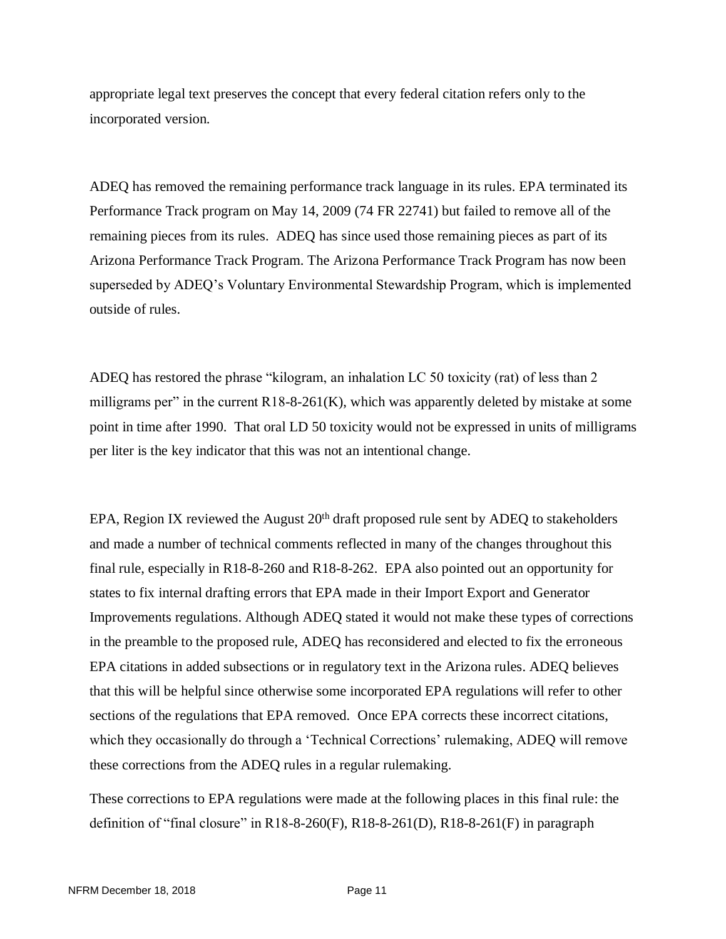appropriate legal text preserves the concept that every federal citation refers only to the incorporated version.

ADEQ has removed the remaining performance track language in its rules. EPA terminated its Performance Track program on May 14, 2009 (74 FR 22741) but failed to remove all of the remaining pieces from its rules. ADEQ has since used those remaining pieces as part of its Arizona Performance Track Program. The Arizona Performance Track Program has now been superseded by ADEQ's Voluntary Environmental Stewardship Program, which is implemented outside of rules.

ADEQ has restored the phrase "kilogram, an inhalation LC 50 toxicity (rat) of less than 2 milligrams per" in the current  $R18-8-261(K)$ , which was apparently deleted by mistake at some point in time after 1990. That oral LD 50 toxicity would not be expressed in units of milligrams per liter is the key indicator that this was not an intentional change.

EPA, Region IX reviewed the August 20<sup>th</sup> draft proposed rule sent by ADEQ to stakeholders and made a number of technical comments reflected in many of the changes throughout this final rule, especially in R18-8-260 and R18-8-262. EPA also pointed out an opportunity for states to fix internal drafting errors that EPA made in their Import Export and Generator Improvements regulations. Although ADEQ stated it would not make these types of corrections in the preamble to the proposed rule, ADEQ has reconsidered and elected to fix the erroneous EPA citations in added subsections or in regulatory text in the Arizona rules. ADEQ believes that this will be helpful since otherwise some incorporated EPA regulations will refer to other sections of the regulations that EPA removed. Once EPA corrects these incorrect citations, which they occasionally do through a 'Technical Corrections' rulemaking, ADEQ will remove these corrections from the ADEQ rules in a regular rulemaking.

These corrections to EPA regulations were made at the following places in this final rule: the definition of "final closure" in R18-8-260(F), R18-8-261(D), R18-8-261(F) in paragraph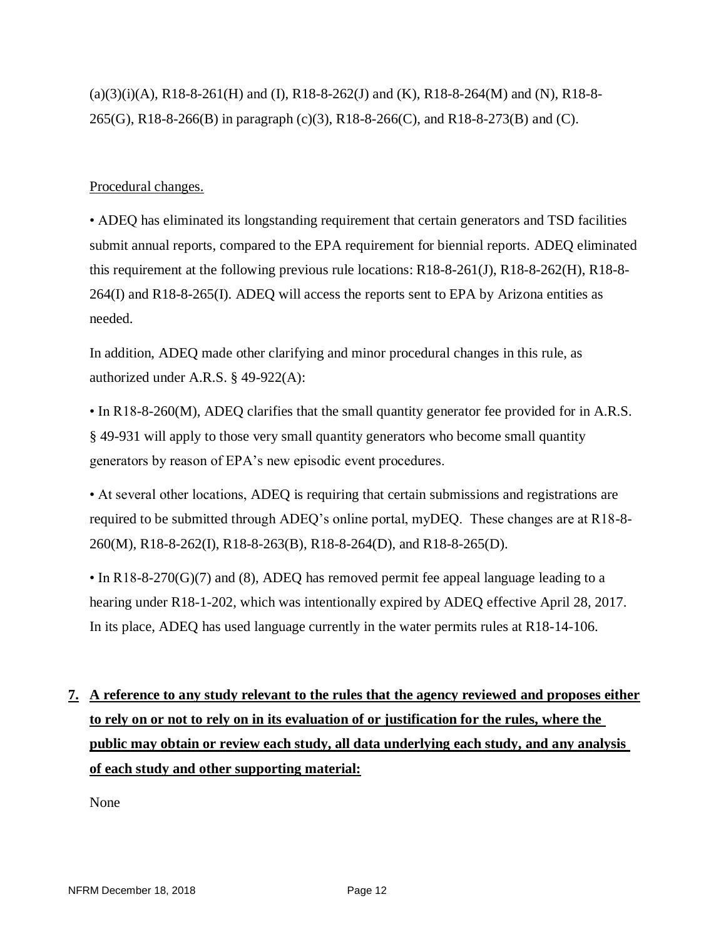$(a)(3)(i)(A)$ , R18-8-261(H) and (I), R18-8-262(J) and (K), R18-8-264(M) and (N), R18-8-265(G), R18-8-266(B) in paragraph (c)(3), R18-8-266(C), and R18-8-273(B) and (C).

### Procedural changes.

• ADEQ has eliminated its longstanding requirement that certain generators and TSD facilities submit annual reports, compared to the EPA requirement for biennial reports. ADEQ eliminated this requirement at the following previous rule locations: R18-8-261(J), R18-8-262(H), R18-8- 264(I) and R18-8-265(I). ADEQ will access the reports sent to EPA by Arizona entities as needed.

In addition, ADEQ made other clarifying and minor procedural changes in this rule, as authorized under A.R.S. § 49-922(A):

• In R18-8-260(M), ADEQ clarifies that the small quantity generator fee provided for in A.R.S. § 49-931 will apply to those very small quantity generators who become small quantity generators by reason of EPA's new episodic event procedures.

• At several other locations, ADEQ is requiring that certain submissions and registrations are required to be submitted through ADEQ's online portal, myDEQ. These changes are at R18-8- 260(M), R18-8-262(I), R18-8-263(B), R18-8-264(D), and R18-8-265(D).

• In R18-8-270(G)(7) and (8), ADEQ has removed permit fee appeal language leading to a hearing under R18-1-202, which was intentionally expired by ADEQ effective April 28, 2017. In its place, ADEQ has used language currently in the water permits rules at R18-14-106.

# **7. A reference to any study relevant to the rules that the agency reviewed and proposes either to rely on or not to rely on in its evaluation of or justification for the rules, where the public may obtain or review each study, all data underlying each study, and any analysis of each study and other supporting material:**

None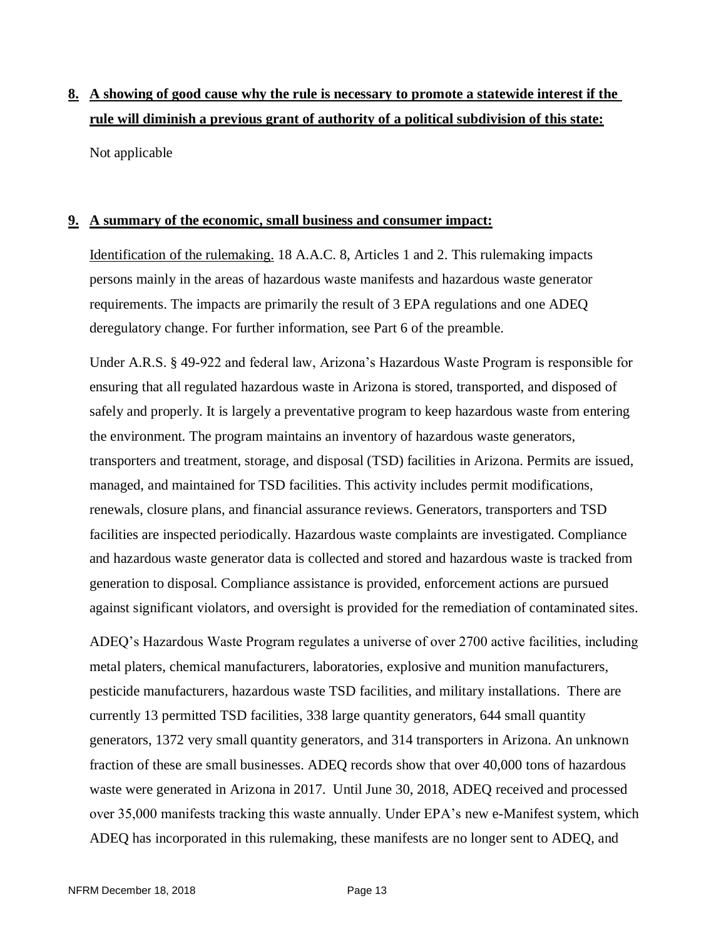# **8. A showing of good cause why the rule is necessary to promote a statewide interest if the rule will diminish a previous grant of authority of a political subdivision of this state:** Not applicable

### **9. A summary of the economic, small business and consumer impact:**

Identification of the rulemaking. 18 A.A.C. 8, Articles 1 and 2. This rulemaking impacts persons mainly in the areas of hazardous waste manifests and hazardous waste generator requirements. The impacts are primarily the result of 3 EPA regulations and one ADEQ deregulatory change. For further information, see Part 6 of the preamble.

Under A.R.S. § 49-922 and federal law, Arizona's Hazardous Waste Program is responsible for ensuring that all regulated hazardous waste in Arizona is stored, transported, and disposed of safely and properly. It is largely a preventative program to keep hazardous waste from entering the environment. The program maintains an inventory of hazardous waste generators, transporters and treatment, storage, and disposal (TSD) facilities in Arizona. Permits are issued, managed, and maintained for TSD facilities. This activity includes permit modifications, renewals, closure plans, and financial assurance reviews. Generators, transporters and TSD facilities are inspected periodically. Hazardous waste complaints are investigated. Compliance and hazardous waste generator data is collected and stored and hazardous waste is tracked from generation to disposal. Compliance assistance is provided, enforcement actions are pursued against significant violators, and oversight is provided for the remediation of contaminated sites.

ADEQ's Hazardous Waste Program regulates a universe of over 2700 active facilities, including metal platers, chemical manufacturers, laboratories, explosive and munition manufacturers, pesticide manufacturers, hazardous waste TSD facilities, and military installations. There are currently 13 permitted TSD facilities, 338 large quantity generators, 644 small quantity generators, 1372 very small quantity generators, and 314 transporters in Arizona. An unknown fraction of these are small businesses. ADEQ records show that over 40,000 tons of hazardous waste were generated in Arizona in 2017. Until June 30, 2018, ADEQ received and processed over 35,000 manifests tracking this waste annually. Under EPA's new e-Manifest system, which ADEQ has incorporated in this rulemaking, these manifests are no longer sent to ADEQ, and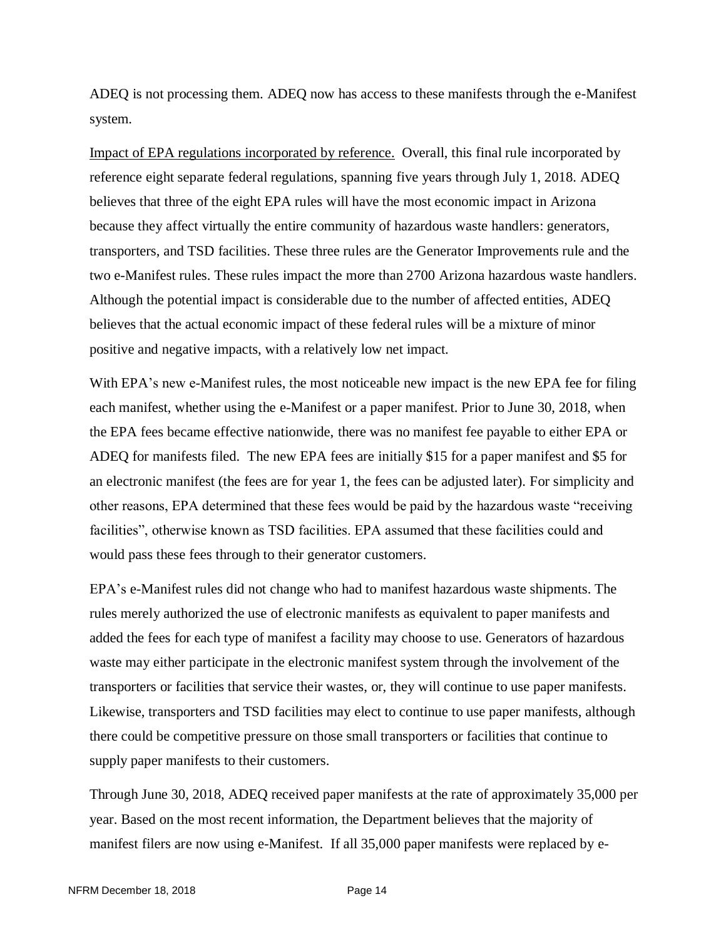ADEQ is not processing them. ADEQ now has access to these manifests through the e-Manifest system.

Impact of EPA regulations incorporated by reference. Overall, this final rule incorporated by reference eight separate federal regulations, spanning five years through July 1, 2018. ADEQ believes that three of the eight EPA rules will have the most economic impact in Arizona because they affect virtually the entire community of hazardous waste handlers: generators, transporters, and TSD facilities. These three rules are the Generator Improvements rule and the two e-Manifest rules. These rules impact the more than 2700 Arizona hazardous waste handlers. Although the potential impact is considerable due to the number of affected entities, ADEQ believes that the actual economic impact of these federal rules will be a mixture of minor positive and negative impacts, with a relatively low net impact.

With EPA's new e-Manifest rules, the most noticeable new impact is the new EPA fee for filing each manifest, whether using the e-Manifest or a paper manifest. Prior to June 30, 2018, when the EPA fees became effective nationwide, there was no manifest fee payable to either EPA or ADEQ for manifests filed. The new EPA fees are initially \$15 for a paper manifest and \$5 for an electronic manifest (the fees are for year 1, the fees can be adjusted later). For simplicity and other reasons, EPA determined that these fees would be paid by the hazardous waste "receiving facilities", otherwise known as TSD facilities. EPA assumed that these facilities could and would pass these fees through to their generator customers.

EPA's e-Manifest rules did not change who had to manifest hazardous waste shipments. The rules merely authorized the use of electronic manifests as equivalent to paper manifests and added the fees for each type of manifest a facility may choose to use. Generators of hazardous waste may either participate in the electronic manifest system through the involvement of the transporters or facilities that service their wastes, or, they will continue to use paper manifests. Likewise, transporters and TSD facilities may elect to continue to use paper manifests, although there could be competitive pressure on those small transporters or facilities that continue to supply paper manifests to their customers.

Through June 30, 2018, ADEQ received paper manifests at the rate of approximately 35,000 per year. Based on the most recent information, the Department believes that the majority of manifest filers are now using e-Manifest. If all 35,000 paper manifests were replaced by e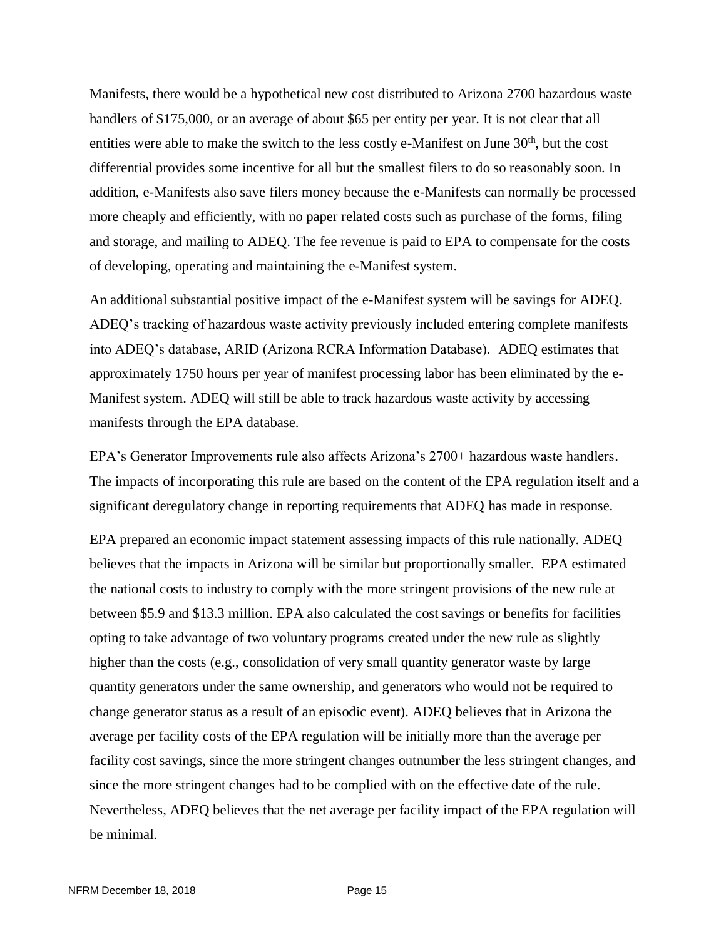Manifests, there would be a hypothetical new cost distributed to Arizona 2700 hazardous waste handlers of \$175,000, or an average of about \$65 per entity per year. It is not clear that all entities were able to make the switch to the less costly e-Manifest on June  $30<sup>th</sup>$ , but the cost differential provides some incentive for all but the smallest filers to do so reasonably soon. In addition, e-Manifests also save filers money because the e-Manifests can normally be processed more cheaply and efficiently, with no paper related costs such as purchase of the forms, filing and storage, and mailing to ADEQ. The fee revenue is paid to EPA to compensate for the costs of developing, operating and maintaining the e-Manifest system.

An additional substantial positive impact of the e-Manifest system will be savings for ADEQ. ADEQ's tracking of hazardous waste activity previously included entering complete manifests into ADEQ's database, ARID (Arizona RCRA Information Database). ADEQ estimates that approximately 1750 hours per year of manifest processing labor has been eliminated by the e-Manifest system. ADEQ will still be able to track hazardous waste activity by accessing manifests through the EPA database.

EPA's Generator Improvements rule also affects Arizona's 2700+ hazardous waste handlers. The impacts of incorporating this rule are based on the content of the EPA regulation itself and a significant deregulatory change in reporting requirements that ADEQ has made in response.

EPA prepared an economic impact statement assessing impacts of this rule nationally. ADEQ believes that the impacts in Arizona will be similar but proportionally smaller. EPA estimated the national costs to industry to comply with the more stringent provisions of the new rule at between \$5.9 and \$13.3 million. EPA also calculated the cost savings or benefits for facilities opting to take advantage of two voluntary programs created under the new rule as slightly higher than the costs (e.g., consolidation of very small quantity generator waste by large quantity generators under the same ownership, and generators who would not be required to change generator status as a result of an episodic event). ADEQ believes that in Arizona the average per facility costs of the EPA regulation will be initially more than the average per facility cost savings, since the more stringent changes outnumber the less stringent changes, and since the more stringent changes had to be complied with on the effective date of the rule. Nevertheless, ADEQ believes that the net average per facility impact of the EPA regulation will be minimal.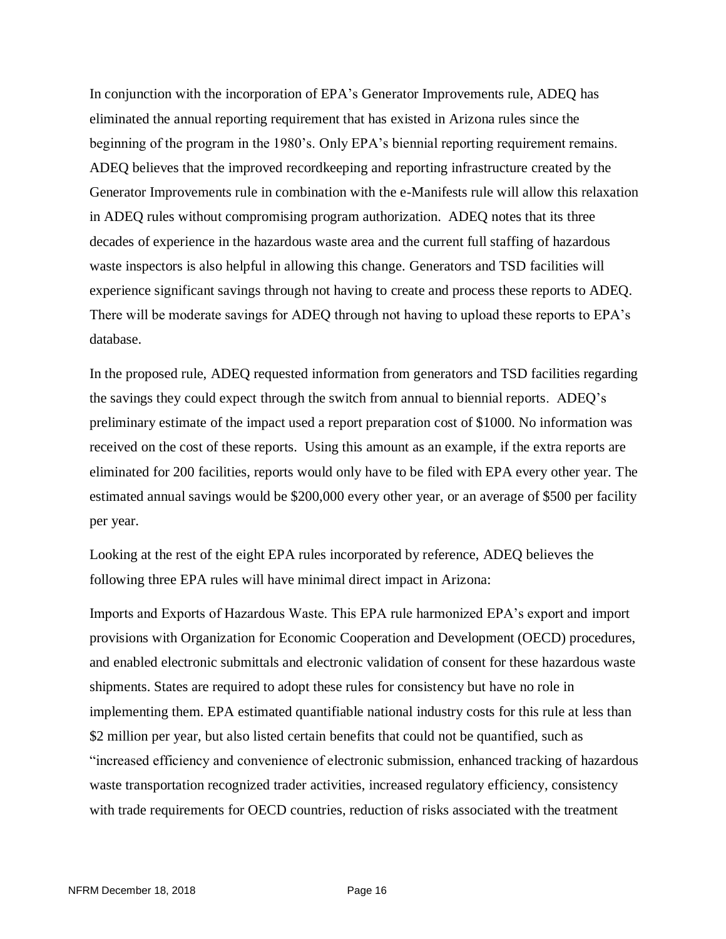In conjunction with the incorporation of EPA's Generator Improvements rule, ADEQ has eliminated the annual reporting requirement that has existed in Arizona rules since the beginning of the program in the 1980's. Only EPA's biennial reporting requirement remains. ADEQ believes that the improved recordkeeping and reporting infrastructure created by the Generator Improvements rule in combination with the e-Manifests rule will allow this relaxation in ADEQ rules without compromising program authorization. ADEQ notes that its three decades of experience in the hazardous waste area and the current full staffing of hazardous waste inspectors is also helpful in allowing this change. Generators and TSD facilities will experience significant savings through not having to create and process these reports to ADEQ. There will be moderate savings for ADEQ through not having to upload these reports to EPA's database.

In the proposed rule, ADEQ requested information from generators and TSD facilities regarding the savings they could expect through the switch from annual to biennial reports. ADEQ's preliminary estimate of the impact used a report preparation cost of \$1000. No information was received on the cost of these reports. Using this amount as an example, if the extra reports are eliminated for 200 facilities, reports would only have to be filed with EPA every other year. The estimated annual savings would be \$200,000 every other year, or an average of \$500 per facility per year.

Looking at the rest of the eight EPA rules incorporated by reference, ADEQ believes the following three EPA rules will have minimal direct impact in Arizona:

Imports and Exports of Hazardous Waste. This EPA rule harmonized EPA's export and import provisions with Organization for Economic Cooperation and Development (OECD) procedures, and enabled electronic submittals and electronic validation of consent for these hazardous waste shipments. States are required to adopt these rules for consistency but have no role in implementing them. EPA estimated quantifiable national industry costs for this rule at less than \$2 million per year, but also listed certain benefits that could not be quantified, such as "increased efficiency and convenience of electronic submission, enhanced tracking of hazardous waste transportation recognized trader activities, increased regulatory efficiency, consistency with trade requirements for OECD countries, reduction of risks associated with the treatment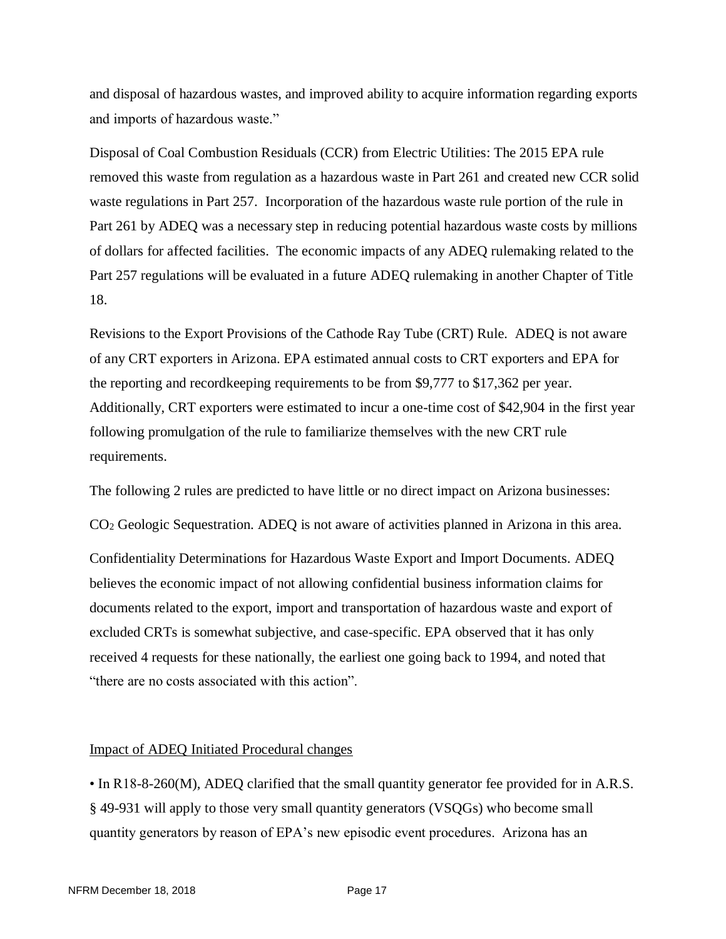and disposal of hazardous wastes, and improved ability to acquire information regarding exports and imports of hazardous waste."

Disposal of Coal Combustion Residuals (CCR) from Electric Utilities: The 2015 EPA rule removed this waste from regulation as a hazardous waste in Part 261 and created new CCR solid waste regulations in Part 257. Incorporation of the hazardous waste rule portion of the rule in Part 261 by ADEQ was a necessary step in reducing potential hazardous waste costs by millions of dollars for affected facilities. The economic impacts of any ADEQ rulemaking related to the Part 257 regulations will be evaluated in a future ADEQ rulemaking in another Chapter of Title 18.

Revisions to the Export Provisions of the Cathode Ray Tube (CRT) Rule. ADEQ is not aware of any CRT exporters in Arizona. EPA estimated annual costs to CRT exporters and EPA for the reporting and recordkeeping requirements to be from \$9,777 to \$17,362 per year. Additionally, CRT exporters were estimated to incur a one-time cost of \$42,904 in the first year following promulgation of the rule to familiarize themselves with the new CRT rule requirements.

The following 2 rules are predicted to have little or no direct impact on Arizona businesses:

CO<sup>2</sup> Geologic Sequestration. ADEQ is not aware of activities planned in Arizona in this area.

Confidentiality Determinations for Hazardous Waste Export and Import Documents. ADEQ believes the economic impact of not allowing confidential business information claims for documents related to the export, import and transportation of hazardous waste and export of excluded CRTs is somewhat subjective, and case-specific. EPA observed that it has only received 4 requests for these nationally, the earliest one going back to 1994, and noted that "there are no costs associated with this action".

### Impact of ADEQ Initiated Procedural changes

• In R18-8-260(M), ADEQ clarified that the small quantity generator fee provided for in A.R.S. § 49-931 will apply to those very small quantity generators (VSQGs) who become small quantity generators by reason of EPA's new episodic event procedures. Arizona has an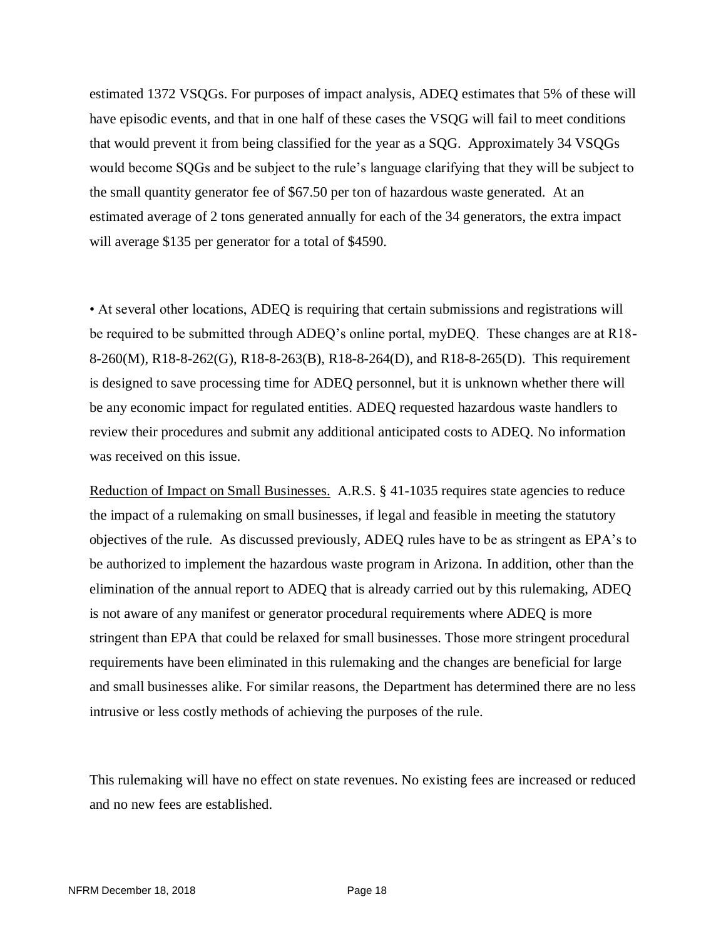estimated 1372 VSQGs. For purposes of impact analysis, ADEQ estimates that 5% of these will have episodic events, and that in one half of these cases the VSQG will fail to meet conditions that would prevent it from being classified for the year as a SQG. Approximately 34 VSQGs would become SQGs and be subject to the rule's language clarifying that they will be subject to the small quantity generator fee of \$67.50 per ton of hazardous waste generated. At an estimated average of 2 tons generated annually for each of the 34 generators, the extra impact will average \$135 per generator for a total of \$4590.

• At several other locations, ADEQ is requiring that certain submissions and registrations will be required to be submitted through ADEQ's online portal, myDEQ. These changes are at R18- 8-260(M), R18-8-262(G), R18-8-263(B), R18-8-264(D), and R18-8-265(D). This requirement is designed to save processing time for ADEQ personnel, but it is unknown whether there will be any economic impact for regulated entities. ADEQ requested hazardous waste handlers to review their procedures and submit any additional anticipated costs to ADEQ. No information was received on this issue.

Reduction of Impact on Small Businesses. A.R.S. § 41-1035 requires state agencies to reduce the impact of a rulemaking on small businesses, if legal and feasible in meeting the statutory objectives of the rule. As discussed previously, ADEQ rules have to be as stringent as EPA's to be authorized to implement the hazardous waste program in Arizona. In addition, other than the elimination of the annual report to ADEQ that is already carried out by this rulemaking, ADEQ is not aware of any manifest or generator procedural requirements where ADEQ is more stringent than EPA that could be relaxed for small businesses. Those more stringent procedural requirements have been eliminated in this rulemaking and the changes are beneficial for large and small businesses alike. For similar reasons, the Department has determined there are no less intrusive or less costly methods of achieving the purposes of the rule.

This rulemaking will have no effect on state revenues. No existing fees are increased or reduced and no new fees are established.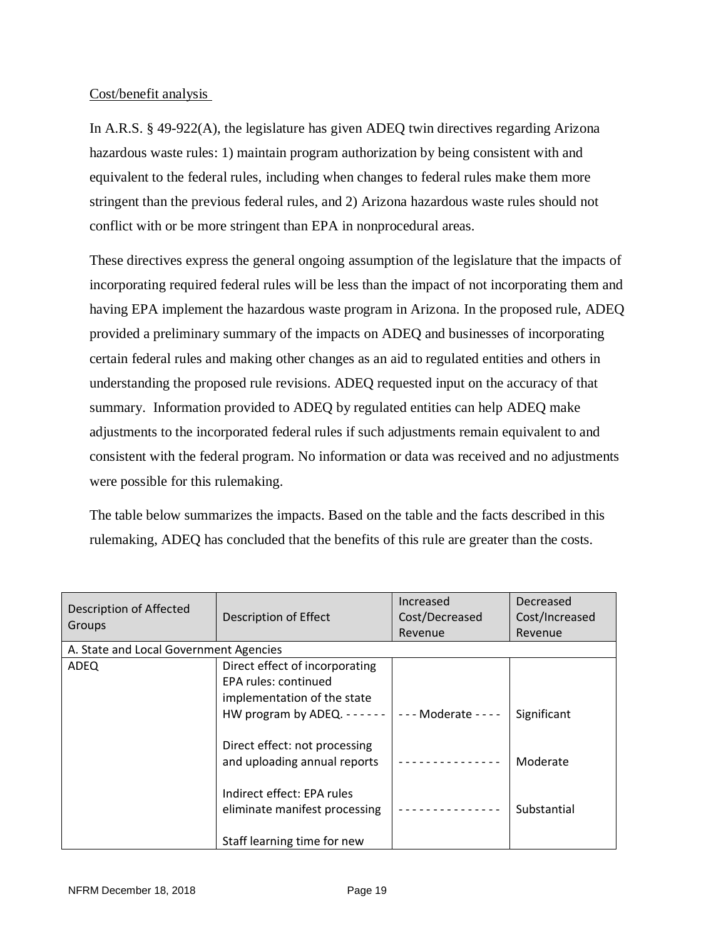### Cost/benefit analysis

In A.R.S. § 49-922(A), the legislature has given ADEQ twin directives regarding Arizona hazardous waste rules: 1) maintain program authorization by being consistent with and equivalent to the federal rules, including when changes to federal rules make them more stringent than the previous federal rules, and 2) Arizona hazardous waste rules should not conflict with or be more stringent than EPA in nonprocedural areas.

These directives express the general ongoing assumption of the legislature that the impacts of incorporating required federal rules will be less than the impact of not incorporating them and having EPA implement the hazardous waste program in Arizona. In the proposed rule, ADEQ provided a preliminary summary of the impacts on ADEQ and businesses of incorporating certain federal rules and making other changes as an aid to regulated entities and others in understanding the proposed rule revisions. ADEQ requested input on the accuracy of that summary. Information provided to ADEQ by regulated entities can help ADEQ make adjustments to the incorporated federal rules if such adjustments remain equivalent to and consistent with the federal program. No information or data was received and no adjustments were possible for this rulemaking.

The table below summarizes the impacts. Based on the table and the facts described in this rulemaking, ADEQ has concluded that the benefits of this rule are greater than the costs.

| Description of Affected<br>Groups      | Description of Effect                                                                 | Increased<br>Cost/Decreased<br>Revenue | Decreased<br>Cost/Increased<br>Revenue |  |
|----------------------------------------|---------------------------------------------------------------------------------------|----------------------------------------|----------------------------------------|--|
| A. State and Local Government Agencies |                                                                                       |                                        |                                        |  |
| <b>ADEQ</b>                            | Direct effect of incorporating<br>EPA rules: continued<br>implementation of the state |                                        |                                        |  |
|                                        | HW program by ADEQ. $---$<br>Direct effect: not processing                            | - - - Moderate - - - -                 | Significant                            |  |
|                                        | and uploading annual reports<br>Indirect effect: EPA rules                            |                                        | Moderate                               |  |
|                                        | eliminate manifest processing                                                         |                                        | Substantial                            |  |
|                                        | Staff learning time for new                                                           |                                        |                                        |  |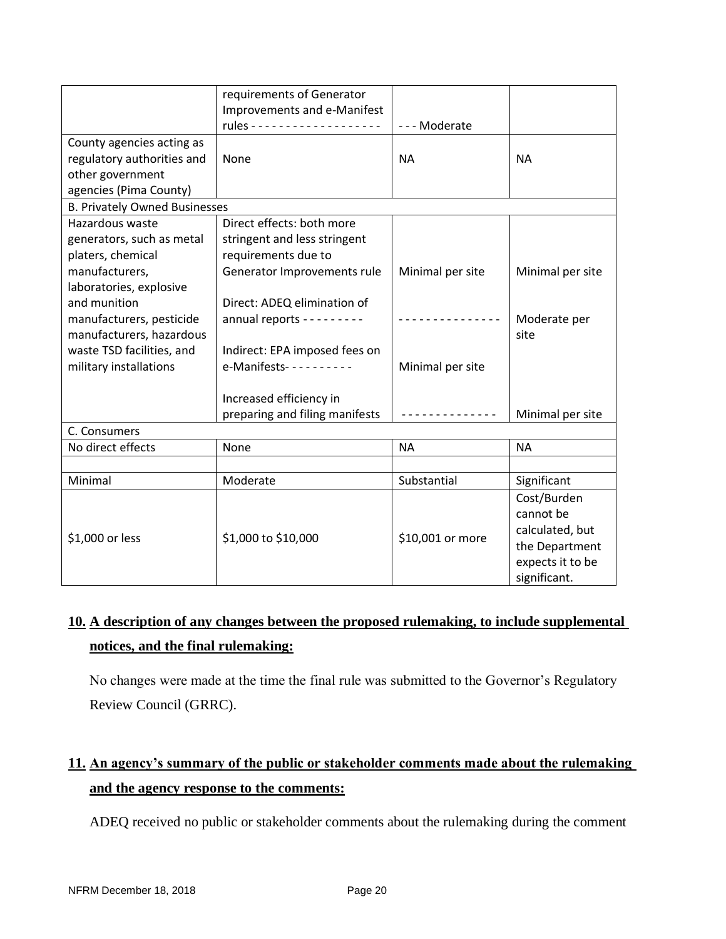| None                                                           | <b>NA</b>                                                                                                                                                                                                                                                                                                     | <b>NA</b>                                    |  |  |  |
|----------------------------------------------------------------|---------------------------------------------------------------------------------------------------------------------------------------------------------------------------------------------------------------------------------------------------------------------------------------------------------------|----------------------------------------------|--|--|--|
|                                                                |                                                                                                                                                                                                                                                                                                               |                                              |  |  |  |
|                                                                |                                                                                                                                                                                                                                                                                                               |                                              |  |  |  |
| agencies (Pima County)<br><b>B. Privately Owned Businesses</b> |                                                                                                                                                                                                                                                                                                               |                                              |  |  |  |
| Direct effects: both more                                      |                                                                                                                                                                                                                                                                                                               |                                              |  |  |  |
|                                                                |                                                                                                                                                                                                                                                                                                               |                                              |  |  |  |
|                                                                |                                                                                                                                                                                                                                                                                                               |                                              |  |  |  |
|                                                                |                                                                                                                                                                                                                                                                                                               | Minimal per site                             |  |  |  |
|                                                                |                                                                                                                                                                                                                                                                                                               |                                              |  |  |  |
|                                                                |                                                                                                                                                                                                                                                                                                               |                                              |  |  |  |
|                                                                |                                                                                                                                                                                                                                                                                                               |                                              |  |  |  |
|                                                                |                                                                                                                                                                                                                                                                                                               | Moderate per                                 |  |  |  |
|                                                                |                                                                                                                                                                                                                                                                                                               | site                                         |  |  |  |
|                                                                |                                                                                                                                                                                                                                                                                                               |                                              |  |  |  |
| e-Manifests- - - - - - - - - -                                 | Minimal per site                                                                                                                                                                                                                                                                                              |                                              |  |  |  |
|                                                                |                                                                                                                                                                                                                                                                                                               |                                              |  |  |  |
|                                                                |                                                                                                                                                                                                                                                                                                               |                                              |  |  |  |
|                                                                | ------------                                                                                                                                                                                                                                                                                                  | Minimal per site                             |  |  |  |
|                                                                |                                                                                                                                                                                                                                                                                                               |                                              |  |  |  |
| None                                                           | <b>NA</b>                                                                                                                                                                                                                                                                                                     | <b>NA</b>                                    |  |  |  |
|                                                                |                                                                                                                                                                                                                                                                                                               |                                              |  |  |  |
| Moderate                                                       | Substantial                                                                                                                                                                                                                                                                                                   | Significant                                  |  |  |  |
|                                                                |                                                                                                                                                                                                                                                                                                               | Cost/Burden                                  |  |  |  |
| \$1,000 to \$10,000                                            | \$10,001 or more                                                                                                                                                                                                                                                                                              | cannot be                                    |  |  |  |
|                                                                |                                                                                                                                                                                                                                                                                                               | calculated, but                              |  |  |  |
|                                                                |                                                                                                                                                                                                                                                                                                               | the Department                               |  |  |  |
|                                                                |                                                                                                                                                                                                                                                                                                               | expects it to be                             |  |  |  |
|                                                                |                                                                                                                                                                                                                                                                                                               | significant.                                 |  |  |  |
|                                                                | requirements of Generator<br>Improvements and e-Manifest<br>stringent and less stringent<br>requirements due to<br>Generator Improvements rule<br>Direct: ADEQ elimination of<br>annual reports - - - - - - - -<br>Indirect: EPA imposed fees on<br>Increased efficiency in<br>preparing and filing manifests | --- Moderate<br>Minimal per site<br><u>.</u> |  |  |  |

## **10. A description of any changes between the proposed rulemaking, to include supplemental notices, and the final rulemaking:**

No changes were made at the time the final rule was submitted to the Governor's Regulatory Review Council (GRRC).

# **11. An agency's summary of the public or stakeholder comments made about the rulemaking and the agency response to the comments:**

ADEQ received no public or stakeholder comments about the rulemaking during the comment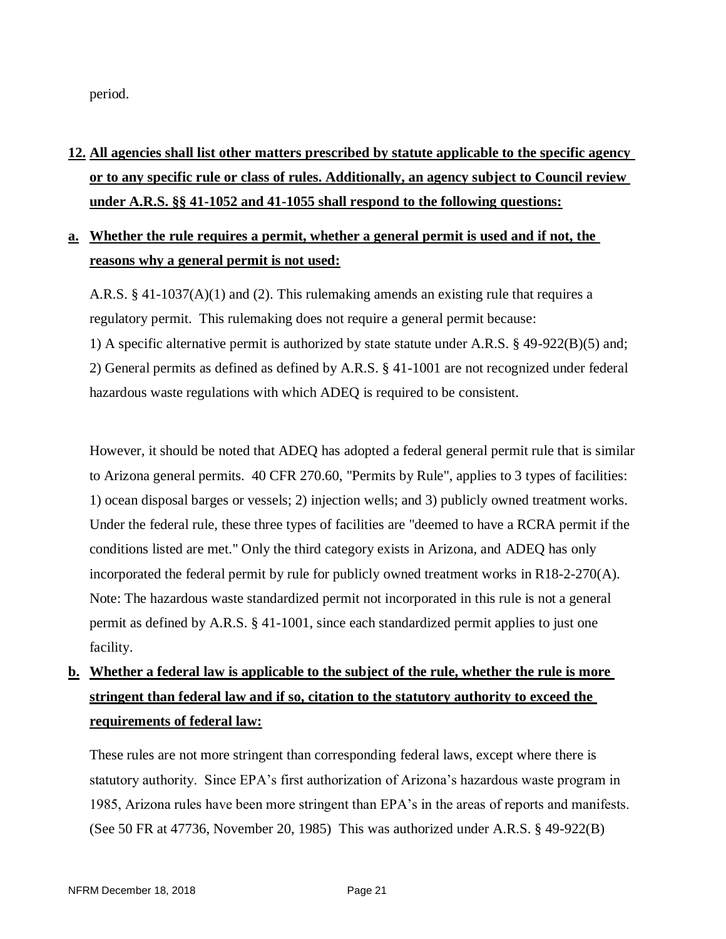period.

# **12. All agencies shall list other matters prescribed by statute applicable to the specific agency or to any specific rule or class of rules. Additionally, an agency subject to Council review under A.R.S. §§ 41-1052 and 41-1055 shall respond to the following questions:**

## **a. Whether the rule requires a permit, whether a general permit is used and if not, the reasons why a general permit is not used:**

A.R.S.  $\S 41$ -1037(A)(1) and (2). This rulemaking amends an existing rule that requires a regulatory permit. This rulemaking does not require a general permit because:

1) A specific alternative permit is authorized by state statute under A.R.S. § 49-922(B)(5) and; 2) General permits as defined as defined by A.R.S. § 41-1001 are not recognized under federal hazardous waste regulations with which ADEQ is required to be consistent.

However, it should be noted that ADEQ has adopted a federal general permit rule that is similar to Arizona general permits. 40 CFR 270.60, "Permits by Rule", applies to 3 types of facilities: 1) ocean disposal barges or vessels; 2) injection wells; and 3) publicly owned treatment works. Under the federal rule, these three types of facilities are "deemed to have a RCRA permit if the conditions listed are met." Only the third category exists in Arizona, and ADEQ has only incorporated the federal permit by rule for publicly owned treatment works in R18-2-270(A). Note: The hazardous waste standardized permit not incorporated in this rule is not a general permit as defined by A.R.S. § 41-1001, since each standardized permit applies to just one facility.

# **b. Whether a federal law is applicable to the subject of the rule, whether the rule is more stringent than federal law and if so, citation to the statutory authority to exceed the requirements of federal law:**

These rules are not more stringent than corresponding federal laws, except where there is statutory authority. Since EPA's first authorization of Arizona's hazardous waste program in 1985, Arizona rules have been more stringent than EPA's in the areas of reports and manifests. (See 50 FR at 47736, November 20, 1985) This was authorized under A.R.S. § 49-922(B)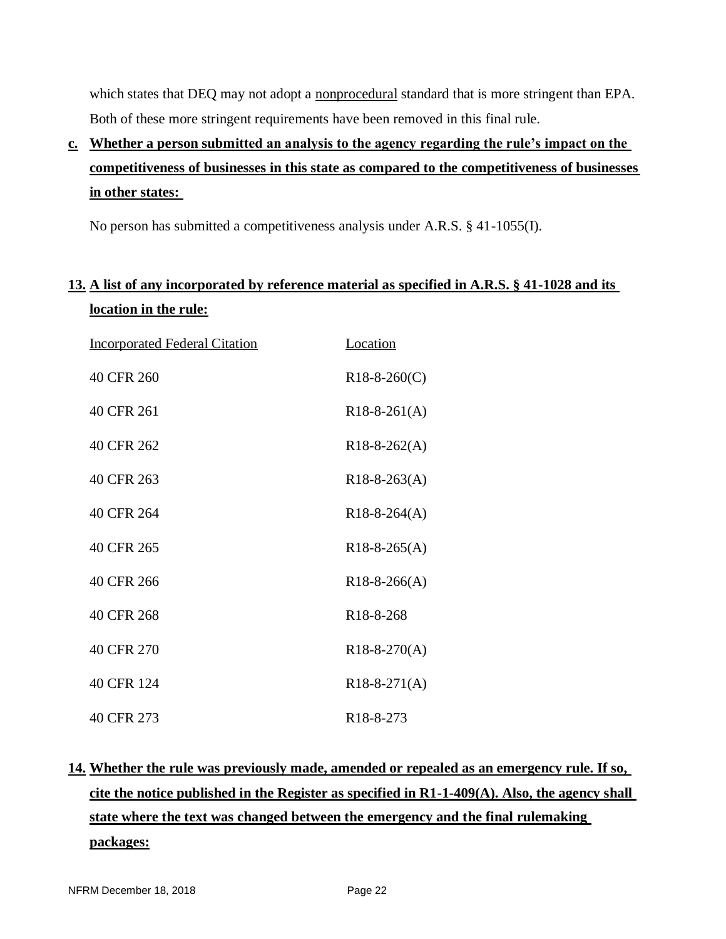which states that DEQ may not adopt a nonprocedural standard that is more stringent than EPA. Both of these more stringent requirements have been removed in this final rule.

**c. Whether a person submitted an analysis to the agency regarding the rule's impact on the competitiveness of businesses in this state as compared to the competitiveness of businesses in other states:** 

No person has submitted a competitiveness analysis under A.R.S. § 41-1055(I).

## **13. A list of any incorporated by reference material as specified in A.R.S. § 41-1028 and its location in the rule:**

| <b>Incorporated Federal Citation</b> | <b>Location</b>        |
|--------------------------------------|------------------------|
| 40 CFR 260                           | $R18-8-260(C)$         |
| 40 CFR 261                           | $R18-8-261(A)$         |
| 40 CFR 262                           | $R18-8-262(A)$         |
| 40 CFR 263                           | $R18-8-263(A)$         |
| 40 CFR 264                           | $R18-8-264(A)$         |
| 40 CFR 265                           | $R18-8-265(A)$         |
| 40 CFR 266                           | $R18-8-266(A)$         |
| 40 CFR 268                           | R <sub>18</sub> -8-268 |
| 40 CFR 270                           | $R18-8-270(A)$         |
| 40 CFR 124                           | $R18-8-271(A)$         |
| 40 CFR 273                           | R <sub>18</sub> -8-273 |

# **14. Whether the rule was previously made, amended or repealed as an emergency rule. If so, cite the notice published in the Register as specified in R1-1-409(A). Also, the agency shall state where the text was changed between the emergency and the final rulemaking packages:**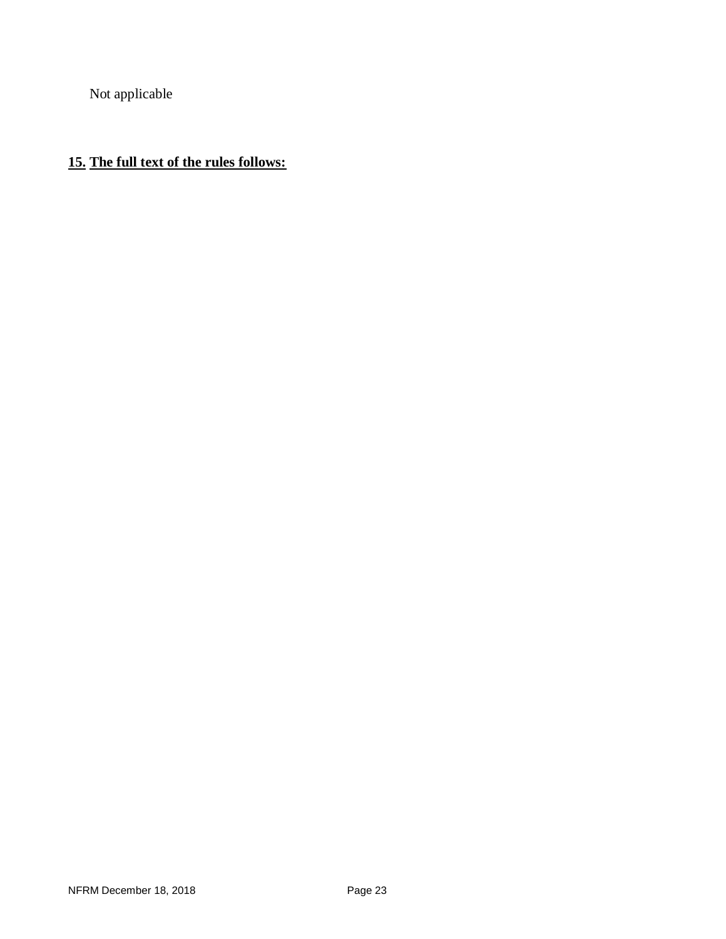Not applicable

## **15. The full text of the rules follows:**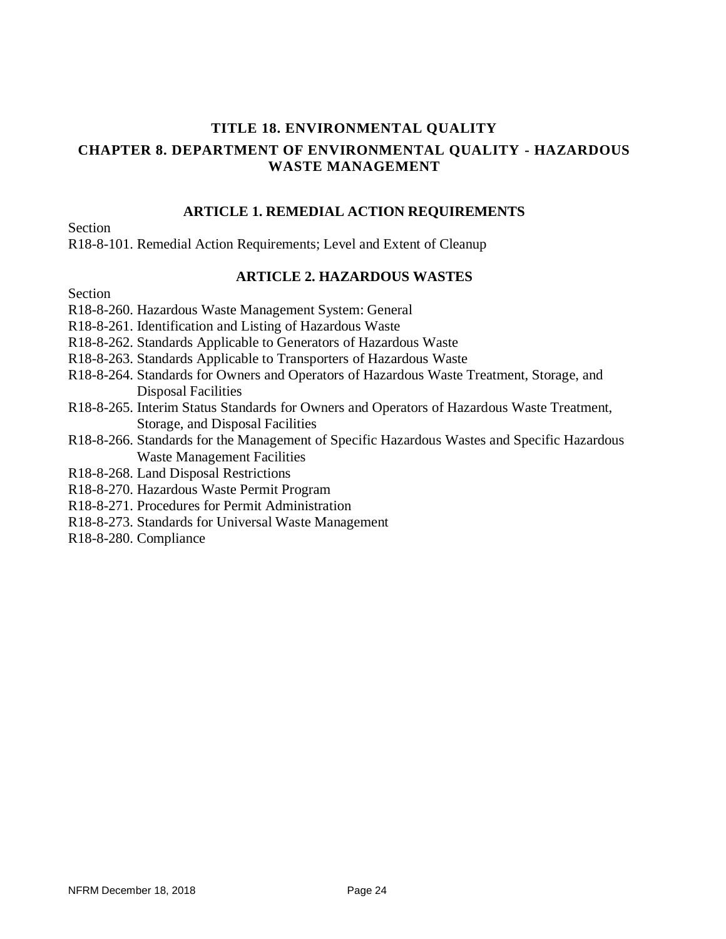## **TITLE 18. ENVIRONMENTAL QUALITY CHAPTER 8. DEPARTMENT OF ENVIRONMENTAL QUALITY - HAZARDOUS WASTE MANAGEMENT**

### **ARTICLE 1. REMEDIAL ACTION REQUIREMENTS**

Section

R18-8-101. Remedial Action Requirements; Level and Extent of Cleanup

### **ARTICLE 2. HAZARDOUS WASTES**

Section

- R18-8-260. Hazardous Waste Management System: General
- R18-8-261. Identification and Listing of Hazardous Waste
- R18-8-262. Standards Applicable to Generators of Hazardous Waste
- R18-8-263. Standards Applicable to Transporters of Hazardous Waste
- R18-8-264. Standards for Owners and Operators of Hazardous Waste Treatment, Storage, and Disposal Facilities
- R18-8-265. Interim Status Standards for Owners and Operators of Hazardous Waste Treatment, Storage, and Disposal Facilities
- R18-8-266. Standards for the Management of Specific Hazardous Wastes and Specific Hazardous Waste Management Facilities
- R18-8-268. Land Disposal Restrictions
- R18-8-270. Hazardous Waste Permit Program
- R18-8-271. Procedures for Permit Administration
- R18-8-273. Standards for Universal Waste Management
- R18-8-280. Compliance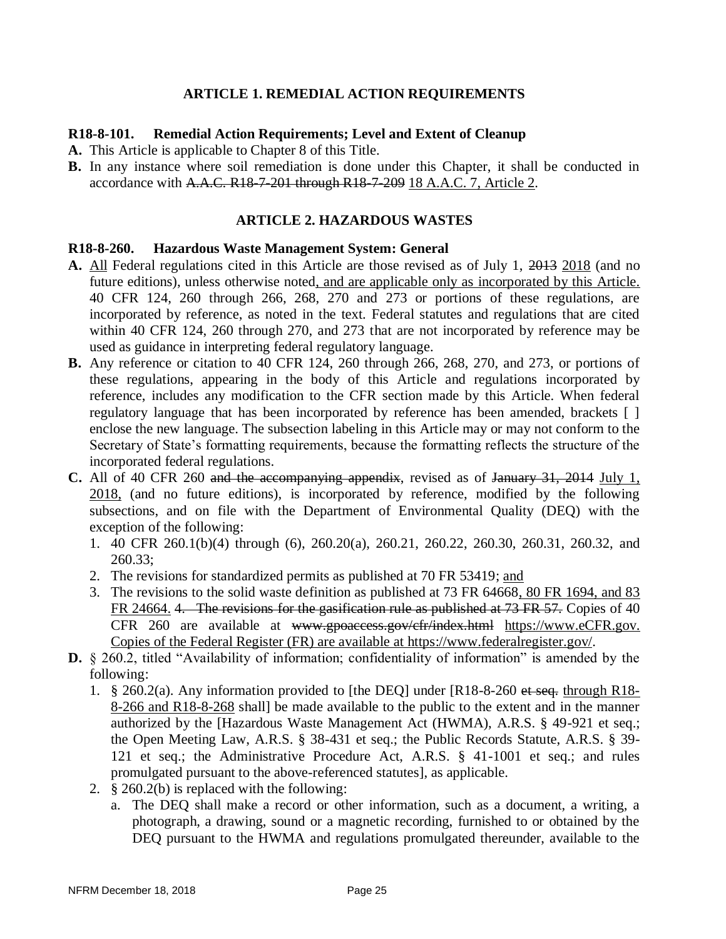### **ARTICLE 1. REMEDIAL ACTION REQUIREMENTS**

### **R18-8-101. Remedial Action Requirements; Level and Extent of Cleanup**

- **A.** This Article is applicable to Chapter 8 of this Title.
- **B.** In any instance where soil remediation is done under this Chapter, it shall be conducted in accordance with A.A.C. R18-7-201 through R18-7-209 18 A.A.C. 7, Article 2.

### **ARTICLE 2. HAZARDOUS WASTES**

#### **R18-8-260. Hazardous Waste Management System: General**

- **A.** All Federal regulations cited in this Article are those revised as of July 1, 2013 2018 (and no future editions), unless otherwise noted, and are applicable only as incorporated by this Article. 40 CFR 124, 260 through 266, 268, 270 and 273 or portions of these regulations, are incorporated by reference, as noted in the text. Federal statutes and regulations that are cited within 40 CFR 124, 260 through 270, and 273 that are not incorporated by reference may be used as guidance in interpreting federal regulatory language.
- **B.** Any reference or citation to 40 CFR 124, 260 through 266, 268, 270, and 273, or portions of these regulations, appearing in the body of this Article and regulations incorporated by reference, includes any modification to the CFR section made by this Article. When federal regulatory language that has been incorporated by reference has been amended, brackets [ ] enclose the new language. The subsection labeling in this Article may or may not conform to the Secretary of State's formatting requirements, because the formatting reflects the structure of the incorporated federal regulations.
- **C.** All of 40 CFR 260 and the accompanying appendix, revised as of January 31, 2014 July 1, 2018, (and no future editions), is incorporated by reference, modified by the following subsections, and on file with the Department of Environmental Quality (DEQ) with the exception of the following:
	- 1. 40 CFR 260.1(b)(4) through (6), 260.20(a), 260.21, 260.22, 260.30, 260.31, 260.32, and 260.33;
	- 2. The revisions for standardized permits as published at 70 FR 53419; and
	- 3. The revisions to the solid waste definition as published at 73 FR 64668, 80 FR 1694, and 83 FR 24664. 4. The revisions for the gasification rule as published at 73 FR 57. Copies of 40 CFR 260 are available at www.gpoaccess.gov/cfr/index.html [https://www.eCFR.gov.](https://www.ecfr.gov/) Copies of the Federal Register (FR) are available at [https://www.federalregister.gov/.](https://www.federalregister.gov/)
- **D.** § 260.2, titled "Availability of information; confidentiality of information" is amended by the following:
	- 1. § 260.2(a). Any information provided to [the DEQ] under [R18-8-260 et seq. through R18- 8-266 and R18-8-268 shall] be made available to the public to the extent and in the manner authorized by the [Hazardous Waste Management Act (HWMA), A.R.S. § 49-921 et seq.; the Open Meeting Law, A.R.S. § 38-431 et seq.; the Public Records Statute, A.R.S. § 39- 121 et seq.; the Administrative Procedure Act, A.R.S. § 41-1001 et seq.; and rules promulgated pursuant to the above-referenced statutes], as applicable.
	- 2. § 260.2(b) is replaced with the following:
		- a. The DEQ shall make a record or other information, such as a document, a writing, a photograph, a drawing, sound or a magnetic recording, furnished to or obtained by the DEQ pursuant to the HWMA and regulations promulgated thereunder, available to the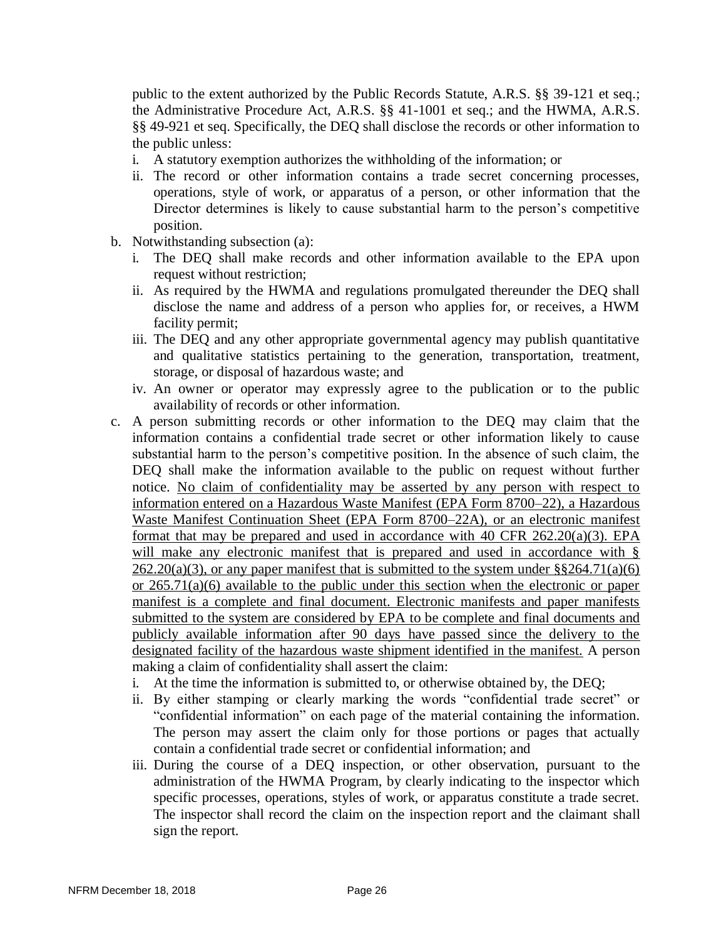public to the extent authorized by the Public Records Statute, A.R.S. §§ 39-121 et seq.; the Administrative Procedure Act, A.R.S. §§ 41-1001 et seq.; and the HWMA, A.R.S. §§ 49-921 et seq. Specifically, the DEQ shall disclose the records or other information to the public unless:

- i. A statutory exemption authorizes the withholding of the information; or
- ii. The record or other information contains a trade secret concerning processes, operations, style of work, or apparatus of a person, or other information that the Director determines is likely to cause substantial harm to the person's competitive position.
- b. Notwithstanding subsection (a):
	- i. The DEQ shall make records and other information available to the EPA upon request without restriction;
	- ii. As required by the HWMA and regulations promulgated thereunder the DEQ shall disclose the name and address of a person who applies for, or receives, a HWM facility permit;
	- iii. The DEQ and any other appropriate governmental agency may publish quantitative and qualitative statistics pertaining to the generation, transportation, treatment, storage, or disposal of hazardous waste; and
	- iv. An owner or operator may expressly agree to the publication or to the public availability of records or other information.
- c. A person submitting records or other information to the DEQ may claim that the information contains a confidential trade secret or other information likely to cause substantial harm to the person's competitive position. In the absence of such claim, the DEQ shall make the information available to the public on request without further notice. No claim of confidentiality may be asserted by any person with respect to information entered on a Hazardous Waste Manifest (EPA Form 8700–22), a Hazardous Waste Manifest Continuation Sheet (EPA Form 8700–22A), or an electronic manifest format that may be prepared and used in accordance with 40 CFR 262.20(a)(3). EPA will make any electronic manifest that is prepared and used in accordance with §  $262.20(a)(3)$ , or any paper manifest that is submitted to the system under §§264.71(a)(6) or 265.71(a)(6) available to the public under this section when the electronic or paper manifest is a complete and final document. Electronic manifests and paper manifests submitted to the system are considered by EPA to be complete and final documents and publicly available information after 90 days have passed since the delivery to the designated facility of the hazardous waste shipment identified in the manifest. A person making a claim of confidentiality shall assert the claim:
	- i. At the time the information is submitted to, or otherwise obtained by, the DEQ;
	- ii. By either stamping or clearly marking the words "confidential trade secret" or "confidential information" on each page of the material containing the information. The person may assert the claim only for those portions or pages that actually contain a confidential trade secret or confidential information; and
	- iii. During the course of a DEQ inspection, or other observation, pursuant to the administration of the HWMA Program, by clearly indicating to the inspector which specific processes, operations, styles of work, or apparatus constitute a trade secret. The inspector shall record the claim on the inspection report and the claimant shall sign the report.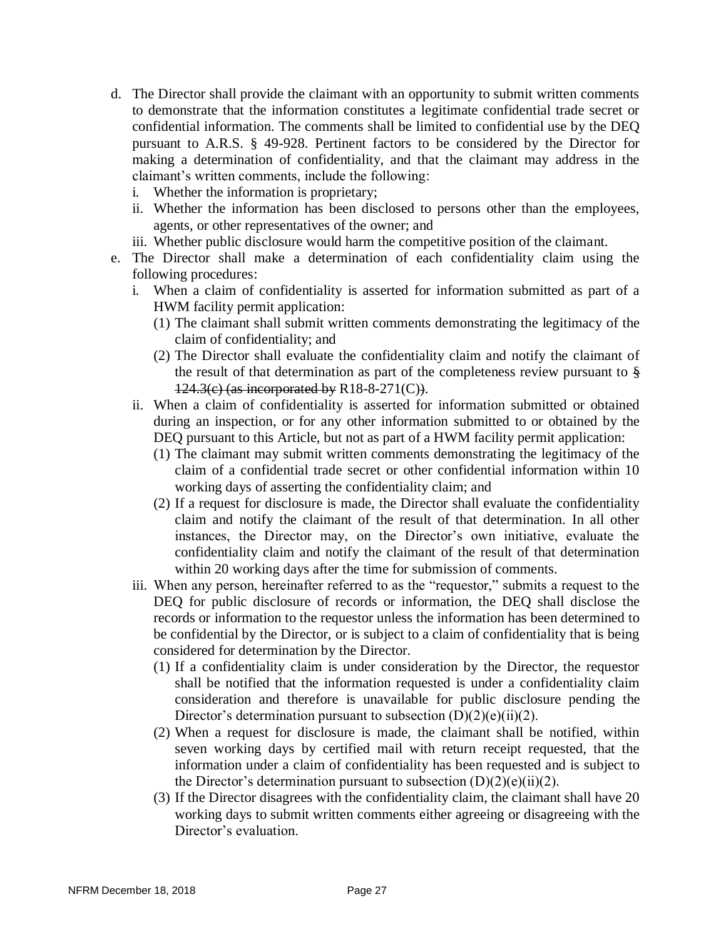- d. The Director shall provide the claimant with an opportunity to submit written comments to demonstrate that the information constitutes a legitimate confidential trade secret or confidential information. The comments shall be limited to confidential use by the DEQ pursuant to A.R.S. § 49-928. Pertinent factors to be considered by the Director for making a determination of confidentiality, and that the claimant may address in the claimant's written comments, include the following:
	- i. Whether the information is proprietary;
	- ii. Whether the information has been disclosed to persons other than the employees, agents, or other representatives of the owner; and
	- iii. Whether public disclosure would harm the competitive position of the claimant.
- e. The Director shall make a determination of each confidentiality claim using the following procedures:
	- i. When a claim of confidentiality is asserted for information submitted as part of a HWM facility permit application:
		- (1) The claimant shall submit written comments demonstrating the legitimacy of the claim of confidentiality; and
		- (2) The Director shall evaluate the confidentiality claim and notify the claimant of the result of that determination as part of the completeness review pursuant to § 124.3(c) (as incorporated by R18-8-271(C)).
	- ii. When a claim of confidentiality is asserted for information submitted or obtained during an inspection, or for any other information submitted to or obtained by the DEQ pursuant to this Article, but not as part of a HWM facility permit application:
		- (1) The claimant may submit written comments demonstrating the legitimacy of the claim of a confidential trade secret or other confidential information within 10 working days of asserting the confidentiality claim; and
		- (2) If a request for disclosure is made, the Director shall evaluate the confidentiality claim and notify the claimant of the result of that determination. In all other instances, the Director may, on the Director's own initiative, evaluate the confidentiality claim and notify the claimant of the result of that determination within 20 working days after the time for submission of comments.
	- iii. When any person, hereinafter referred to as the "requestor," submits a request to the DEQ for public disclosure of records or information, the DEQ shall disclose the records or information to the requestor unless the information has been determined to be confidential by the Director, or is subject to a claim of confidentiality that is being considered for determination by the Director.
		- (1) If a confidentiality claim is under consideration by the Director, the requestor shall be notified that the information requested is under a confidentiality claim consideration and therefore is unavailable for public disclosure pending the Director's determination pursuant to subsection  $(D)(2)(e)(ii)(2)$ .
		- (2) When a request for disclosure is made, the claimant shall be notified, within seven working days by certified mail with return receipt requested, that the information under a claim of confidentiality has been requested and is subject to the Director's determination pursuant to subsection  $(D)(2)(e)(ii)(2)$ .
		- (3) If the Director disagrees with the confidentiality claim, the claimant shall have 20 working days to submit written comments either agreeing or disagreeing with the Director's evaluation.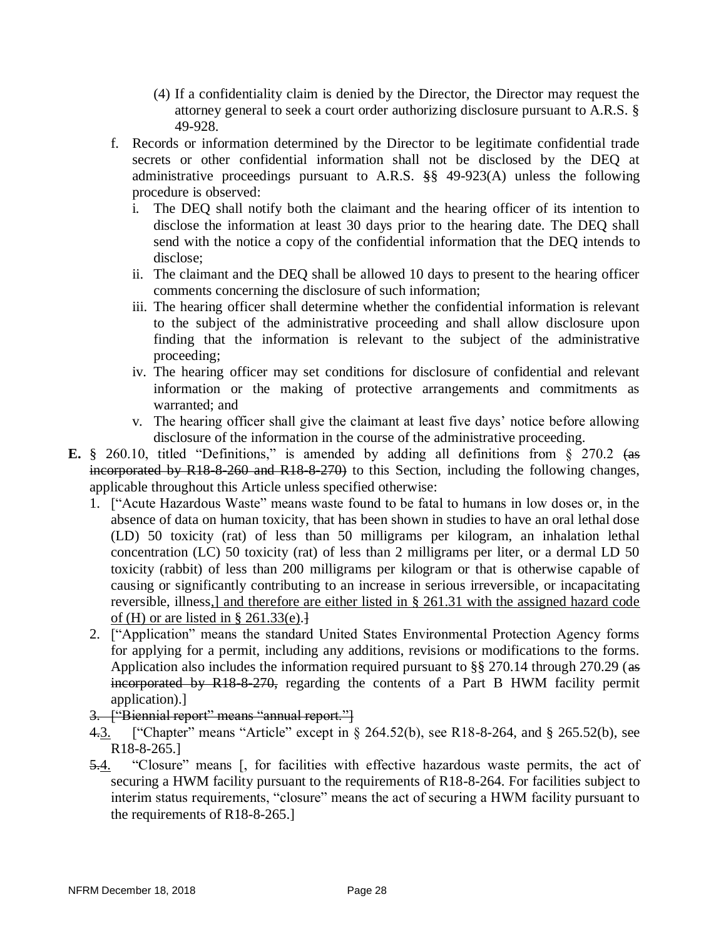- (4) If a confidentiality claim is denied by the Director, the Director may request the attorney general to seek a court order authorizing disclosure pursuant to A.R.S. § 49-928.
- f. Records or information determined by the Director to be legitimate confidential trade secrets or other confidential information shall not be disclosed by the DEQ at administrative proceedings pursuant to A.R.S. §§ 49-923(A) unless the following procedure is observed:
	- i. The DEQ shall notify both the claimant and the hearing officer of its intention to disclose the information at least 30 days prior to the hearing date. The DEQ shall send with the notice a copy of the confidential information that the DEQ intends to disclose;
	- ii. The claimant and the DEQ shall be allowed 10 days to present to the hearing officer comments concerning the disclosure of such information;
	- iii. The hearing officer shall determine whether the confidential information is relevant to the subject of the administrative proceeding and shall allow disclosure upon finding that the information is relevant to the subject of the administrative proceeding;
	- iv. The hearing officer may set conditions for disclosure of confidential and relevant information or the making of protective arrangements and commitments as warranted; and
	- v. The hearing officer shall give the claimant at least five days' notice before allowing disclosure of the information in the course of the administrative proceeding.
- **E.** § 260.10, titled "Definitions," is amended by adding all definitions from § 270.2 (as incorporated by R18-8-260 and R18-8-270) to this Section, including the following changes, applicable throughout this Article unless specified otherwise:
	- 1. ["Acute Hazardous Waste" means waste found to be fatal to humans in low doses or, in the absence of data on human toxicity, that has been shown in studies to have an oral lethal dose (LD) 50 toxicity (rat) of less than 50 milligrams per kilogram, an inhalation lethal concentration (LC) 50 toxicity (rat) of less than 2 milligrams per liter, or a dermal LD 50 toxicity (rabbit) of less than 200 milligrams per kilogram or that is otherwise capable of causing or significantly contributing to an increase in serious irreversible, or incapacitating reversible, illness,] and therefore are either listed in § 261.31 with the assigned hazard code of (H) or are listed in  $\S 261.33(e).$
	- 2. ["Application" means the standard United States Environmental Protection Agency forms for applying for a permit, including any additions, revisions or modifications to the forms. Application also includes the information required pursuant to §§ 270.14 through 270.29 (as incorporated by R18-8-270, regarding the contents of a Part B HWM facility permit application).]
	- 3. ["Biennial report" means "annual report."]
	- 4.3. ["Chapter" means "Article" except in § 264.52(b), see R18-8-264, and § 265.52(b), see R18-8-265.]
	- 5.4. "Closure" means [, for facilities with effective hazardous waste permits, the act of securing a HWM facility pursuant to the requirements of R18-8-264. For facilities subject to interim status requirements, "closure" means the act of securing a HWM facility pursuant to the requirements of R18-8-265.]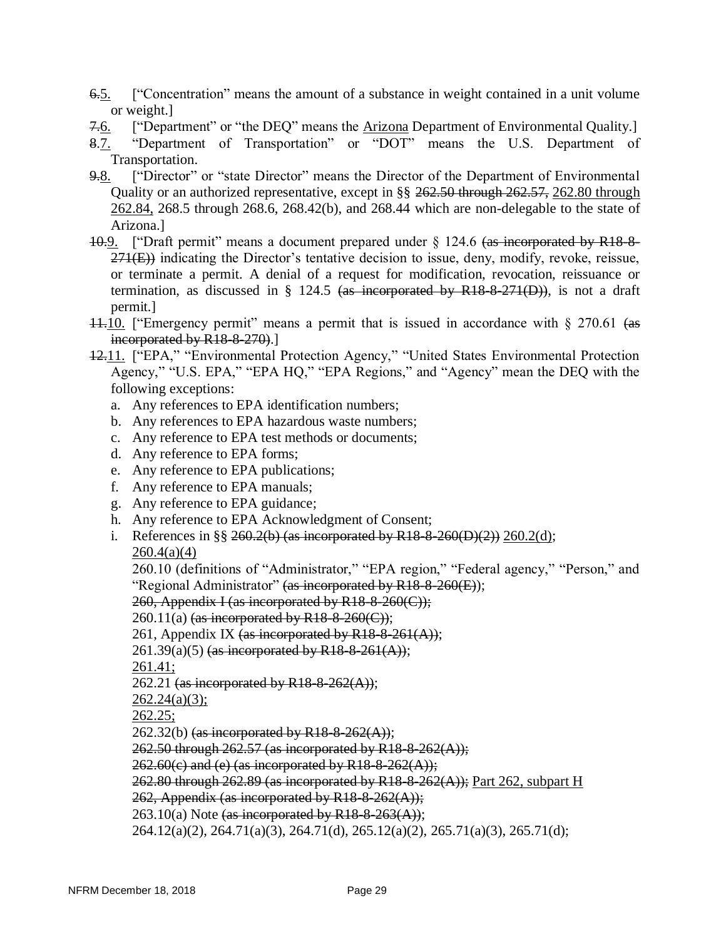- 6.5. ["Concentration" means the amount of a substance in weight contained in a unit volume or weight.]
- 7.6. ["Department" or "the DEQ" means the Arizona Department of Environmental Quality.]
- 8.7. "Department of Transportation" or "DOT" means the U.S. Department of Transportation.
- 9.8. ["Director" or "state Director" means the Director of the Department of Environmental Quality or an authorized representative, except in §§ 262.50 through 262.57, 262.80 through 262.84, 268.5 through 268.6, 268.42(b), and 268.44 which are non-delegable to the state of Arizona.]
- 10.9. ["Draft permit" means a document prepared under  $\S$  124.6 (as incorporated by R18-8- $271(E)$ ) indicating the Director's tentative decision to issue, deny, modify, revoke, reissue, or terminate a permit. A denial of a request for modification, revocation, reissuance or termination, as discussed in  $\S$  124.5 (as incorporated by R18-8-271(D)), is not a draft permit.]
- $11.10$ . ["Emergency permit" means a permit that is issued in accordance with  $\S$  270.61 (as incorporated by R18-8-270.
- 12.11. ["EPA," "Environmental Protection Agency," "United States Environmental Protection Agency," "U.S. EPA," "EPA HQ," "EPA Regions," and "Agency" mean the DEQ with the following exceptions:
	- a. Any references to EPA identification numbers;
	- b. Any references to EPA hazardous waste numbers;
	- c. Any reference to EPA test methods or documents;
	- d. Any reference to EPA forms;
	- e. Any reference to EPA publications;
	- f. Any reference to EPA manuals;
	- g. Any reference to EPA guidance;
	- h. Any reference to EPA Acknowledgment of Consent;
	- i. References in §§ 260.2(b) (as incorporated by R18-8-260(D)(2)) 260.2(d);  $260.4(a)(4)$

260.10 (definitions of "Administrator," "EPA region," "Federal agency," "Person," and "Regional Administrator" (as incorporated by  $R18-8-260(E)$ );

260, Appendix I (as incorporated by R18-8-260(C));

260.11(a) (as incorporated by R18-8-260(C));

- 261, Appendix IX (as incorporated by R18-8-261(A));
- $261.39(a)(5)$  (as incorporated by R18-8-261(A));

261.41;

- 262.21 (as incorporated by R18-8-262(A));
- $262.24(a)(3);$

262.25;

 $262.32(b)$  (as incorporated by R18-8-262(A));

262.50 through 262.57 (as incorporated by R18-8-262(A));

262.60(c) and (e) (as incorporated by R18-8-262(A));

 $262.80$  through  $262.89$  (as incorporated by R18-8-262(A)); Part 262, subpart H

262, Appendix (as incorporated by  $R18-8-262(A)$ );

 $263.10(a)$  Note (as incorporated by R18-8-263(A));

264.12(a)(2), 264.71(a)(3), 264.71(d), 265.12(a)(2), 265.71(a)(3), 265.71(d);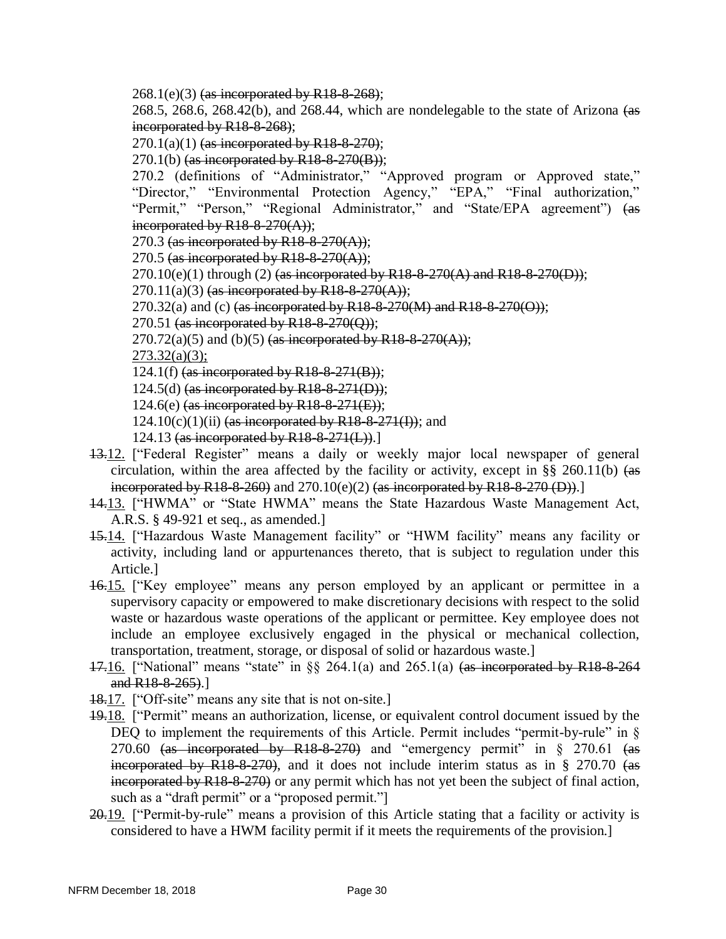$268.1(e)(3)$  (as incorporated by R18-8-268);

268.5, 268.6, 268.42(b), and 268.44, which are nondelegable to the state of Arizona  $(a\overline{s})$ incorporated by R18-8-268);

 $270.1(a)(1)$  (as incorporated by R18-8-270);

 $270.1(b)$  (as incorporated by R18-8-270(B));

270.2 (definitions of "Administrator," "Approved program or Approved state," "Director," "Environmental Protection Agency," "EPA," "Final authorization," "Permit," "Person," "Regional Administrator," and "State/EPA agreement") (as incorporated by  $R18-8-270(A)$ ;

270.3 (as incorporated by R18-8-270(A));

270.5 (as incorporated by  $R18-8-270(A)$ );

 $270.10(e)(1)$  through (2) (as incorporated by R18-8-270(A) and R18-8-270(D));

 $270.11(a)(3)$  (as incorporated by R18-8-270(A));

270.32(a) and (c) (as incorporated by R18-8-270(M) and R18-8-270(O));

270.51 (as incorporated by  $R18-8-270(Q)$ );

 $270.72(a)(5)$  and (b)(5) (as incorporated by R18-8-270(A));

 $273.32(a)(3)$ ;

124.1(f) (as incorporated by R18-8-271(B));

 $124.5(d)$  (as incorporated by R18-8-271(D));

124.6(e) (as incorporated by  $R18-8-271(E)$ );

- $124.10(c)(1)(ii)$  (as incorporated by R18-8-271(I)); and
- 124.13 (as incorporated by  $R18-8-271(L)$ ).
- 13.12. ["Federal Register" means a daily or weekly major local newspaper of general circulation, within the area affected by the facility or activity, except in  $\S$ § 260.11(b) (as incorporated by R18-8-260) and  $270.10(e)(2)$  (as incorporated by R18-8-270 (D)).
- 14.13. ["HWMA" or "State HWMA" means the State Hazardous Waste Management Act, A.R.S. § 49-921 et seq., as amended.]
- 15.14. ["Hazardous Waste Management facility" or "HWM facility" means any facility or activity, including land or appurtenances thereto, that is subject to regulation under this Article.]
- 16.15. ["Key employee" means any person employed by an applicant or permittee in a supervisory capacity or empowered to make discretionary decisions with respect to the solid waste or hazardous waste operations of the applicant or permittee. Key employee does not include an employee exclusively engaged in the physical or mechanical collection, transportation, treatment, storage, or disposal of solid or hazardous waste.]
- 17.16. ["National" means "state" in  $\S 264.1(a)$  and  $265.1(a)$  (as incorporated by R18-8-264 and R<sub>18</sub>-8-265).]
- 18.17. ["Off-site" means any site that is not on-site.]
- 19.18. ["Permit" means an authorization, license, or equivalent control document issued by the DEQ to implement the requirements of this Article. Permit includes "permit-by-rule" in § 270.60  $\frac{1}{4}$  incorporated by R18-8-270) and "emergency permit" in § 270.61  $\frac{1}{4}$ incorporated by R18-8-270), and it does not include interim status as in  $\S$  270.70 (as  $\frac{1}{2}$  incorporated by R18-8-270) or any permit which has not yet been the subject of final action, such as a "draft permit" or a "proposed permit."
- 20.19. ["Permit-by-rule" means a provision of this Article stating that a facility or activity is considered to have a HWM facility permit if it meets the requirements of the provision.]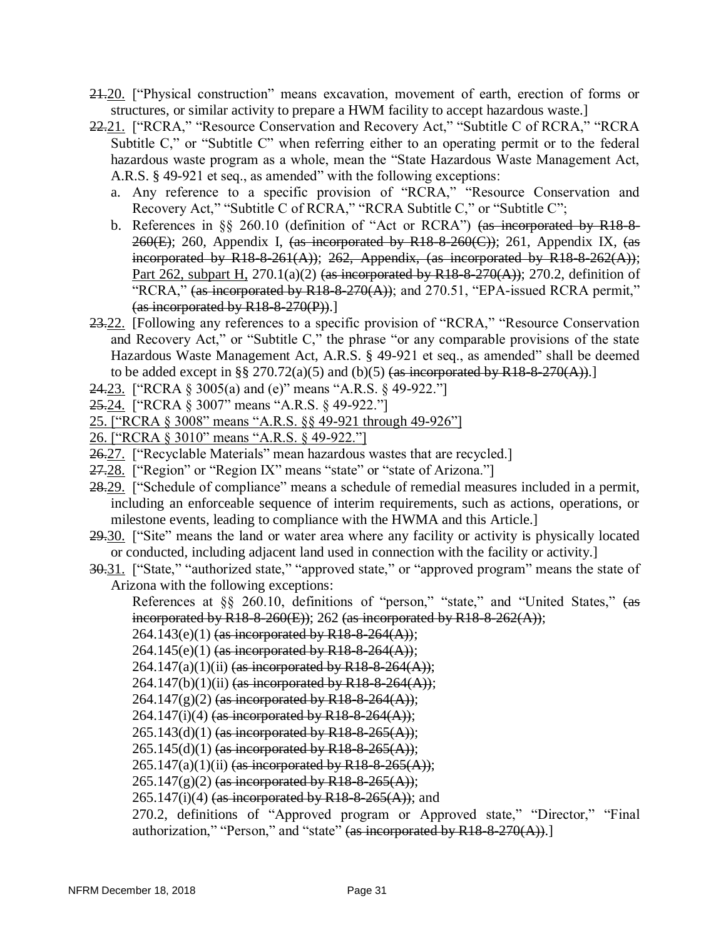- 21.20. ["Physical construction" means excavation, movement of earth, erection of forms or structures, or similar activity to prepare a HWM facility to accept hazardous waste.]
- 22.21. ["RCRA," "Resource Conservation and Recovery Act," "Subtitle C of RCRA," "RCRA Subtitle C," or "Subtitle C" when referring either to an operating permit or to the federal hazardous waste program as a whole, mean the "State Hazardous Waste Management Act, A.R.S. § 49-921 et seq., as amended" with the following exceptions:
	- a. Any reference to a specific provision of "RCRA," "Resource Conservation and Recovery Act," "Subtitle C of RCRA," "RCRA Subtitle C," or "Subtitle C";
	- b. References in §§ 260.10 (definition of "Act or RCRA") (as incorporated by R18-8-  $260(E)$ ; 260, Appendix I, (as incorporated by R18-8-260(C)); 261, Appendix IX, (as incorporated by R18-8-261(A)); 262, Appendix, (as incorporated by R18-8-262(A)); Part 262, subpart H, 270.1(a)(2) (as incorporated by R18-8-270(A)); 270.2, definition of "RCRA," (as incorporated by R18-8-270(A)); and 270.51, "EPA-issued RCRA permit,"  $(as incorported by R18-8-270(P)).$
- 23.22. [Following any references to a specific provision of "RCRA," "Resource Conservation and Recovery Act," or "Subtitle C," the phrase "or any comparable provisions of the state Hazardous Waste Management Act, A.R.S. § 49-921 et seq., as amended" shall be deemed to be added except in §§ 270.72(a)(5) and (b)(5)  $\left($ as incorporated by R18-8-270(A)).
- 24.23. ["RCRA § 3005(a) and (e)" means "A.R.S. § 49-922."]
- 25.24. ["RCRA § 3007" means "A.R.S. § 49-922."]
- 25. ["RCRA § 3008" means "A.R.S. §§ 49-921 through 49-926"]
- 26. ["RCRA § 3010" means "A.R.S. § 49-922."]
- 26.27. ["Recyclable Materials" mean hazardous wastes that are recycled.]
- 27.28. ["Region" or "Region IX" means "state" or "state of Arizona."]
- 28.29. ["Schedule of compliance" means a schedule of remedial measures included in a permit, including an enforceable sequence of interim requirements, such as actions, operations, or milestone events, leading to compliance with the HWMA and this Article.]
- 29.30. ["Site" means the land or water area where any facility or activity is physically located or conducted, including adjacent land used in connection with the facility or activity.]
- 30.31. ["State," "authorized state," "approved state," or "approved program" means the state of Arizona with the following exceptions:

References at §§ 260.10, definitions of "person," "state," and "United States," (as incorporated by R18-8-260(E)); 262 (as incorporated by R18-8-262(A));

 $264.143(e)(1)$  (as incorporated by R18-8-264(A));

- $264.145(e)(1)$  (as incorporated by R18-8-264(A));
- $264.147(a)(1)(ii)$  (as incorporated by R18-8-264(A));
- 264.147(b)(1)(ii) (as incorporated by R18-8-264(A));
- $264.147(g)(2)$  (as incorporated by R18-8-264(A));
- 264.147(i)(4) (as incorporated by R18-8-264(A));
- $265.143(d)(1)$  (as incorporated by R18-8-265(A));
- $265.145(d)(1)$  (as incorporated by R18-8-265(A));

 $265.147(a)(1)(ii)$  (as incorporated by R18-8-265(A));

 $265.147(g)(2)$  (as incorporated by R18-8-265(A));

 $265.147(i)(4)$  (as incorporated by R18-8-265(A)); and

270.2, definitions of "Approved program or Approved state," "Director," "Final authorization," "Person," and "state" (as incorporated by  $R18-8-270(A)$ ).]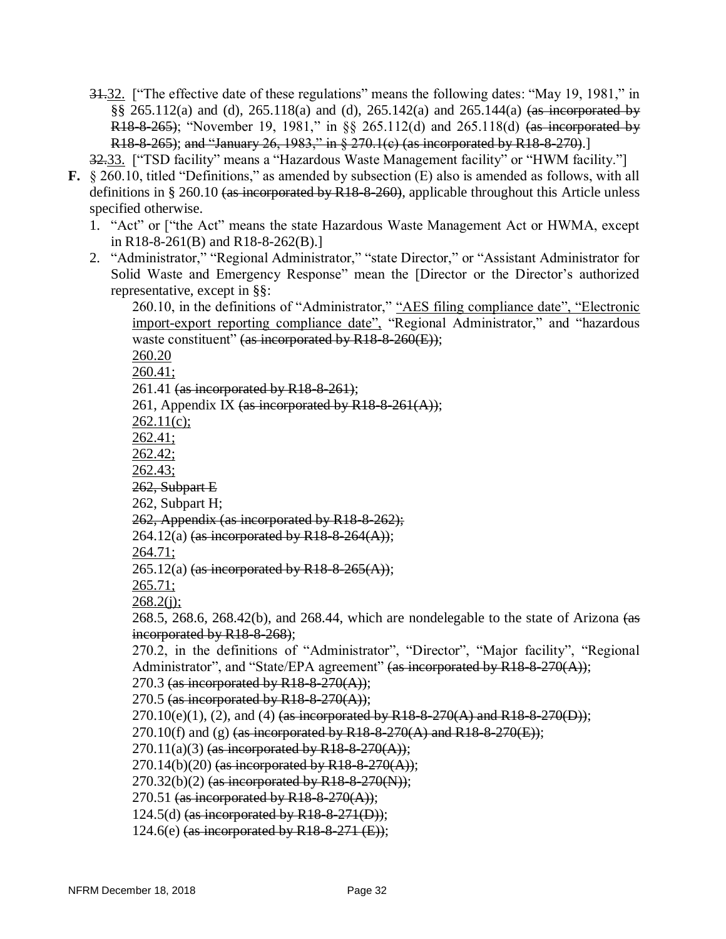31.32. ["The effective date of these regulations" means the following dates: "May 19, 1981," in §§ 265.112(a) and (d), 265.118(a) and (d), 265.142(a) and 265.144(a) <del>(as incorporated by</del> R18-8-265); "November 19, 1981," in §§ 265.112(d) and 265.118(d) (as incorporated by R18-8-265); and "January 26, 1983," in § 270.1(c) (as incorporated by R18-8-270).]

32.33. ["TSD facility" means a "Hazardous Waste Management facility" or "HWM facility."]

- **F.** § 260.10, titled "Definitions," as amended by subsection (E) also is amended as follows, with all definitions in § 260.10 (as incorporated by R18-8-260), applicable throughout this Article unless specified otherwise.
	- 1. "Act" or ["the Act" means the state Hazardous Waste Management Act or HWMA, except in R18-8-261(B) and R18-8-262(B).]
	- 2. "Administrator," "Regional Administrator," "state Director," or "Assistant Administrator for Solid Waste and Emergency Response" mean the [Director or the Director's authorized representative, except in §§:

260.10, in the definitions of "Administrator," "AES filing compliance date", "Electronic import-export reporting compliance date", "Regional Administrator," and "hazardous waste constituent" (as incorporated by R18-8-260(E)); 260.20

260.41;

261.41 (as incorporated by R18-8-261);

261, Appendix IX (as incorporated by R18-8-261(A));

 $262.11(c)$ ;

262.41;

262.42;

262.43;

262, Subpart E

262, Subpart H;

262, Appendix (as incorporated by R18-8-262);

264.12(a) (as incorporated by R18-8-264 $(A)$ );

264.71;

 $265.12(a)$  (as incorporated by R18-8-265(A));

265.71;

 $268.2(i);$ 

268.5, 268.6, 268.42(b), and 268.44, which are nondelegable to the state of Arizona  $(a\ddot{s})$ incorporated by R18-8-268);

270.2, in the definitions of "Administrator", "Director", "Major facility", "Regional Administrator", and "State/EPA agreement" (as incorporated by R18-8-270(A));

270.3 (as incorporated by R18-8-270(A));

270.5 (as incorporated by  $R18-8-270(A)$ );

 $270.10(e)(1)$ , (2), and (4) (as incorporated by R18-8-270(A) and R18-8-270(D));

270.10(f) and (g)  $\frac{4a}{100}$  (as incorporated by R18-8-270(A) and R18-8-270(E));

 $270.11(a)(3)$  (as incorporated by R18-8-270(A));

 $270.14(b)(20)$  (as incorporated by R18-8-270(A));

 $270.32(b)(2)$  (as incorporated by R18-8-270(N));

270.51 (as incorporated by  $R18-8-270(A)$ );

124.5(d) (as incorporated by  $R18-8-271(D)$ );

124.6(e) (as incorporated by R18-8-271  $(E)$ );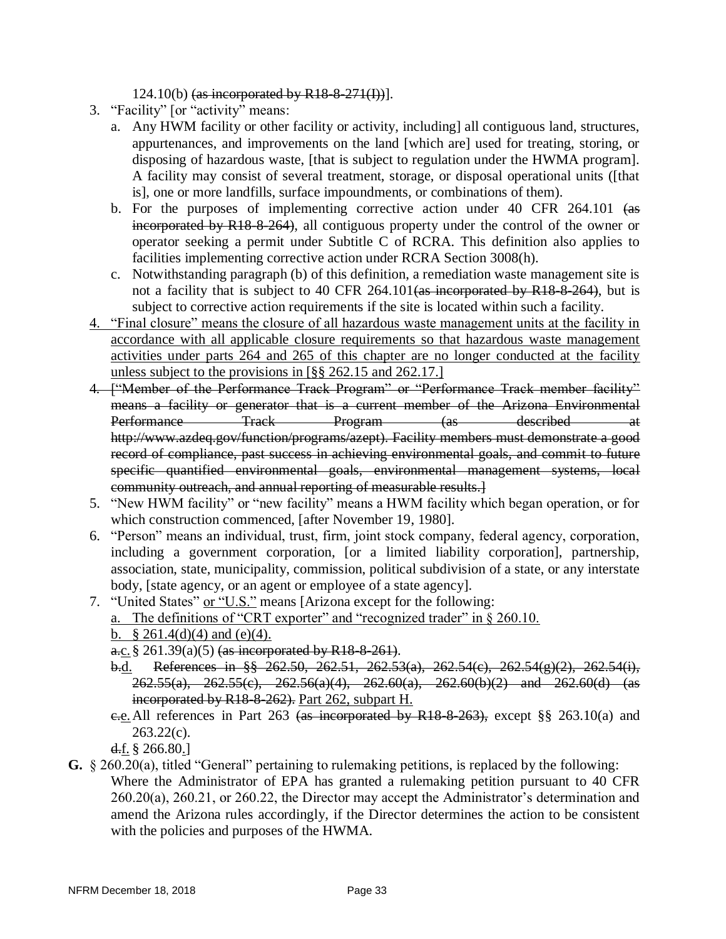124.10(b) (as incorporated by  $R18-8-271(I))$ ].

- 3. "Facility" [or "activity" means:
	- a. Any HWM facility or other facility or activity, including] all contiguous land, structures, appurtenances, and improvements on the land [which are] used for treating, storing, or disposing of hazardous waste, [that is subject to regulation under the HWMA program]. A facility may consist of several treatment, storage, or disposal operational units ([that is], one or more landfills, surface impoundments, or combinations of them).
	- b. For the purposes of implementing corrective action under 40 CFR 264.101 (as incorporated by R18-8-264), all contiguous property under the control of the owner or operator seeking a permit under Subtitle C of RCRA. This definition also applies to facilities implementing corrective action under RCRA Section 3008(h).
	- c. Notwithstanding paragraph (b) of this definition, a remediation waste management site is not a facility that is subject to 40 CFR 264.101 (as incorporated by R18-8-264), but is subject to corrective action requirements if the site is located within such a facility.
- 4. "Final closure" means the closure of all hazardous waste management units at the facility in accordance with all applicable closure requirements so that hazardous waste management activities under parts 264 and 265 of this chapter are no longer conducted at the facility unless subject to the provisions in [§§ 262.15 and 262.17.]
- 4*.* ["Member of the Performance Track Program" or "Performance Track member facility" means a facility or generator that is a current member of the Arizona Environmental Performance Track Program (as described at http://www.azdeq.gov/function/programs/azept). Facility members must demonstrate a good record of compliance, past success in achieving environmental goals, and commit to future specific quantified environmental goals, environmental management systems, local community outreach, and annual reporting of measurable results.]
- 5. "New HWM facility" or "new facility" means a HWM facility which began operation, or for which construction commenced, [after November 19, 1980].
- 6. "Person" means an individual, trust, firm, joint stock company, federal agency, corporation, including a government corporation, [or a limited liability corporation], partnership, association, state, municipality, commission, political subdivision of a state, or any interstate body, [state agency, or an agent or employee of a state agency].
- 7. "United States" or "U.S." means [Arizona except for the following: a. The definitions of "CRT exporter" and "recognized trader" in § 260.10. b.  $§ 261.4(d)(4)$  and (e)(4).
	- $a_{c.}$ § 261.39(a)(5) (as incorporated by R18-8-261).
	- b.d. References in §§ 262.50, 262.51, 262.53(a), 262.54(c), 262.54(g)(2), 262.54(i),  $262.55(a)$ ,  $262.55(c)$ ,  $262.56(a)(4)$ ,  $262.60(a)$ ,  $262.60(b)(2)$  and  $262.60(d)$  (as incorporated by R18-8-262). Part 262, subpart H.
	- e.e. All references in Part 263 (as incorporated by R18-8-263), except §§ 263.10(a) and  $263.22(c)$ .

d.f.  $§$  266.80.]

**G.** § 260.20(a), titled "General" pertaining to rulemaking petitions, is replaced by the following: Where the Administrator of EPA has granted a rulemaking petition pursuant to 40 CFR 260.20(a), 260.21, or 260.22, the Director may accept the Administrator's determination and amend the Arizona rules accordingly, if the Director determines the action to be consistent with the policies and purposes of the HWMA.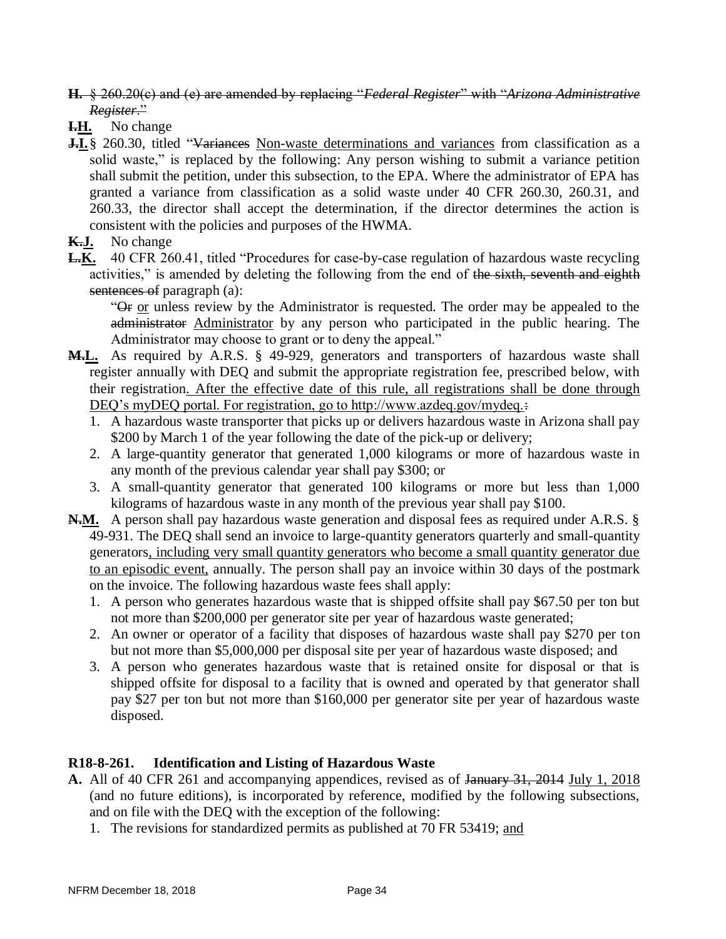- **H.** § 260.20(c) and (e) are amended by replacing "*Federal Register*" with "*Arizona Administrative Register*."
- **I.H.** No change
- **J.I.**§ 260.30, titled "Variances Non-waste determinations and variances from classification as a solid waste," is replaced by the following: Any person wishing to submit a variance petition shall submit the petition, under this subsection, to the EPA. Where the administrator of EPA has granted a variance from classification as a solid waste under 40 CFR 260.30, 260.31, and 260.33, the director shall accept the determination, if the director determines the action is consistent with the policies and purposes of the HWMA.
- **K.J.** No change
- **L.K.** 40 CFR 260.41, titled "Procedures for case-by-case regulation of hazardous waste recycling activities," is amended by deleting the following from the end of the sixth, seventh and eighth sentences of paragraph (a):

"Or or unless review by the Administrator is requested. The order may be appealed to the administrator Administrator by any person who participated in the public hearing. The Administrator may choose to grant or to deny the appeal."

- **M.L.** As required by A.R.S. § 49-929, generators and transporters of hazardous waste shall register annually with DEQ and submit the appropriate registration fee, prescribed below, with their registration. After the effective date of this rule, all registrations shall be done through DEQ's myDEQ portal. For registration, go to http://www.azdeq.gov/mydeq. $\div$ 
	- 1. A hazardous waste transporter that picks up or delivers hazardous waste in Arizona shall pay \$200 by March 1 of the year following the date of the pick-up or delivery;
	- 2. A large-quantity generator that generated 1,000 kilograms or more of hazardous waste in any month of the previous calendar year shall pay \$300; or
	- 3. A small-quantity generator that generated 100 kilograms or more but less than 1,000 kilograms of hazardous waste in any month of the previous year shall pay \$100.
- **N.M.** A person shall pay hazardous waste generation and disposal fees as required under A.R.S. § 49-931. The DEQ shall send an invoice to large-quantity generators quarterly and small-quantity generators, including very small quantity generators who become a small quantity generator due to an episodic event, annually. The person shall pay an invoice within 30 days of the postmark on the invoice. The following hazardous waste fees shall apply:
	- 1. A person who generates hazardous waste that is shipped offsite shall pay \$67.50 per ton but not more than \$200,000 per generator site per year of hazardous waste generated;
	- 2. An owner or operator of a facility that disposes of hazardous waste shall pay \$270 per ton but not more than \$5,000,000 per disposal site per year of hazardous waste disposed; and
	- 3. A person who generates hazardous waste that is retained onsite for disposal or that is shipped offsite for disposal to a facility that is owned and operated by that generator shall pay \$27 per ton but not more than \$160,000 per generator site per year of hazardous waste disposed.

### **R18-8-261. Identification and Listing of Hazardous Waste**

- **A.** All of 40 CFR 261 and accompanying appendices, revised as of January 31, 2014 July 1, 2018 (and no future editions), is incorporated by reference, modified by the following subsections, and on file with the DEQ with the exception of the following:
	- 1. The revisions for standardized permits as published at 70 FR 53419; and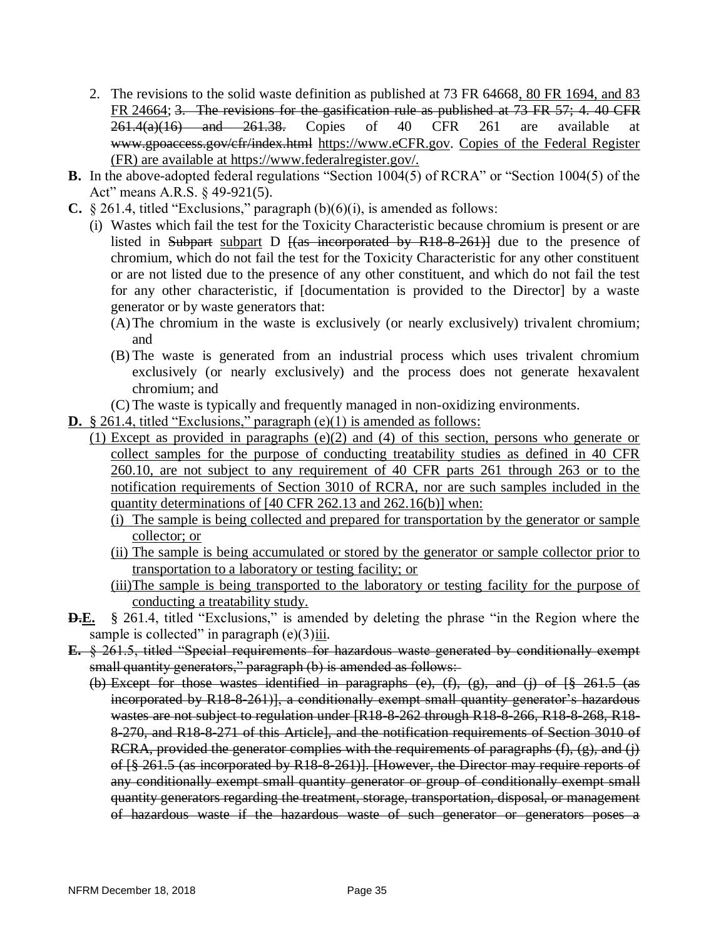- 2. The revisions to the solid waste definition as published at 73 FR 64668, 80 FR 1694, and 83 FR 24664; 3. The revisions for the gasification rule as published at 73 FR 57; 4. 40 CFR  $261.4(a)(16)$  and  $261.38$ . Copies of 40 CFR 261 are available at www.gpoaccess.gov/cfr/index.html [https://www.eCFR.gov.](https://www.ecfr.gov/) Copies of the Federal Register (FR) are available at https://www.federalregister.gov/.
- **B.** In the above-adopted federal regulations "Section 1004(5) of RCRA" or "Section 1004(5) of the Act" means A.R.S. § 49-921(5).
- **C.** § 261.4, titled "Exclusions," paragraph (b)(6)(i), is amended as follows:
	- (i) Wastes which fail the test for the Toxicity Characteristic because chromium is present or are listed in Subpart subpart D  $\frac{1}{a}$  incorporated by R18-8-261) due to the presence of chromium, which do not fail the test for the Toxicity Characteristic for any other constituent or are not listed due to the presence of any other constituent, and which do not fail the test for any other characteristic, if [documentation is provided to the Director] by a waste generator or by waste generators that:
		- (A)The chromium in the waste is exclusively (or nearly exclusively) trivalent chromium; and
		- (B) The waste is generated from an industrial process which uses trivalent chromium exclusively (or nearly exclusively) and the process does not generate hexavalent chromium; and
		- (C) The waste is typically and frequently managed in non-oxidizing environments.
- **D.** § 261.4, titled "Exclusions," paragraph (e)(1) is amended as follows:
	- (1) Except as provided in paragraphs (e)(2) and (4) of this section, persons who generate or collect samples for the purpose of conducting treatability studies as defined in 40 CFR 260.10, are not subject to any requirement of 40 CFR parts 261 through 263 or to the notification requirements of Section 3010 of RCRA, nor are such samples included in the quantity determinations of [40 CFR 262.13 and 262.16(b)] when:
		- (i) The sample is being collected and prepared for transportation by the generator or sample collector; or
		- (ii) The sample is being accumulated or stored by the generator or sample collector prior to transportation to a laboratory or testing facility; or
		- (iii)The sample is being transported to the laboratory or testing facility for the purpose of conducting a treatability study.
- **D.E.** § 261.4, titled "Exclusions," is amended by deleting the phrase "in the Region where the sample is collected" in paragraph  $(e)(3)$ iii.
- **E.** § 261.5, titled "Special requirements for hazardous waste generated by conditionally exempt small quantity generators," paragraph (b) is amended as follows:-
	- (b) Except for those wastes identified in paragraphs (e),  $(f)$ ,  $(g)$ , and  $(j)$  of  $\frac{18}{3}$  261.5 (as incorporated by R18-8-261)], a conditionally exempt small quantity generator's hazardous wastes are not subject to regulation under [R18-8-262 through R18-8-266, R18-8-268, R18-8-270, and R18-8-271 of this Article], and the notification requirements of Section 3010 of RCRA, provided the generator complies with the requirements of paragraphs  $(f)$ ,  $(g)$ , and  $(j)$ of [§ 261.5 (as incorporated by R18-8-261)]. [However, the Director may require reports of any conditionally exempt small quantity generator or group of conditionally exempt small quantity generators regarding the treatment, storage, transportation, disposal, or management of hazardous waste if the hazardous waste of such generator or generators poses a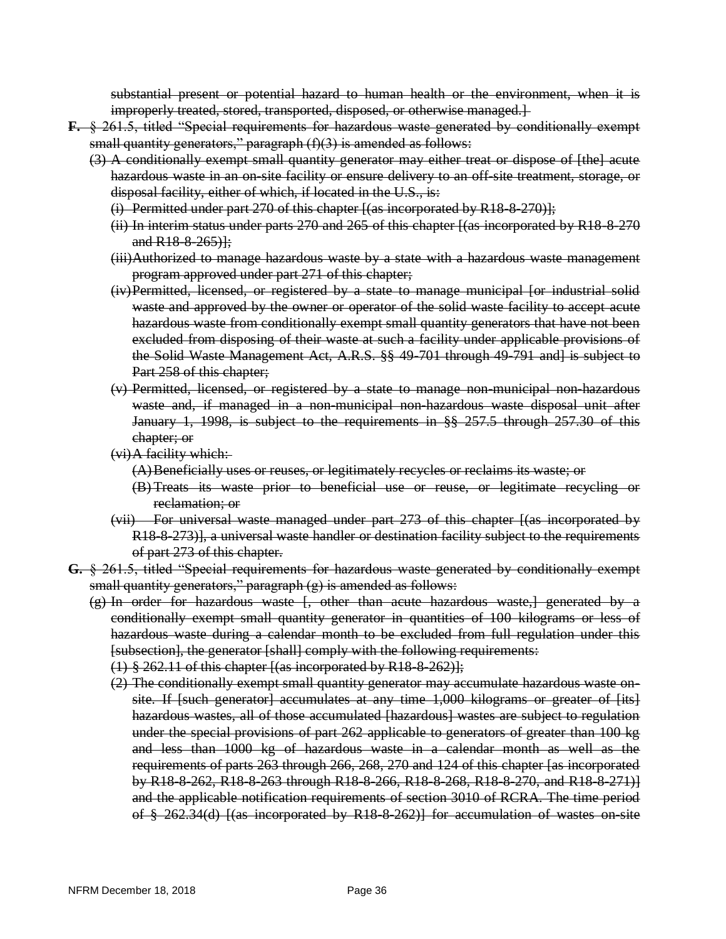substantial present or potential hazard to human health or the environment, when it is improperly treated, stored, transported, disposed, or otherwise managed.]

- **F.** § 261.5, titled "Special requirements for hazardous waste generated by conditionally exempt small quantity generators," paragraph  $(f)(3)$  is amended as follows:
	- (3) A conditionally exempt small quantity generator may either treat or dispose of [the] acute hazardous waste in an on-site facility or ensure delivery to an off-site treatment, storage, or disposal facility, either of which, if located in the U.S., is:
		- (i) Permitted under part  $270$  of this chapter  $[(as\text{ incorrected by R18-8-270)}];$
		- (ii) In interim status under parts 270 and 265 of this chapter [(as incorporated by R18-8-270 and  $R18-8-265$ }};
		- (iii)Authorized to manage hazardous waste by a state with a hazardous waste management program approved under part 271 of this chapter;
		- (iv)Permitted, licensed, or registered by a state to manage municipal [or industrial solid waste and approved by the owner or operator of the solid waste facility to accept acute hazardous waste from conditionally exempt small quantity generators that have not been excluded from disposing of their waste at such a facility under applicable provisions of the Solid Waste Management Act, A.R.S. §§ 49-701 through 49-791 and] is subject to Part 258 of this chapter;
		- (v) Permitted, licensed, or registered by a state to manage non-municipal non-hazardous waste and, if managed in a non-municipal non-hazardous waste disposal unit after January 1, 1998, is subject to the requirements in §§ 257.5 through 257.30 of this chapter; or
		- (vi)A facility which:
			- (A)Beneficially uses or reuses, or legitimately recycles or reclaims its waste; or
			- (B) Treats its waste prior to beneficial use or reuse, or legitimate recycling or reclamation; or
		- (vii) For universal waste managed under part 273 of this chapter [(as incorporated by R18-8-273)], a universal waste handler or destination facility subject to the requirements of part 273 of this chapter.
- **G.** § 261.5, titled "Special requirements for hazardous waste generated by conditionally exempt small quantity generators," paragraph (g) is amended as follows:
	- (g) In order for hazardous waste [, other than acute hazardous waste,] generated by a conditionally exempt small quantity generator in quantities of 100 kilograms or less of hazardous waste during a calendar month to be excluded from full regulation under this [subsection], the generator [shall] comply with the following requirements:
		- $(1)$  § 262.11 of this chapter  $[(as\text{ incorrected by R18-8-262)}];$
		- (2) The conditionally exempt small quantity generator may accumulate hazardous waste onsite. If [such generator] accumulates at any time 1,000 kilograms or greater of [its] hazardous wastes, all of those accumulated [hazardous] wastes are subject to regulation under the special provisions of part 262 applicable to generators of greater than 100 kg and less than 1000 kg of hazardous waste in a calendar month as well as the requirements of parts 263 through 266, 268, 270 and 124 of this chapter [as incorporated by R18-8-262, R18-8-263 through R18-8-266, R18-8-268, R18-8-270, and R18-8-271)] and the applicable notification requirements of section 3010 of RCRA. The time period of § 262.34(d) [(as incorporated by R18-8-262)] for accumulation of wastes on-site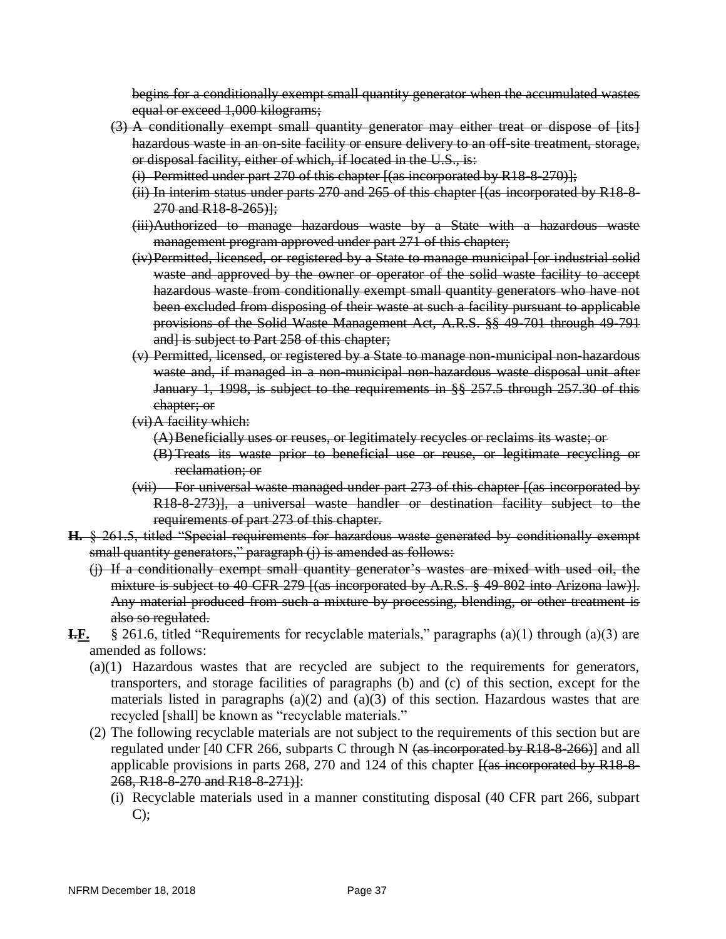begins for a conditionally exempt small quantity generator when the accumulated wastes equal or exceed 1,000 kilograms;

- (3) A conditionally exempt small quantity generator may either treat or dispose of [its] hazardous waste in an on-site facility or ensure delivery to an off-site treatment, storage, or disposal facility, either of which, if located in the U.S., is:
	- (i) Permitted under part 270 of this chapter  $[(as\text{ incorrected by R18-8-270)}];$
	- (ii) In interim status under parts 270 and 265 of this chapter [(as incorporated by R18-8-  $270$  and R18-8-265)];
	- (iii)Authorized to manage hazardous waste by a State with a hazardous waste management program approved under part 271 of this chapter;
	- (iv)Permitted, licensed, or registered by a State to manage municipal [or industrial solid waste and approved by the owner or operator of the solid waste facility to accept hazardous waste from conditionally exempt small quantity generators who have not been excluded from disposing of their waste at such a facility pursuant to applicable provisions of the Solid Waste Management Act, A.R.S. §§ 49-701 through 49-791 and] is subject to Part 258 of this chapter;
	- (v) Permitted, licensed, or registered by a State to manage non-municipal non-hazardous waste and, if managed in a non-municipal non-hazardous waste disposal unit after January 1, 1998, is subject to the requirements in §§ 257.5 through 257.30 of this chapter; or
	- (vi)A facility which:
		- (A)Beneficially uses or reuses, or legitimately recycles or reclaims its waste; or
		- (B) Treats its waste prior to beneficial use or reuse, or legitimate recycling or reclamation; or
	- (vii) For universal waste managed under part 273 of this chapter [(as incorporated by R18-8-273)], a universal waste handler or destination facility subject to the requirements of part 273 of this chapter.
- **H.** § 261.5, titled "Special requirements for hazardous waste generated by conditionally exempt small quantity generators," paragraph (j) is amended as follows:
	- (j) If a conditionally exempt small quantity generator's wastes are mixed with used oil, the mixture is subject to 40 CFR 279 [(as incorporated by A.R.S. § 49 802 into Arizona law)]. Any material produced from such a mixture by processing, blending, or other treatment is also so regulated.
- **I.F.** § 261.6, titled "Requirements for recyclable materials," paragraphs (a)(1) through (a)(3) are amended as follows:
	- (a)(1) Hazardous wastes that are recycled are subject to the requirements for generators, transporters, and storage facilities of paragraphs (b) and (c) of this section, except for the materials listed in paragraphs (a)(2) and (a)(3) of this section. Hazardous wastes that are recycled [shall] be known as "recyclable materials."
	- (2) The following recyclable materials are not subject to the requirements of this section but are regulated under [40 CFR 266, subparts C through N  $(as$  incorporated by R18-8-266)] and all applicable provisions in parts 268, 270 and 124 of this chapter  $\frac{1}{4}$  (as incorporated by R18-8-268, R18-8-270 and R18-8-271)]:
		- (i) Recyclable materials used in a manner constituting disposal (40 CFR part 266, subpart  $C$ );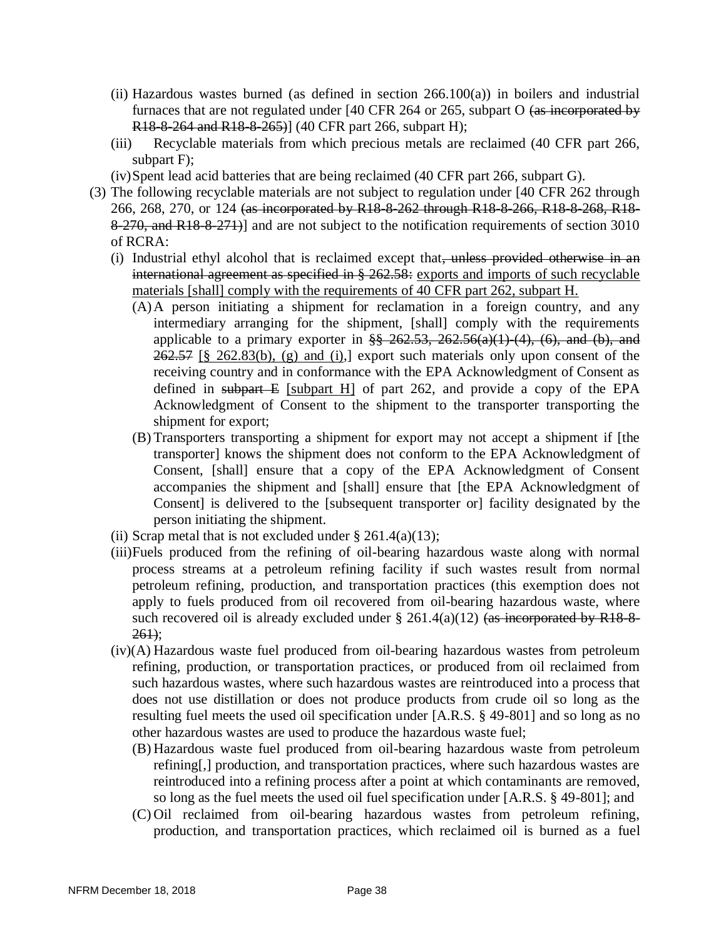- (ii) Hazardous wastes burned (as defined in section  $266.100(a)$ ) in boilers and industrial furnaces that are not regulated under [40 CFR 264 or 265, subpart O (as incorporated by R18-8-264 and R18-8-265)] (40 CFR part 266, subpart H);
- (iii) Recyclable materials from which precious metals are reclaimed (40 CFR part 266, subpart F);
- (iv)Spent lead acid batteries that are being reclaimed (40 CFR part 266, subpart G).
- (3) The following recyclable materials are not subject to regulation under [40 CFR 262 through 266, 268, 270, or 124 (as incorporated by R18-8-262 through R18-8-266, R18-8-268, R18-8-270, and R18-8-271)] and are not subject to the notification requirements of section 3010 of RCRA:
	- (i) Industrial ethyl alcohol that is reclaimed except that, unless provided otherwise in an international agreement as specified in § 262.58: exports and imports of such recyclable materials [shall] comply with the requirements of 40 CFR part 262, subpart H.
		- (A)A person initiating a shipment for reclamation in a foreign country, and any intermediary arranging for the shipment, [shall] comply with the requirements applicable to a primary exporter in  $\frac{88}{8}$  262.53, 262.56(a)(1)-(4), (6), and (b), and  $262.57$  [§ 262.83(b), (g) and (i),] export such materials only upon consent of the receiving country and in conformance with the EPA Acknowledgment of Consent as defined in subpart  $E$  [subpart H] of part 262, and provide a copy of the EPA Acknowledgment of Consent to the shipment to the transporter transporting the shipment for export;
		- (B) Transporters transporting a shipment for export may not accept a shipment if [the transporter] knows the shipment does not conform to the EPA Acknowledgment of Consent, [shall] ensure that a copy of the EPA Acknowledgment of Consent accompanies the shipment and [shall] ensure that [the EPA Acknowledgment of Consent] is delivered to the [subsequent transporter or] facility designated by the person initiating the shipment.
	- (ii) Scrap metal that is not excluded under  $\S 261.4(a)(13)$ ;
	- (iii)Fuels produced from the refining of oil-bearing hazardous waste along with normal process streams at a petroleum refining facility if such wastes result from normal petroleum refining, production, and transportation practices (this exemption does not apply to fuels produced from oil recovered from oil-bearing hazardous waste, where such recovered oil is already excluded under  $\S$  261.4(a)(12) (as incorporated by R18-8- $261$ :
	- (iv)(A) Hazardous waste fuel produced from oil-bearing hazardous wastes from petroleum refining, production, or transportation practices, or produced from oil reclaimed from such hazardous wastes, where such hazardous wastes are reintroduced into a process that does not use distillation or does not produce products from crude oil so long as the resulting fuel meets the used oil specification under [A.R.S. § 49-801] and so long as no other hazardous wastes are used to produce the hazardous waste fuel;
		- (B) Hazardous waste fuel produced from oil-bearing hazardous waste from petroleum refining[,] production, and transportation practices, where such hazardous wastes are reintroduced into a refining process after a point at which contaminants are removed, so long as the fuel meets the used oil fuel specification under [A.R.S. § 49-801]; and
		- (C) Oil reclaimed from oil-bearing hazardous wastes from petroleum refining, production, and transportation practices, which reclaimed oil is burned as a fuel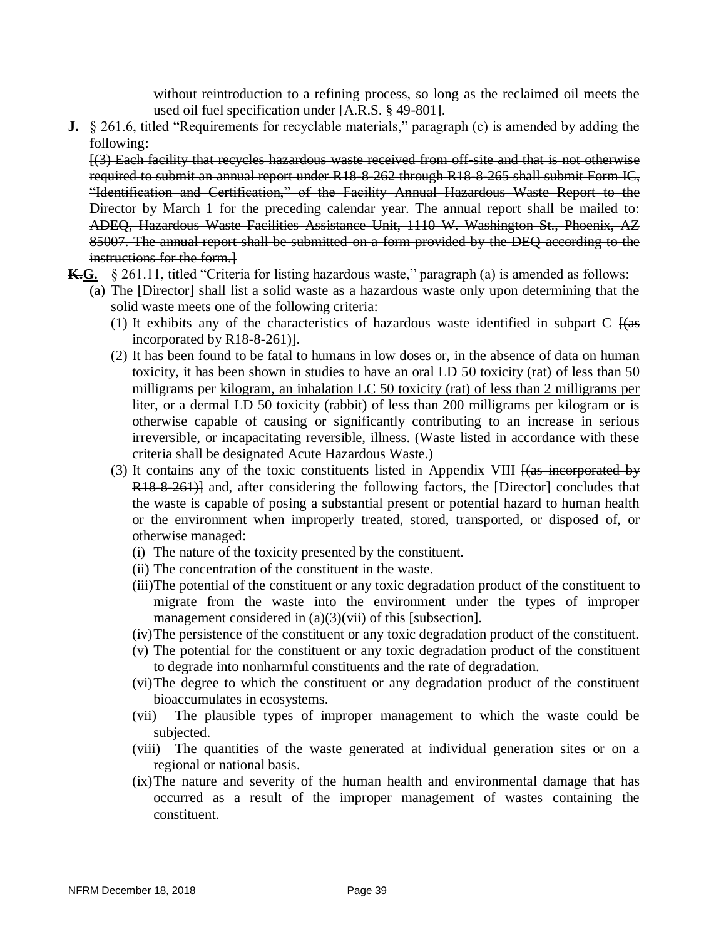without reintroduction to a refining process, so long as the reclaimed oil meets the used oil fuel specification under [A.R.S. § 49-801].

**J.** § 261.6, titled "Requirements for recyclable materials," paragraph (e) is amended by adding the following:

[(3) Each facility that recycles hazardous waste received from off-site and that is not otherwise required to submit an annual report under R18-8-262 through R18-8-265 shall submit Form IC, "Identification and Certification," of the Facility Annual Hazardous Waste Report to the Director by March 1 for the preceding calendar year. The annual report shall be mailed to: ADEQ, Hazardous Waste Facilities Assistance Unit, 1110 W. Washington St., Phoenix, AZ 85007. The annual report shall be submitted on a form provided by the DEQ according to the instructions for the form.]

- **K.G.** § 261.11, titled "Criteria for listing hazardous waste," paragraph (a) is amended as follows:
	- (a) The [Director] shall list a solid waste as a hazardous waste only upon determining that the solid waste meets one of the following criteria:
		- (1) It exhibits any of the characteristics of hazardous waste identified in subpart  $C \text{ [(as]}$ incorporated by R<sub>18-8-261</sub>).
		- (2) It has been found to be fatal to humans in low doses or, in the absence of data on human toxicity, it has been shown in studies to have an oral LD 50 toxicity (rat) of less than 50 milligrams per kilogram, an inhalation LC 50 toxicity (rat) of less than 2 milligrams per liter, or a dermal LD 50 toxicity (rabbit) of less than 200 milligrams per kilogram or is otherwise capable of causing or significantly contributing to an increase in serious irreversible, or incapacitating reversible, illness. (Waste listed in accordance with these criteria shall be designated Acute Hazardous Waste.)
		- (3) It contains any of the toxic constituents listed in Appendix VIII  $\frac{1}{4}$  (as incorporated by R18-8-261)] and, after considering the following factors, the [Director] concludes that the waste is capable of posing a substantial present or potential hazard to human health or the environment when improperly treated, stored, transported, or disposed of, or otherwise managed:
			- (i) The nature of the toxicity presented by the constituent.
			- (ii) The concentration of the constituent in the waste.
			- (iii)The potential of the constituent or any toxic degradation product of the constituent to migrate from the waste into the environment under the types of improper management considered in (a)(3)(vii) of this [subsection].
			- (iv)The persistence of the constituent or any toxic degradation product of the constituent.
			- (v) The potential for the constituent or any toxic degradation product of the constituent to degrade into nonharmful constituents and the rate of degradation.
			- (vi)The degree to which the constituent or any degradation product of the constituent bioaccumulates in ecosystems.
			- (vii) The plausible types of improper management to which the waste could be subjected.
			- (viii) The quantities of the waste generated at individual generation sites or on a regional or national basis.
			- (ix)The nature and severity of the human health and environmental damage that has occurred as a result of the improper management of wastes containing the constituent.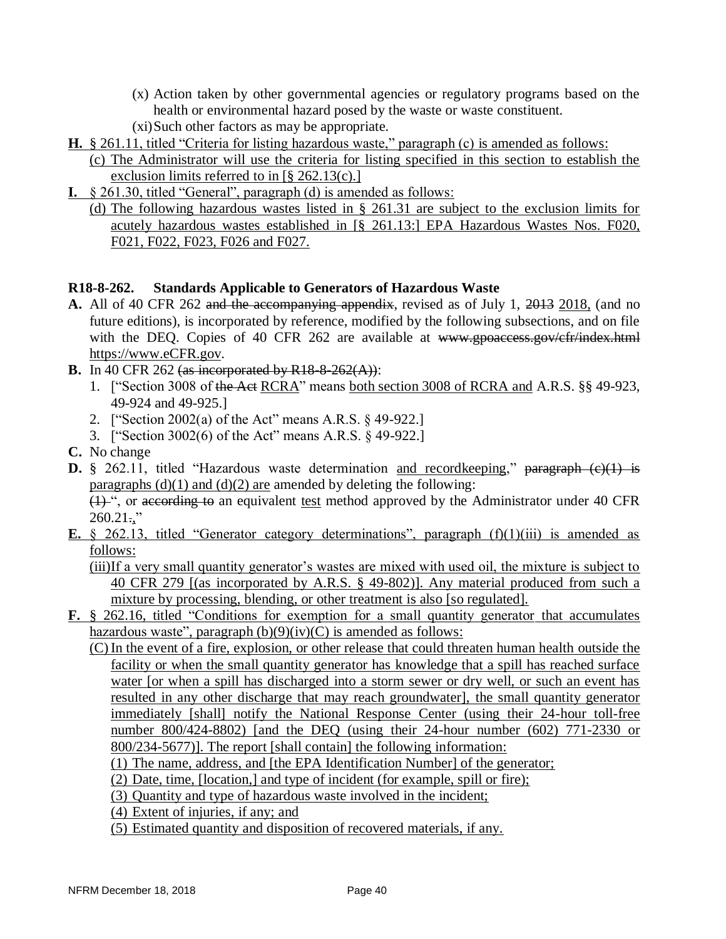- (x) Action taken by other governmental agencies or regulatory programs based on the health or environmental hazard posed by the waste or waste constituent.
- (xi)Such other factors as may be appropriate.
- **H.** § 261.11, titled "Criteria for listing hazardous waste," paragraph (c) is amended as follows:
	- (c) The Administrator will use the criteria for listing specified in this section to establish the exclusion limits referred to in [§ 262.13(c).]
- **I.** § 261.30, titled "General", paragraph (d) is amended as follows:
	- (d) The following hazardous wastes listed in § 261.31 are subject to the exclusion limits for acutely hazardous wastes established in [§ 261.13:] EPA Hazardous Wastes Nos. F020, F021, F022, F023, F026 and F027.

### **R18-8-262. Standards Applicable to Generators of Hazardous Waste**

- **A.** All of 40 CFR 262 and the accompanying appendix, revised as of July 1, 2013 2018, (and no future editions), is incorporated by reference, modified by the following subsections, and on file with the DEQ. Copies of 40 CFR 262 are available at www.gpoaccess.gov/cfr/index.html https://www.eCFR.gov.
- **B.** In 40 CFR 262 (as incorporated by R18-8-262(A)):
	- 1. ["Section 3008 of the Act RCRA" means both section 3008 of RCRA and A.R.S. §§ 49-923, 49-924 and 49-925.]
	- 2. ["Section 2002(a) of the Act" means A.R.S. § 49-922.]
	- 3. ["Section 3002(6) of the Act" means A.R.S. § 49-922.]
- **C.** No change
- **D.** § 262.11, titled "Hazardous waste determination and recordkeeping," paragraph (c)(1) is paragraphs  $(d)(1)$  and  $(d)(2)$  are amended by deleting the following: (1) ", or according to an equivalent test method approved by the Administrator under 40 CFR  $260.21$ ..."
- **E.** § 262.13, titled "Generator category determinations", paragraph (f)(1)(iii) is amended as follows:

(iii)If a very small quantity generator's wastes are mixed with used oil, the mixture is subject to 40 CFR 279 [(as incorporated by A.R.S. § 49-802)]. Any material produced from such a mixture by processing, blending, or other treatment is also [so regulated].

- **F.** § 262.16, titled "Conditions for exemption for a small quantity generator that accumulates hazardous waste", paragraph  $(b)(9)(iv)(C)$  is amended as follows:
	- (C) In the event of a fire, explosion, or other release that could threaten human health outside the facility or when the small quantity generator has knowledge that a spill has reached surface water [or when a spill has discharged into a storm sewer or dry well, or such an event has resulted in any other discharge that may reach groundwater], the small quantity generator immediately [shall] notify the National Response Center (using their 24-hour toll-free number 800/424-8802) [and the DEQ (using their 24-hour number (602) 771-2330 or 800/234-5677)]. The report [shall contain] the following information:
		- (1) The name, address, and [the EPA Identification Number] of the generator;
		- (2) Date, time, [location,] and type of incident (for example, spill or fire);
		- (3) Quantity and type of hazardous waste involved in the incident;
		- (4) Extent of injuries, if any; and
		- (5) Estimated quantity and disposition of recovered materials, if any.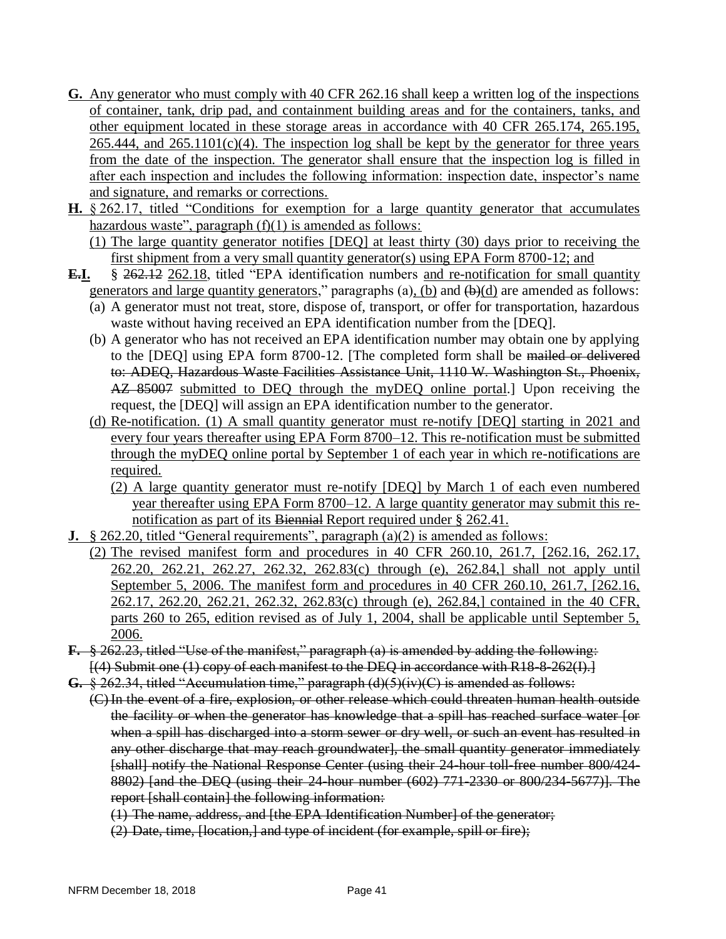- **G.** Any generator who must comply with 40 CFR 262.16 shall keep a written log of the inspections of container, tank, drip pad, and containment building areas and for the containers, tanks, and other equipment located in these storage areas in accordance with 40 CFR 265.174, 265.195,  $265.444$ , and  $265.1101(c)(4)$ . The inspection log shall be kept by the generator for three years from the date of the inspection. The generator shall ensure that the inspection log is filled in after each inspection and includes the following information: inspection date, inspector's name and signature, and remarks or corrections.
- **H.** § 262.17, titled "Conditions for <u>exemption for a large quantity generator</u> that accumulates hazardous waste", paragraph  $(f)(1)$  is amended as follows:

(1) The large quantity generator notifies [DEQ] at least thirty (30) days prior to receiving the first shipment from a very small quantity generator(s) using EPA Form 8700-12; and

- **E.I.** § 262.12 262.18, titled "EPA identification numbers and re-notification for small quantity generators and large quantity generators," paragraphs (a), (b) and  $(\theta)(d)$  are amended as follows:
	- (a) A generator must not treat, store, dispose of, transport, or offer for transportation, hazardous waste without having received an EPA identification number from the [DEQ].
	- (b) A generator who has not received an EPA identification number may obtain one by applying to the [DEQ] using EPA form 8700-12. [The completed form shall be mailed or delivered to: ADEQ, Hazardous Waste Facilities Assistance Unit, 1110 W. Washington St., Phoenix, AZ 85007 submitted to DEQ through the myDEQ online portal. Upon receiving the request, the [DEQ] will assign an EPA identification number to the generator.
	- (d) Re-notification. (1) A small quantity generator must re-notify [DEQ] starting in 2021 and every four years thereafter using EPA Form 8700–12. This re-notification must be submitted through the myDEQ online portal by September 1 of each year in which re-notifications are required.
		- (2) A large quantity generator must re-notify [DEQ] by March 1 of each even numbered year thereafter using EPA Form 8700–12. A large quantity generator may submit this renotification as part of its Biennial Report required under § 262.41.
- **J.** § 262.20, titled "General requirements", paragraph (a)(2) is amended as follows:
	- (2) The revised manifest form and procedures in 40 CFR 260.10, 261.7, [262.16, 262.17, 262.20, 262.21, 262.27, 262.32, 262.83(c) through (e), 262.84,] shall not apply until September 5, 2006. The manifest form and procedures in 40 CFR 260.10, 261.7, [262.16, 262.17, 262.20, 262.21, 262.32, 262.83(c) through (e), 262.84,] contained in the 40 CFR, parts 260 to 265, edition revised as of July 1, 2004, shall be applicable until September 5, 2006.
- **F.** § 262.23, titled "Use of the manifest," paragraph (a) is amended by adding the following:  $[(4)$  Submit one  $(1)$  copy of each manifest to the DEQ in accordance with R18-8-262(I).
- **G.** § 262.34, titled "Accumulation time," paragraph (d)(5)(iv)(C) is amended as follows: (C) In the event of a fire, explosion, or other release which could threaten human health outside the facility or when the generator has knowledge that a spill has reached surface water [or when a spill has discharged into a storm sewer or dry well, or such an event has resulted in any other discharge that may reach groundwater], the small quantity generator immediately [shall] notify the National Response Center (using their 24-hour toll-free number 800/424-8802) [and the DEQ (using their 24-hour number (602) 771-2330 or 800/234-5677)]. The report [shall contain] the following information:
	- (1) The name, address, and [the EPA Identification Number] of the generator;
	- (2) Date, time, [location,] and type of incident (for example, spill or fire);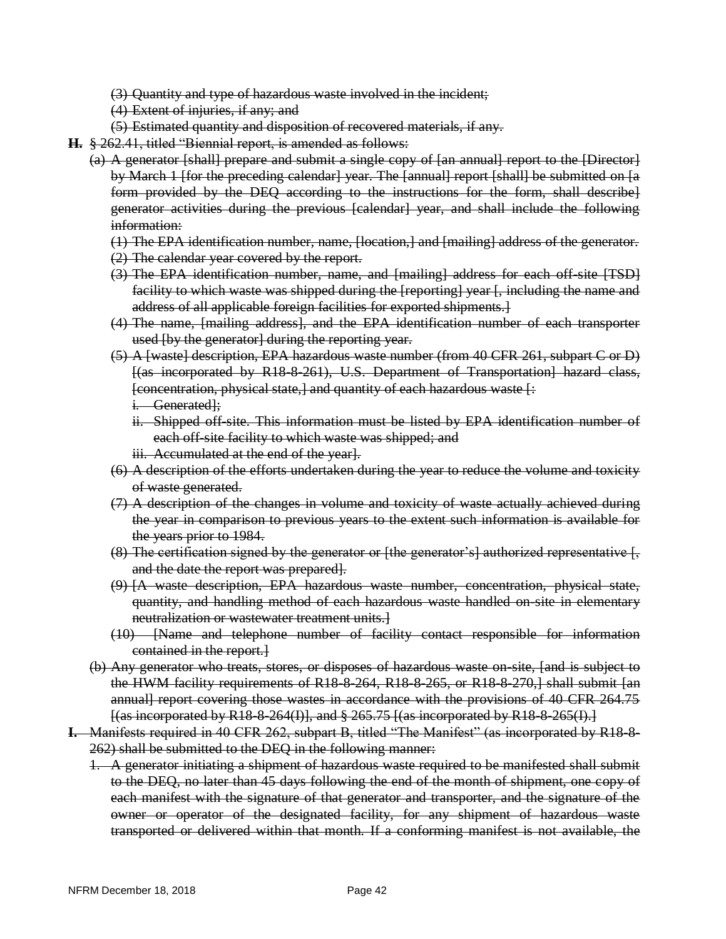- (3) Quantity and type of hazardous waste involved in the incident;
- (4) Extent of injuries, if any; and
- (5) Estimated quantity and disposition of recovered materials, if any.
- **H.** § 262.41, titled "Biennial report, is amended as follows:
	- (a) A generator [shall] prepare and submit a single copy of [an annual] report to the [Director] by March 1 [for the preceding calendar] year. The [annual] report [shall] be submitted on [a form provided by the DEQ according to the instructions for the form, shall describe] generator activities during the previous [calendar] year, and shall include the following information:
		- (1) The EPA identification number, name, [location,] and [mailing] address of the generator.
		- (2) The calendar year covered by the report.
		- (3) The EPA identification number, name, and [mailing] address for each off-site [TSD] facility to which waste was shipped during the [reporting] year [, including the name and address of all applicable foreign facilities for exported shipments.]
		- (4) The name, [mailing address], and the EPA identification number of each transporter used [by the generator] during the reporting year.
		- (5) A [waste] description, EPA hazardous waste number (from 40 CFR 261, subpart C or D) [(as incorporated by R18-8-261), U.S. Department of Transportation] hazard class, [concentration, physical state,] and quantity of each hazardous waste [: i. Generated];
			- ii. Shipped off site. This information must be listed by EPA identification number of each off-site facility to which waste was shipped; and
			- iii. Accumulated at the end of the year].
		- (6) A description of the efforts undertaken during the year to reduce the volume and toxicity of waste generated.
		- (7) A description of the changes in volume and toxicity of waste actually achieved during the year in comparison to previous years to the extent such information is available for the years prior to 1984.
		- (8) The certification signed by the generator or [the generator's] authorized representative  $\frac{1}{2}$ and the date the report was prepared].
		- (9) [A waste description, EPA hazardous waste number, concentration, physical state, quantity, and handling method of each hazardous waste handled on-site in elementary neutralization or wastewater treatment units.]
		- (10) [Name and telephone number of facility contact responsible for information contained in the report.]
	- (b) Any generator who treats, stores, or disposes of hazardous waste on-site, [and is subject to the HWM facility requirements of R18-8-264, R18-8-265, or R18-8-270,] shall submit [an annual] report covering those wastes in accordance with the provisions of 40 CFR 264.75  $\{$  (as incorporated by R18-8-264(I)], and  $\S 265.75$   $\{$  (as incorporated by R18-8-265(I).
- **I.** Manifests required in 40 CFR 262, subpart B, titled "The Manifest" (as incorporated by R18-8- 262) shall be submitted to the DEQ in the following manner:
	- 1. A generator initiating a shipment of hazardous waste required to be manifested shall submit to the DEQ, no later than 45 days following the end of the month of shipment, one copy of each manifest with the signature of that generator and transporter, and the signature of the owner or operator of the designated facility, for any shipment of hazardous waste transported or delivered within that month. If a conforming manifest is not available, the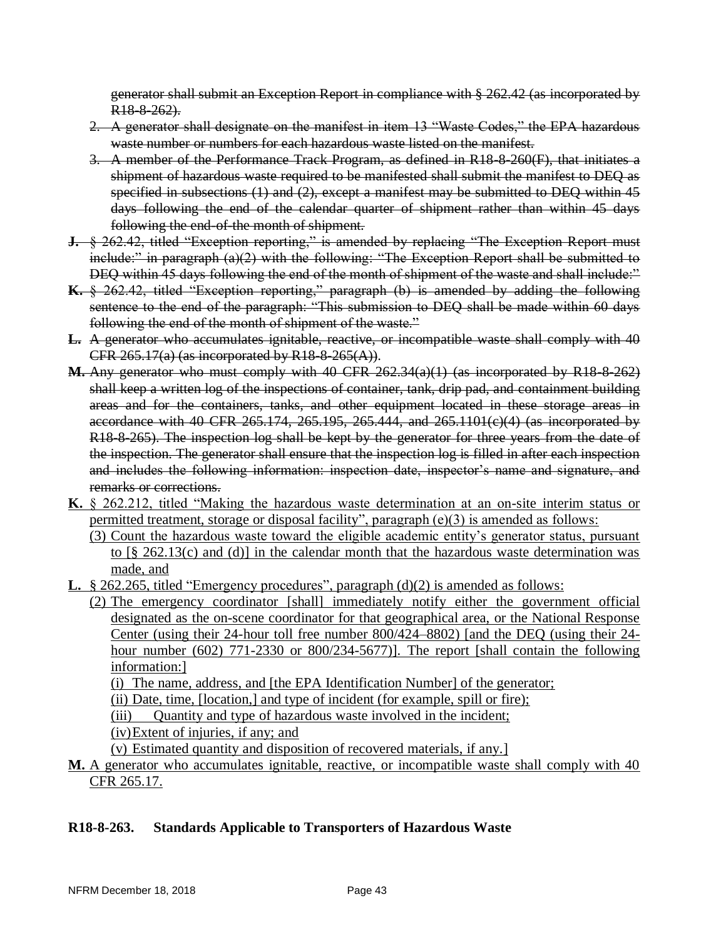generator shall submit an Exception Report in compliance with § 262.42 (as incorporated by R<sub>18-8-262</sub>).

- 2. A generator shall designate on the manifest in item 13 "Waste Codes," the EPA hazardous waste number or numbers for each hazardous waste listed on the manifest.
- 3. A member of the Performance Track Program, as defined in R18-8-260(F), that initiates a shipment of hazardous waste required to be manifested shall submit the manifest to DEQ as specified in subsections (1) and (2), except a manifest may be submitted to DEQ within 45 days following the end of the calendar quarter of shipment rather than within 45 days following the end-of-the month of shipment.
- **J.**  $\&$  262.42, titled "Exception reporting," is amended by replacing "The Exception Report must include:" in paragraph (a)(2) with the following: "The Exception Report shall be submitted to DEQ within 45 days following the end of the month of shipment of the waste and shall include:"
- **K.** § 262.42, titled "Exception reporting," paragraph (b) is amended by adding the following sentence to the end of the paragraph: "This submission to DEQ shall be made within 60 days following the end of the month of shipment of the waste."
- **L.** A generator who accumulates ignitable, reactive, or incompatible waste shall comply with 40 CFR 265.17(a) (as incorporated by R18-8-265(A)).
- **M.** Any generator who must comply with 40 CFR 262.34(a)(1) (as incorporated by R18-8-262) shall keep a written log of the inspections of container, tank, drip pad, and containment building areas and for the containers, tanks, and other equipment located in these storage areas in accordance with 40 CFR 265.174, 265.195, 265.444, and 265.1101(c)(4) (as incorporated by R18-8-265). The inspection log shall be kept by the generator for three years from the date of the inspection. The generator shall ensure that the inspection log is filled in after each inspection and includes the following information: inspection date, inspector's name and signature, and remarks or corrections.
- **K.** § 262.212, titled "Making the hazardous waste determination at an on-site interim status or permitted treatment, storage or disposal facility", paragraph (e)(3) is amended as follows:
	- (3) Count the hazardous waste toward the eligible academic entity's generator status, pursuant to  $\lceil \frac{6}{5} \rceil$  262.13(c) and (d)] in the calendar month that the hazardous waste determination was made, and
- **L.** § 262.265, titled "Emergency procedures", paragraph (d)(2) is amended as follows:

(2) The emergency coordinator [shall] immediately notify either the government official designated as the on-scene coordinator for that geographical area, or the National Response Center (using their 24-hour toll free number 800/424–8802) [and the DEQ (using their 24 hour number (602) 771-2330 or 800/234-5677)]. The report [shall contain the following information:]

(i) The name, address, and [the EPA Identification Number] of the generator;

(ii) Date, time, [location,] and type of incident (for example, spill or fire);

(iii) Quantity and type of hazardous waste involved in the incident;

(iv)Extent of injuries, if any; and

(v) Estimated quantity and disposition of recovered materials, if any.]

**M.** A generator who accumulates ignitable, reactive, or incompatible waste shall comply with 40 CFR 265.17.

### **R18-8-263. Standards Applicable to Transporters of Hazardous Waste**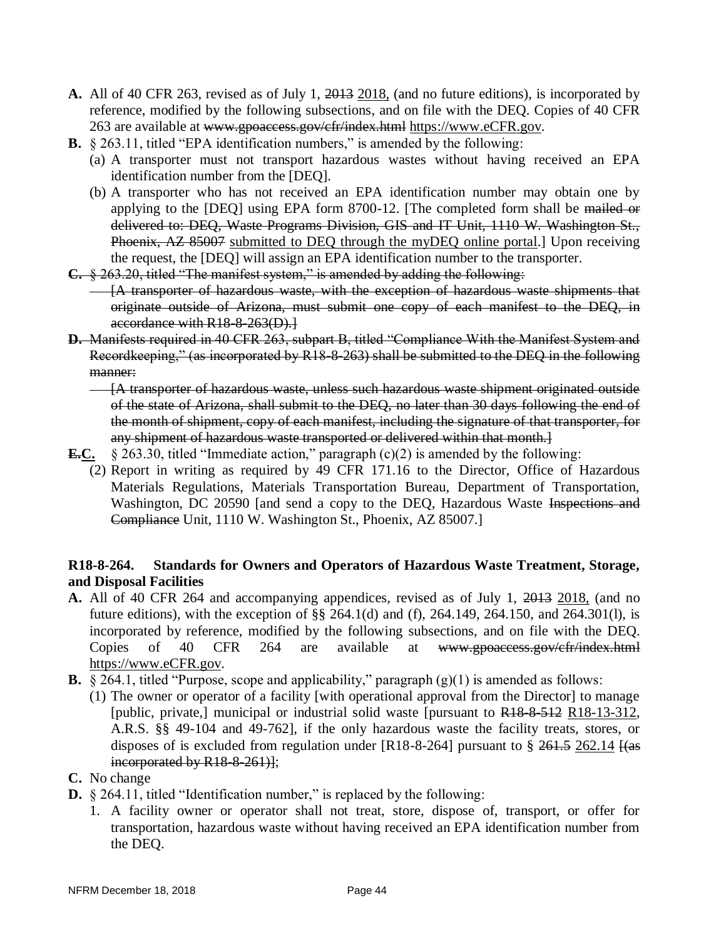- **A.** All of 40 CFR 263, revised as of July 1, 2013 2018, (and no future editions), is incorporated by reference, modified by the following subsections, and on file with the DEQ. Copies of 40 CFR 263 are available at www.gpoaccess.gov/cfr/index.html https://www.eCFR.gov.
- **B.** § 263.11, titled "EPA identification numbers," is amended by the following:
	- (a) A transporter must not transport hazardous wastes without having received an EPA identification number from the [DEQ].
	- (b) A transporter who has not received an EPA identification number may obtain one by applying to the [DEQ] using EPA form 8700-12. [The completed form shall be mailed or delivered to: DEQ, Waste Programs Division, GIS and IT Unit, 1110 W. Washington St., Phoenix, AZ 85007 submitted to DEQ through the myDEQ online portal.] Upon receiving the request, the [DEQ] will assign an EPA identification number to the transporter.
- **C.** § 263.20, titled "The manifest system," is amended by adding the following:
	- **--- [A transporter of hazardous waste, with the exception of hazardous waste shipments that** originate outside of Arizona, must submit one copy of each manifest to the DEQ, in accordance with R18-8-263(D).]
- **D.** Manifests required in 40 CFR 263, subpart B, titled "Compliance With the Manifest System and Recordkeeping," (as incorporated by R18-8-263) shall be submitted to the DEQ in the following manner:
	- [A transporter of hazardous waste, unless such hazardous waste shipment originated outside of the state of Arizona, shall submit to the DEQ, no later than 30 days following the end of the month of shipment, copy of each manifest, including the signature of that transporter, for any shipment of hazardous waste transported or delivered within that month.]
- **E.C.** § 263.30, titled "Immediate action," paragraph (c)(2) is amended by the following:
	- (2) Report in writing as required by 49 CFR 171.16 to the Director, Office of Hazardous Materials Regulations, Materials Transportation Bureau, Department of Transportation, Washington, DC 20590 [and send a copy to the DEQ, Hazardous Waste Inspections and Compliance Unit, 1110 W. Washington St., Phoenix, AZ 85007.]

### **R18-8-264. Standards for Owners and Operators of Hazardous Waste Treatment, Storage, and Disposal Facilities**

- **A.** All of 40 CFR 264 and accompanying appendices, revised as of July 1, 2013 2018, (and no future editions), with the exception of §§ 264.1(d) and (f), 264.149, 264.150, and 264.301(l), is incorporated by reference, modified by the following subsections, and on file with the DEQ. Copies of 40 CFR 264 are available at www.gpoaccess.gov/cfr/index.html https://www.eCFR.gov.
- **B.** § 264.1, titled "Purpose, scope and applicability," paragraph (g)(1) is amended as follows:
	- (1) The owner or operator of a facility [with operational approval from the Director] to manage [public, private,] municipal or industrial solid waste [pursuant to R18-8-512 R18-13-312, A.R.S. §§ 49-104 and 49-762], if the only hazardous waste the facility treats, stores, or disposes of is excluded from regulation under  $[R18-8-264]$  pursuant to § 261.5 262.14  $[(as]$ incorporated by R18-8-261)];

### **C.** No change

- **D.** § 264.11, titled "Identification number," is replaced by the following:
	- 1. A facility owner or operator shall not treat, store, dispose of, transport, or offer for transportation, hazardous waste without having received an EPA identification number from the DEQ.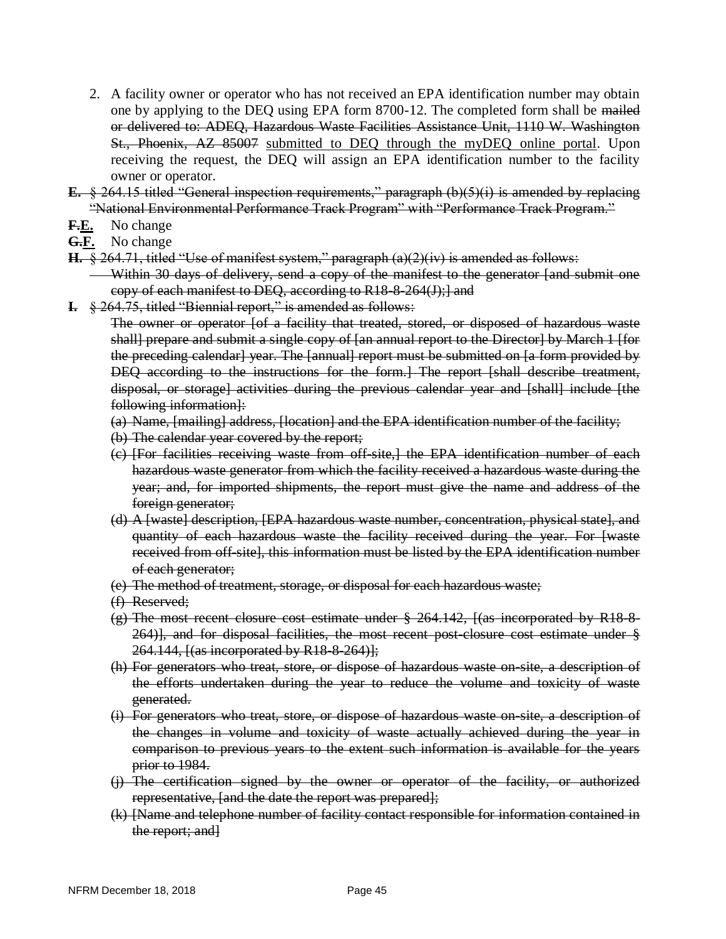- 2. A facility owner or operator who has not received an EPA identification number may obtain one by applying to the DEQ using EPA form 8700-12. The completed form shall be mailed or delivered to: ADEQ, Hazardous Waste Facilities Assistance Unit, 1110 W. Washington St., Phoenix, AZ 85007 submitted to DEQ through the myDEQ online portal. Upon receiving the request, the DEQ will assign an EPA identification number to the facility owner or operator.
- **E.** § 264.15 titled "General inspection requirements," paragraph (b)(5)(i) is amended by replacing "National Environmental Performance Track Program" with "Performance Track Program."
- **F.E.** No change
- **G.F.** No change
- **H.** § 264.71, titled "Use of manifest system," paragraph (a)(2)(iv) is amended as follows:
	- Within 30 days of delivery, send a copy of the manifest to the generator [and submit one copy of each manifest to DEQ, according to R18-8-264(J);] and
- **I.** § 264.75, titled "Biennial report," is amended as follows:

The owner or operator [of a facility that treated, stored, or disposed of hazardous waste shall] prepare and submit a single copy of [an annual report to the Director] by March 1 [for the preceding calendar] year. The [annual] report must be submitted on [a form provided by DEQ according to the instructions for the form.] The report [shall describe treatment, disposal, or storage] activities during the previous calendar year and [shall] include [the following information]:

- (a) Name, [mailing] address, [location] and the EPA identification number of the facility;
- (b) The calendar year covered by the report;
- (c) [For facilities receiving waste from off-site,] the EPA identification number of each hazardous waste generator from which the facility received a hazardous waste during the year; and, for imported shipments, the report must give the name and address of the foreign generator;
- (d) A [waste] description, [EPA hazardous waste number, concentration, physical state], and quantity of each hazardous waste the facility received during the year. For [waste received from off site], this information must be listed by the EPA identification number of each generator;
- (e) The method of treatment, storage, or disposal for each hazardous waste;
- (f) Reserved;
- $(g)$  The most recent closure cost estimate under  $\S 264.142$ ,  $\{(\text{as incorporated by R18-8})\}$ 264)], and for disposal facilities, the most recent post-closure cost estimate under § 264.144, [(as incorporated by R18-8-264)];
- (h) For generators who treat, store, or dispose of hazardous waste on-site, a description of the efforts undertaken during the year to reduce the volume and toxicity of waste generated.
- (i) For generators who treat, store, or dispose of hazardous waste on-site, a description of the changes in volume and toxicity of waste actually achieved during the year in comparison to previous years to the extent such information is available for the years prior to 1984.
- (j) The certification signed by the owner or operator of the facility, or authorized representative, [and the date the report was prepared];
- (k) [Name and telephone number of facility contact responsible for information contained in the report; and]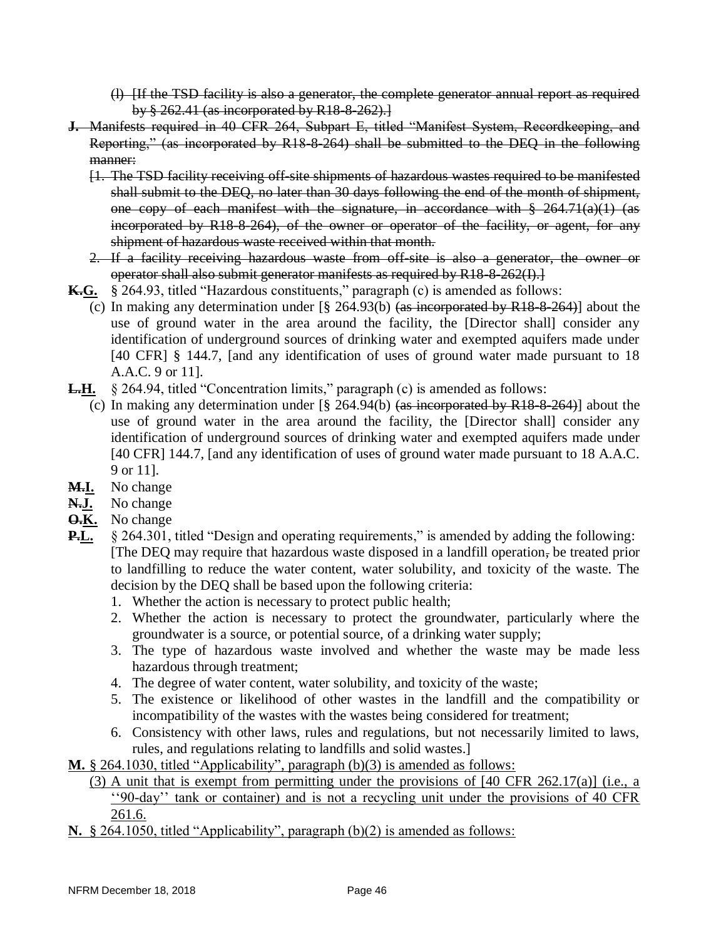(l) [If the TSD facility is also a generator, the complete generator annual report as required by § 262.41 (as incorporated by R18-8-262).]

- **J.** Manifests required in 40 CFR 264, Subpart E, titled "Manifest System, Recordkeeping, and Reporting," (as incorporated by R18-8-264) shall be submitted to the DEQ in the following manner:
	- [1. The TSD facility receiving off-site shipments of hazardous wastes required to be manifested shall submit to the DEQ, no later than 30 days following the end of the month of shipment, one copy of each manifest with the signature, in accordance with § 264.71(a)(1) (as incorporated by R18-8-264), of the owner or operator of the facility, or agent, for any shipment of hazardous waste received within that month.
	- 2. If a facility receiving hazardous waste from off-site is also a generator, the owner or operator shall also submit generator manifests as required by R18-8-262(I).]
- **K.G.** § 264.93, titled "Hazardous constituents," paragraph (c) is amended as follows:
	- (c) In making any determination under  $\lceil \frac{6}{5} \rceil \cdot 264.93$  (b) (as incorporated by R18-8-264)] about the use of ground water in the area around the facility, the [Director shall] consider any identification of underground sources of drinking water and exempted aquifers made under [40 CFR] § 144.7, [and any identification of uses of ground water made pursuant to 18 A.A.C. 9 or 11].
- **L.H.** § 264.94, titled "Concentration limits," paragraph (c) is amended as follows:
	- (c) In making any determination under [§ 264.94(b) (as incorporated by R18-8-264)] about the use of ground water in the area around the facility, the [Director shall] consider any identification of underground sources of drinking water and exempted aquifers made under [40 CFR] 144.7, [and any identification of uses of ground water made pursuant to 18 A.A.C. 9 or 11].
- **M.I.** No change
- **N.J.** No change
- **O.K.** No change
- **P.L.** § 264.301, titled "Design and operating requirements," is amended by adding the following: [The DEQ may require that hazardous waste disposed in a landfill operation, be treated prior to landfilling to reduce the water content, water solubility, and toxicity of the waste. The decision by the DEQ shall be based upon the following criteria:
	- 1. Whether the action is necessary to protect public health;
	- 2. Whether the action is necessary to protect the groundwater, particularly where the groundwater is a source, or potential source, of a drinking water supply;
	- 3. The type of hazardous waste involved and whether the waste may be made less hazardous through treatment;
	- 4. The degree of water content, water solubility, and toxicity of the waste;
	- 5. The existence or likelihood of other wastes in the landfill and the compatibility or incompatibility of the wastes with the wastes being considered for treatment;
	- 6. Consistency with other laws, rules and regulations, but not necessarily limited to laws, rules, and regulations relating to landfills and solid wastes.]
- **M.** § 264.1030, titled "Applicability", paragraph (b)(3) is amended as follows:
	- (3) A unit that is exempt from permitting under the provisions of [40 CFR 262.17(a)] (i.e., a ''90-day'' tank or container) and is not a recycling unit under the provisions of 40 CFR 261.6.
- **N.** § 264.1050, titled "Applicability", paragraph (b)(2) is amended as follows: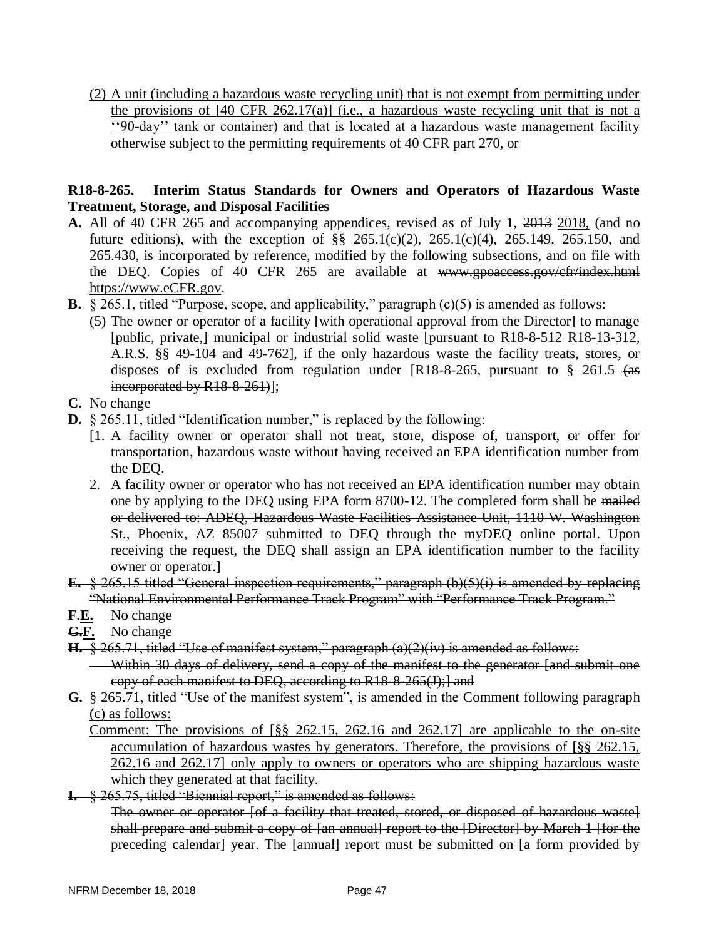(2) A unit (including a hazardous waste recycling unit) that is not exempt from permitting under the provisions of  $[40 \text{ CFR } 262.17(a)]$  (i.e., a hazardous waste recycling unit that is not a ''90-day'' tank or container) and that is located at a hazardous waste management facility otherwise subject to the permitting requirements of 40 CFR part 270, or

### **R18-8-265. Interim Status Standards for Owners and Operators of Hazardous Waste Treatment, Storage, and Disposal Facilities**

- **A.** All of 40 CFR 265 and accompanying appendices, revised as of July 1, 2013 2018, (and no future editions), with the exception of  $\S$  265.1(c)(2), 265.1(c)(4), 265.149, 265.150, and 265.430, is incorporated by reference, modified by the following subsections, and on file with the DEQ. Copies of 40 CFR 265 are available at www.gpoaccess.gov/cfr/index.html https://www.eCFR.gov.
- **B.** § 265.1, titled "Purpose, scope, and applicability," paragraph (c)(5) is amended as follows:
	- (5) The owner or operator of a facility [with operational approval from the Director] to manage [public, private,] municipal or industrial solid waste [pursuant to R18-8-512 R18-13-312, A.R.S. §§ 49-104 and 49-762], if the only hazardous waste the facility treats, stores, or disposes of is excluded from regulation under  $[R18-8-265,$  pursuant to § 261.5 (as incorporated by R18-8-261)];
- **C.** No change
- **D.** § 265.11, titled "Identification number," is replaced by the following:
	- [1. A facility owner or operator shall not treat, store, dispose of, transport, or offer for transportation, hazardous waste without having received an EPA identification number from the DEQ.
	- 2. A facility owner or operator who has not received an EPA identification number may obtain one by applying to the DEQ using EPA form 8700-12. The completed form shall be mailed or delivered to: ADEQ, Hazardous Waste Facilities Assistance Unit, 1110 W. Washington St., Phoenix, AZ 85007 submitted to DEQ through the myDEQ online portal. Upon receiving the request, the DEQ shall assign an EPA identification number to the facility owner or operator.]
- **E.** § 265.15 titled "General inspection requirements," paragraph (b)(5)(i) is amended by replacing "National Environmental Performance Track Program" with "Performance Track Program."
- **F.E.** No change
- **G.F.** No change
- **H.** § 265.71, titled "Use of manifest system," paragraph (a)(2)(iv) is amended as follows:
	- Within 30 days of delivery, send a copy of the manifest to the generator [and submit one copy of each manifest to DEQ, according to R18-8-265(J);] and
- **G.** § 265.71, titled "Use of the manifest system", is amended in the Comment following paragraph (c) as follows:
	- Comment: The provisions of [§§ 262.15, 262.16 and 262.17] are applicable to the on-site accumulation of hazardous wastes by generators. Therefore, the provisions of [§§ 262.15, 262.16 and 262.17] only apply to owners or operators who are shipping hazardous waste which they generated at that facility.
- **I.** § 265.75, titled "Biennial report," is amended as follows:

The owner or operator [of a facility that treated, stored, or disposed of hazardous waste] shall prepare and submit a copy of [an annual] report to the [Director] by March 1 [for the preceding calendar] year. The [annual] report must be submitted on [a form provided by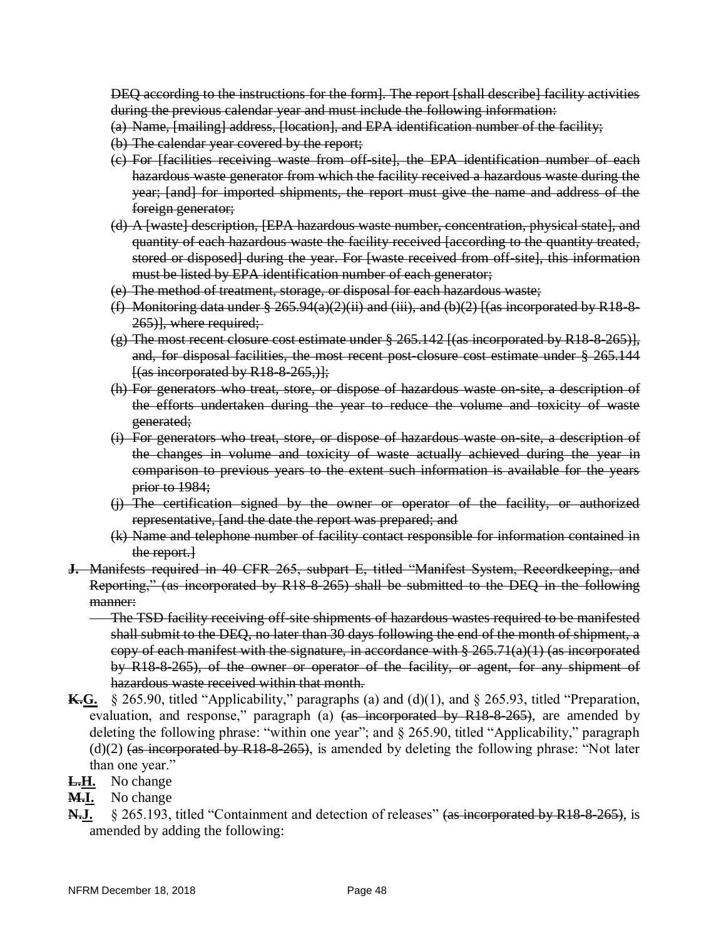DEQ according to the instructions for the form]. The report [shall describe] facility activities during the previous calendar year and must include the following information:

- (a) Name, [mailing] address, [location], and EPA identification number of the facility;
- (b) The calendar year covered by the report;
- (c) For [facilities receiving waste from off-site], the EPA identification number of each hazardous waste generator from which the facility received a hazardous waste during the year; [and] for imported shipments, the report must give the name and address of the foreign generator;
- (d) A [waste] description, [EPA hazardous waste number, concentration, physical state], and quantity of each hazardous waste the facility received [according to the quantity treated, stored or disposed] during the year. For [waste received from off-site], this information must be listed by EPA identification number of each generator;
- (e) The method of treatment, storage, or disposal for each hazardous waste;
- (f) Monitoring data under  $\S 265.94(a)(2)$  (ii) and (iii), and (b)(2) [(as incorporated by R18-8-265)], where required;
- (g) The most recent closure cost estimate under  $\S 265.142$  [(as incorporated by R18-8-265)], and, for disposal facilities, the most recent post-closure cost estimate under § 265.144  $\frac{1}{(as\text{ incorporated by R18-8-265,)}\cdot}$
- (h) For generators who treat, store, or dispose of hazardous waste on-site, a description of the efforts undertaken during the year to reduce the volume and toxicity of waste generated;
- (i) For generators who treat, store, or dispose of hazardous waste on-site, a description of the changes in volume and toxicity of waste actually achieved during the year in comparison to previous years to the extent such information is available for the years prior to 1984;
- (j) The certification signed by the owner or operator of the facility, or authorized representative, [and the date the report was prepared; and
- (k) Name and telephone number of facility contact responsible for information contained in the report.]
- **J.** Manifests required in 40 CFR 265, subpart E, titled "Manifest System, Recordkeeping, and Reporting," (as incorporated by R18-8-265) shall be submitted to the DEQ in the following manner:
	- The TSD facility receiving off-site shipments of hazardous wastes required to be manifested shall submit to the DEQ, no later than 30 days following the end of the month of shipment, a copy of each manifest with the signature, in accordance with  $\S 265.71(a)(1)$  (as incorporated by R18-8-265), of the owner or operator of the facility, or agent, for any shipment of hazardous waste received within that month.
- **K.G.** § 265.90, titled "Applicability," paragraphs (a) and (d)(1), and § 265.93, titled "Preparation, evaluation, and response," paragraph (a)  $(a\ddot{s}$  incorporated by R18-8-265), are amended by deleting the following phrase: "within one year"; and § 265.90, titled "Applicability," paragraph  $(d)(2)$  (as incorporated by R18-8-265), is amended by deleting the following phrase: "Not later than one year."
- **L.H.** No change
- **M.I.** No change
- **N.J.** § 265.193, titled "Containment and detection of releases" (as incorporated by R18-8-265), is amended by adding the following: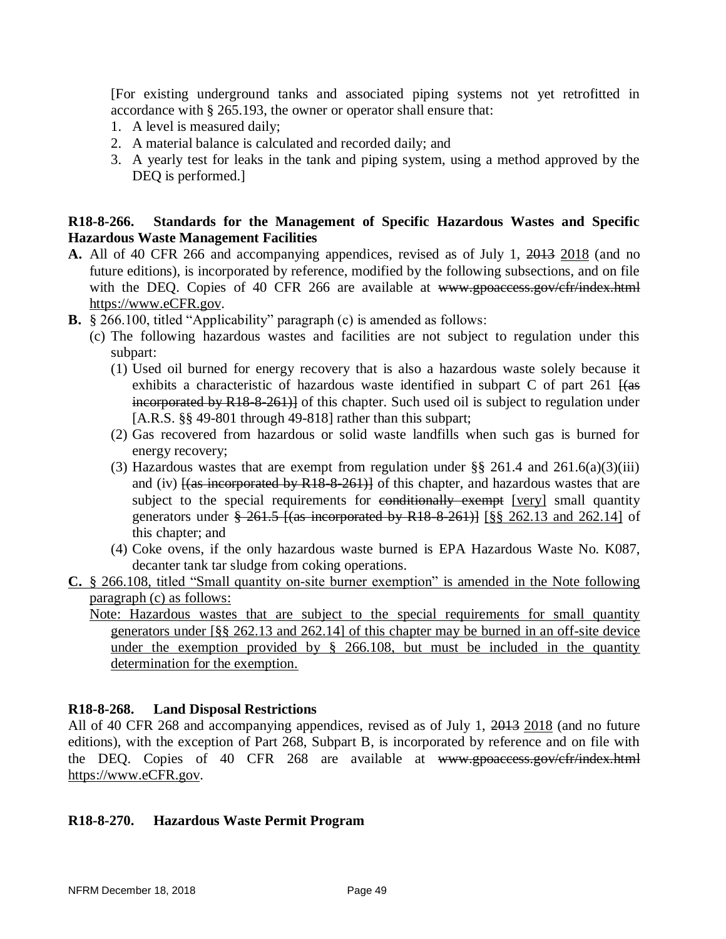[For existing underground tanks and associated piping systems not yet retrofitted in accordance with § 265.193, the owner or operator shall ensure that:

- 1. A level is measured daily;
- 2. A material balance is calculated and recorded daily; and
- 3. A yearly test for leaks in the tank and piping system, using a method approved by the DEQ is performed.]

### **R18-8-266. Standards for the Management of Specific Hazardous Wastes and Specific Hazardous Waste Management Facilities**

- **A.** All of 40 CFR 266 and accompanying appendices, revised as of July 1, 2013 2018 (and no future editions), is incorporated by reference, modified by the following subsections, and on file with the DEQ. Copies of 40 CFR 266 are available at www.gpoaccess.gov/cfr/index.html https://www.eCFR.gov.
- **B.** § 266.100, titled "Applicability" paragraph (c) is amended as follows:
	- (c) The following hazardous wastes and facilities are not subject to regulation under this subpart:
		- (1) Used oil burned for energy recovery that is also a hazardous waste solely because it exhibits a characteristic of hazardous waste identified in subpart  $C$  of part 261  $\frac{1}{4}$ incorporated by R18-8-261)] of this chapter. Such used oil is subject to regulation under [A.R.S. §§ 49-801 through 49-818] rather than this subpart;
		- (2) Gas recovered from hazardous or solid waste landfills when such gas is burned for energy recovery;
		- (3) Hazardous wastes that are exempt from regulation under  $\S\S 261.4$  and  $261.6(a)(3)(iii)$ and (iv)  $\frac{1}{10}$  (iv)  $\frac{1}{100}$  incorporated by R18-8-261)] of this chapter, and hazardous wastes that are subject to the special requirements for conditionally exempt [very] small quantity generators under  $\frac{1}{261.5}$  I(as incorporated by R18-8-261) I [§§ 262.13 and 262.14] of this chapter; and
		- (4) Coke ovens, if the only hazardous waste burned is EPA Hazardous Waste No. K087, decanter tank tar sludge from coking operations.
- **C.** § 266.108, titled "Small quantity on-site burner exemption" is amended in the Note following paragraph (c) as follows:
	- Note: Hazardous wastes that are subject to the special requirements for small quantity generators under [§§ 262.13 and 262.14] of this chapter may be burned in an off-site device under the exemption provided by  $\S$  266.108, but must be included in the quantity determination for the exemption.

### **R18-8-268. Land Disposal Restrictions**

All of 40 CFR 268 and accompanying appendices, revised as of July 1, 2013 2018 (and no future editions), with the exception of Part 268, Subpart B, is incorporated by reference and on file with the DEQ. Copies of 40 CFR 268 are available at www.gpoaccess.gov/cfr/index.html https://www.eCFR.gov.

### **R18-8-270. Hazardous Waste Permit Program**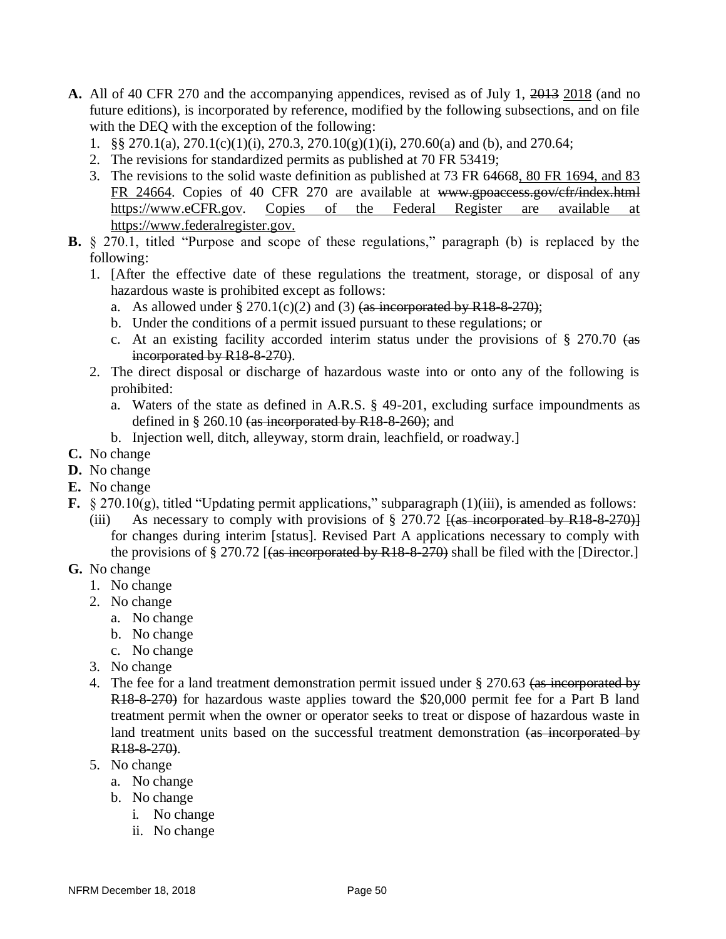- **A.** All of 40 CFR 270 and the accompanying appendices, revised as of July 1, 2013 2018 (and no future editions), is incorporated by reference, modified by the following subsections, and on file with the DEQ with the exception of the following:
	- 1. §§ 270.1(a), 270.1(c)(1)(i), 270.3, 270.10(g)(1)(i), 270.60(a) and (b), and 270.64;
	- 2. The revisions for standardized permits as published at 70 FR 53419;
	- 3. The revisions to the solid waste definition as published at 73 FR 64668, 80 FR 1694, and 83 FR 24664. Copies of 40 CFR 270 are available at www.gpoaccess.gov/cfr/index.html [https://www.eCFR.gov.](https://www.ecfr.gov/) Copies of the Federal Register are available at [https://www.federalregister.gov.](https://www.federalregister.gov/)
- **B.** § 270.1, titled "Purpose and scope of these regulations," paragraph (b) is replaced by the following:
	- 1. [After the effective date of these regulations the treatment, storage, or disposal of any hazardous waste is prohibited except as follows:
		- a. As allowed under  $\S 270.1(c)(2)$  and (3) (as incorporated by R18-8-270);
		- b. Under the conditions of a permit issued pursuant to these regulations; or
		- c. At an existing facility accorded interim status under the provisions of  $\S$  270.70 (as incorporated by R18-8-270).
	- 2. The direct disposal or discharge of hazardous waste into or onto any of the following is prohibited:
		- a. Waters of the state as defined in A.R.S. § 49-201, excluding surface impoundments as defined in  $\S 260.10$  (as incorporated by R18-8-260); and
		- b. Injection well, ditch, alleyway, storm drain, leachfield, or roadway.]
- **C.** No change
- **D.** No change
- **E.** No change
- **F.** § 270.10(g), titled "Updating permit applications," subparagraph (1)(iii), is amended as follows:
	- (iii) As necessary to comply with provisions of  $\S 270.72$  [(as incorporated by R18-8-270)] for changes during interim [status]. Revised Part A applications necessary to comply with the provisions of § 270.72  $[(as$  incorporated by R18-8-270) shall be filed with the [Director.]
- **G.** No change
	- 1. No change
	- 2. No change
		- a. No change
		- b. No change
		- c. No change
	- 3. No change
	- 4. The fee for a land treatment demonstration permit issued under § 270.63 (as incorporated by R18-8-270) for hazardous waste applies toward the \$20,000 permit fee for a Part B land treatment permit when the owner or operator seeks to treat or dispose of hazardous waste in land treatment units based on the successful treatment demonstration (as incorporated by R<sub>18-8-270</sub>).
	- 5. No change
		- a. No change
		- b. No change
			- i. No change
			- ii. No change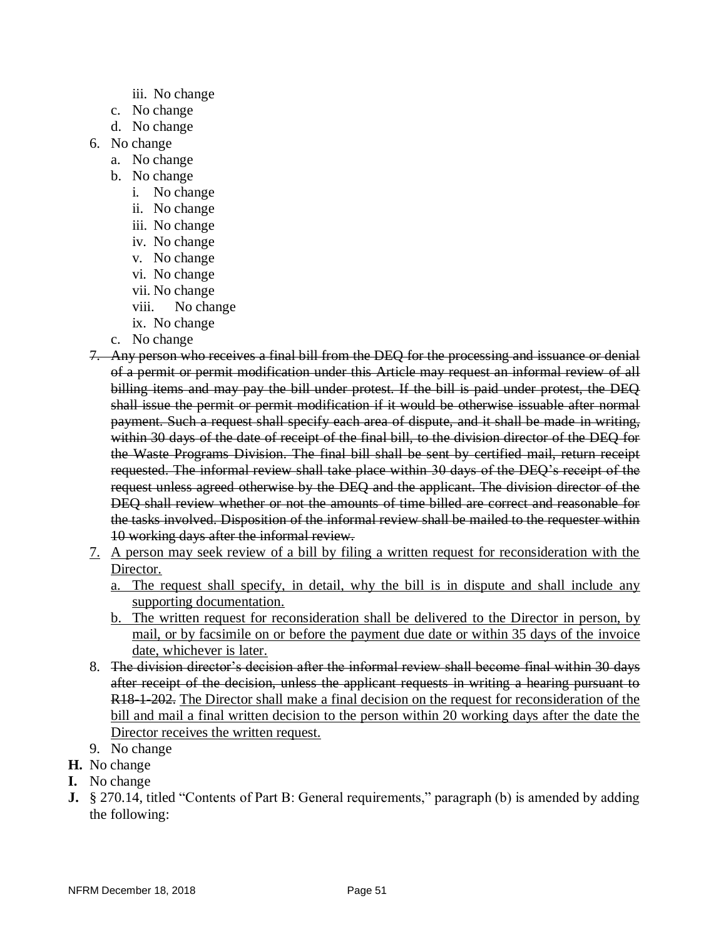- iii. No change
- c. No change
- d. No change
- 6. No change
	- a. No change
	- b. No change
		- i. No change
		- ii. No change
		- iii. No change
		- iv. No change
		- v. No change
		- vi. No change
		- vii. No change
		- viii. No change
		- ix. No change
	- c. No change
- 7. Any person who receives a final bill from the DEQ for the processing and issuance or denial of a permit or permit modification under this Article may request an informal review of all billing items and may pay the bill under protest. If the bill is paid under protest, the DEQ shall issue the permit or permit modification if it would be otherwise issuable after normal payment. Such a request shall specify each area of dispute, and it shall be made in writing, within 30 days of the date of receipt of the final bill, to the division director of the DEQ for the Waste Programs Division. The final bill shall be sent by certified mail, return receipt requested. The informal review shall take place within 30 days of the DEQ's receipt of the request unless agreed otherwise by the DEQ and the applicant. The division director of the DEQ shall review whether or not the amounts of time billed are correct and reasonable for the tasks involved. Disposition of the informal review shall be mailed to the requester within 10 working days after the informal review.
- 7. A person may seek review of a bill by filing a written request for reconsideration with the Director.
	- a. The request shall specify, in detail, why the bill is in dispute and shall include any supporting documentation.
	- b. The written request for reconsideration shall be delivered to the Director in person, by mail, or by facsimile on or before the payment due date or within 35 days of the invoice date, whichever is later.
- 8. The division director's decision after the informal review shall become final within 30 days after receipt of the decision, unless the applicant requests in writing a hearing pursuant to R<sub>18</sub>-1-202. The Director shall make a final decision on the request for reconsideration of the bill and mail a final written decision to the person within 20 working days after the date the Director receives the written request.
- 9. No change
- **H.** No change
- **I.** No change
- **J.** § 270.14, titled "Contents of Part B: General requirements," paragraph (b) is amended by adding the following: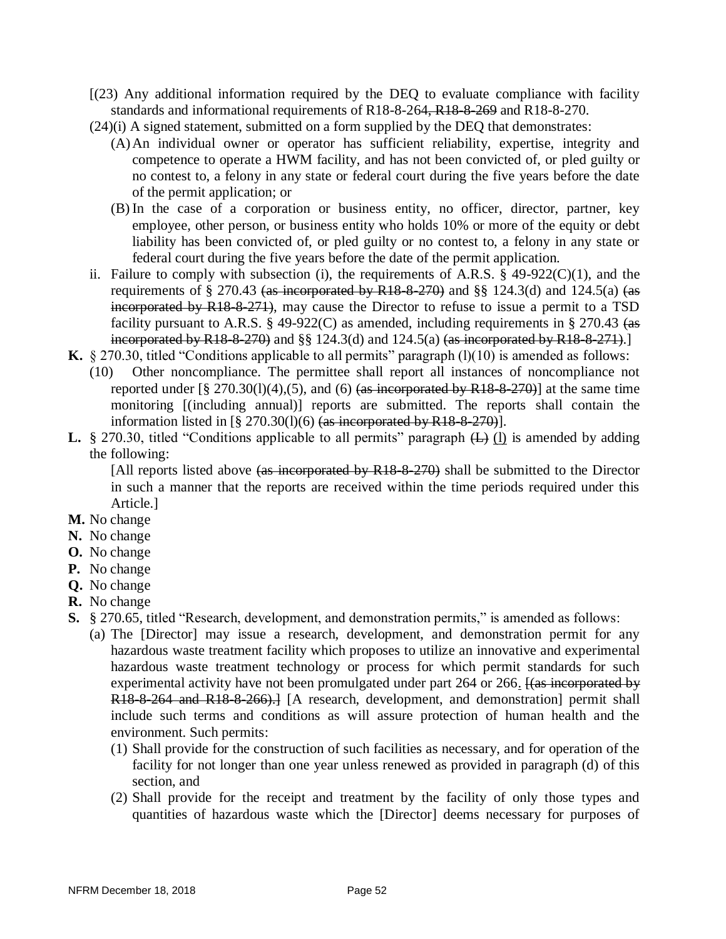- [(23) Any additional information required by the DEQ to evaluate compliance with facility standards and informational requirements of R18-8-264, R18-8-269 and R18-8-270.
- (24)(i) A signed statement, submitted on a form supplied by the DEQ that demonstrates:
	- (A)An individual owner or operator has sufficient reliability, expertise, integrity and competence to operate a HWM facility, and has not been convicted of, or pled guilty or no contest to, a felony in any state or federal court during the five years before the date of the permit application; or
	- (B)In the case of a corporation or business entity, no officer, director, partner, key employee, other person, or business entity who holds 10% or more of the equity or debt liability has been convicted of, or pled guilty or no contest to, a felony in any state or federal court during the five years before the date of the permit application.
- ii. Failure to comply with subsection (i), the requirements of A.R.S.  $\S$  49-922(C)(1), and the requirements of § 270.43 (as incorporated by R18-8-270) and §§ 124.3(d) and 124.5(a) (as incorporated by R18-8-271), may cause the Director to refuse to issue a permit to a TSD facility pursuant to A.R.S.  $\S$  49-922(C) as amended, including requirements in  $\S$  270.43 (as incorporated by R18-8-270) and  $\S$ § 124.3(d) and 124.5(a) (as incorporated by R18-8-271).]
- **K.** § 270.30, titled "Conditions applicable to all permits" paragraph  $(l)(10)$  is amended as follows:
	- (10) Other noncompliance. The permittee shall report all instances of noncompliance not reported under  $\lbrack 8 \rbrack 270.30(1)(4),(5)$ , and (6) (as incorporated by R18-8-270)] at the same time monitoring [(including annual)] reports are submitted. The reports shall contain the information listed in  $\lceil \frac{8}{5} \cdot 270.30(1)(6) \cdot \frac{8}{5} \cdot \frac{1}{10} \cdot \frac{1}{100} \cdot \frac{1}{100} \cdot \frac{1}{100} \cdot \frac{1}{100} \cdot \frac{1}{100} \cdot \frac{1}{100} \cdot \frac{1}{100} \cdot \frac{1}{100} \cdot \frac{1}{100} \cdot \frac{1}{100} \cdot \frac{1}{100} \cdot \frac{1}{100} \cdot \frac{1}{100} \cdot \frac{1}{100} \$
- **L.** § 270.30, titled "Conditions applicable to all permits" paragraph  $(L)$  (l) is amended by adding the following:

[All reports listed above (as incorporated by R18-8-270) shall be submitted to the Director in such a manner that the reports are received within the time periods required under this Article.]

- **M.** No change
- **N.** No change
- **O.** No change
- **P.** No change
- **Q.** No change
- **R.** No change
- **S.** § 270.65, titled "Research, development, and demonstration permits," is amended as follows:
	- (a) The [Director] may issue a research, development, and demonstration permit for any hazardous waste treatment facility which proposes to utilize an innovative and experimental hazardous waste treatment technology or process for which permit standards for such experimental activity have not been promulgated under part 264 or 266. Has incorporated by R18-8-264 and R18-8-266).] [A research, development, and demonstration] permit shall include such terms and conditions as will assure protection of human health and the environment. Such permits:
		- (1) Shall provide for the construction of such facilities as necessary, and for operation of the facility for not longer than one year unless renewed as provided in paragraph (d) of this section, and
		- (2) Shall provide for the receipt and treatment by the facility of only those types and quantities of hazardous waste which the [Director] deems necessary for purposes of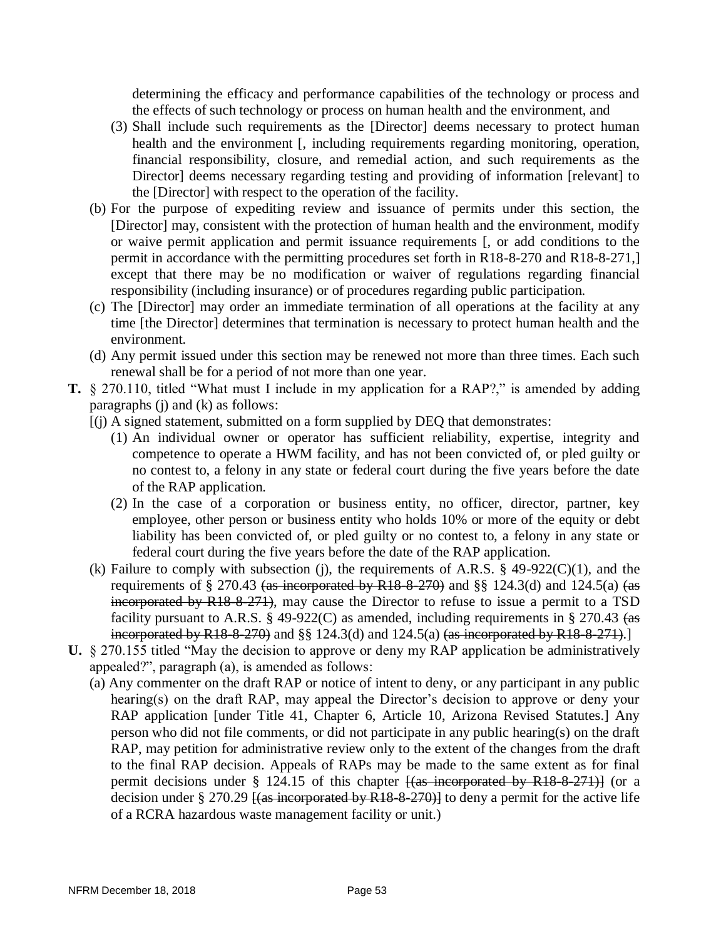determining the efficacy and performance capabilities of the technology or process and the effects of such technology or process on human health and the environment, and

- (3) Shall include such requirements as the [Director] deems necessary to protect human health and the environment [, including requirements regarding monitoring, operation, financial responsibility, closure, and remedial action, and such requirements as the Director] deems necessary regarding testing and providing of information [relevant] to the [Director] with respect to the operation of the facility.
- (b) For the purpose of expediting review and issuance of permits under this section, the [Director] may, consistent with the protection of human health and the environment, modify or waive permit application and permit issuance requirements [, or add conditions to the permit in accordance with the permitting procedures set forth in R18-8-270 and R18-8-271,] except that there may be no modification or waiver of regulations regarding financial responsibility (including insurance) or of procedures regarding public participation.
- (c) The [Director] may order an immediate termination of all operations at the facility at any time [the Director] determines that termination is necessary to protect human health and the environment.
- (d) Any permit issued under this section may be renewed not more than three times. Each such renewal shall be for a period of not more than one year.
- **T.** § 270.110, titled "What must I include in my application for a RAP?," is amended by adding paragraphs (j) and (k) as follows:
	- [(j) A signed statement, submitted on a form supplied by DEQ that demonstrates:
		- (1) An individual owner or operator has sufficient reliability, expertise, integrity and competence to operate a HWM facility, and has not been convicted of, or pled guilty or no contest to, a felony in any state or federal court during the five years before the date of the RAP application.
		- (2) In the case of a corporation or business entity, no officer, director, partner, key employee, other person or business entity who holds 10% or more of the equity or debt liability has been convicted of, or pled guilty or no contest to, a felony in any state or federal court during the five years before the date of the RAP application.
	- (k) Failure to comply with subsection (j), the requirements of A.R.S.  $\S$  49-922(C)(1), and the requirements of  $\S 270.43$  (as incorporated by R18-8-270) and  $\S \S 124.3$ (d) and 124.5(a) (as incorporated by R18-8-271), may cause the Director to refuse to issue a permit to a TSD facility pursuant to A.R.S.  $\S$  49-922(C) as amended, including requirements in  $\S$  270.43 (as incorporated by R18-8-270) and  $\S$  124.3(d) and 124.5(a) (as incorporated by R18-8-271).
- **U.** § 270.155 titled "May the decision to approve or deny my RAP application be administratively appealed?", paragraph (a), is amended as follows:
	- (a) Any commenter on the draft RAP or notice of intent to deny, or any participant in any public hearing(s) on the draft RAP, may appeal the Director's decision to approve or deny your RAP application [under Title 41, Chapter 6, Article 10, Arizona Revised Statutes.] Any person who did not file comments, or did not participate in any public hearing(s) on the draft RAP, may petition for administrative review only to the extent of the changes from the draft to the final RAP decision. Appeals of RAPs may be made to the same extent as for final permit decisions under § 124.15 of this chapter  $\frac{1}{a}$  incorporated by R18-8-271)] (or a decision under § 270.29  $\frac{1}{\tan \theta}$   $\frac{18-8-270}{\tan \theta}$  to deny a permit for the active life of a RCRA hazardous waste management facility or unit.)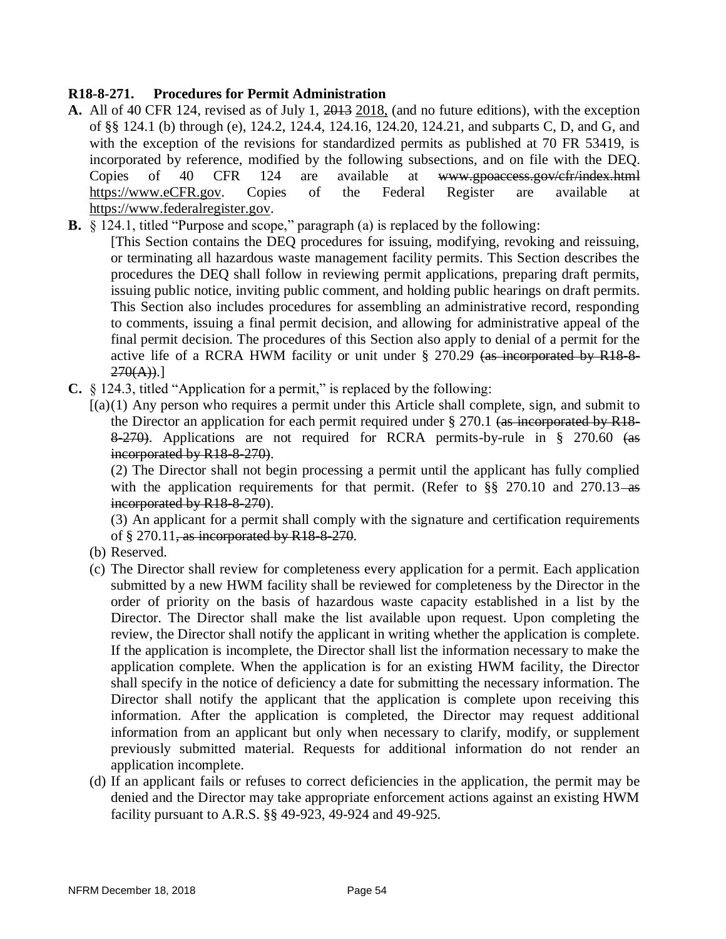### **R18-8-271. Procedures for Permit Administration**

- **A.** All of 40 CFR 124, revised as of July 1, 2013 2018, (and no future editions), with the exception of §§ 124.1 (b) through (e), 124.2, 124.4, 124.16, 124.20, 124.21, and subparts C, D, and G, and with the exception of the revisions for standardized permits as published at 70 FR 53419, is incorporated by reference, modified by the following subsections, and on file with the DEQ. Copies of 40 CFR 124 are available at www.gpoaccess.gov/cfr/index.html [https://www.eCFR.gov.](https://www.ecfr.gov/) Copies of the Federal Register are available at [https://www.federalregister.gov.](https://www.federalregister.gov/)
- **B.** § 124.1, titled "Purpose and scope," paragraph (a) is replaced by the following:

[This Section contains the DEQ procedures for issuing, modifying, revoking and reissuing, or terminating all hazardous waste management facility permits. This Section describes the procedures the DEQ shall follow in reviewing permit applications, preparing draft permits, issuing public notice, inviting public comment, and holding public hearings on draft permits. This Section also includes procedures for assembling an administrative record, responding to comments, issuing a final permit decision, and allowing for administrative appeal of the final permit decision. The procedures of this Section also apply to denial of a permit for the active life of a RCRA HWM facility or unit under § 270.29 (as incorporated by R18-8- $270(A).$ ]

**C.** § 124.3, titled "Application for a permit," is replaced by the following:

 $[(a)(1)$  Any person who requires a permit under this Article shall complete, sign, and submit to the Director an application for each permit required under  $\S 270.1$  (as incorporated by R18-8-270). Applications are not required for RCRA permits-by-rule in § 270.60 (as incorporated by R18-8-270).

(2) The Director shall not begin processing a permit until the applicant has fully complied with the application requirements for that permit. (Refer to  $\S$ § 270.10 and 270.13–as incorporated by R<sub>18</sub>-8-270).

(3) An applicant for a permit shall comply with the signature and certification requirements of  $\S 270.11$ , as incorporated by R18-8-270.

- (b) Reserved.
- (c) The Director shall review for completeness every application for a permit. Each application submitted by a new HWM facility shall be reviewed for completeness by the Director in the order of priority on the basis of hazardous waste capacity established in a list by the Director. The Director shall make the list available upon request. Upon completing the review, the Director shall notify the applicant in writing whether the application is complete. If the application is incomplete, the Director shall list the information necessary to make the application complete. When the application is for an existing HWM facility, the Director shall specify in the notice of deficiency a date for submitting the necessary information. The Director shall notify the applicant that the application is complete upon receiving this information. After the application is completed, the Director may request additional information from an applicant but only when necessary to clarify, modify, or supplement previously submitted material. Requests for additional information do not render an application incomplete.
- (d) If an applicant fails or refuses to correct deficiencies in the application, the permit may be denied and the Director may take appropriate enforcement actions against an existing HWM facility pursuant to A.R.S. §§ 49-923, 49-924 and 49-925.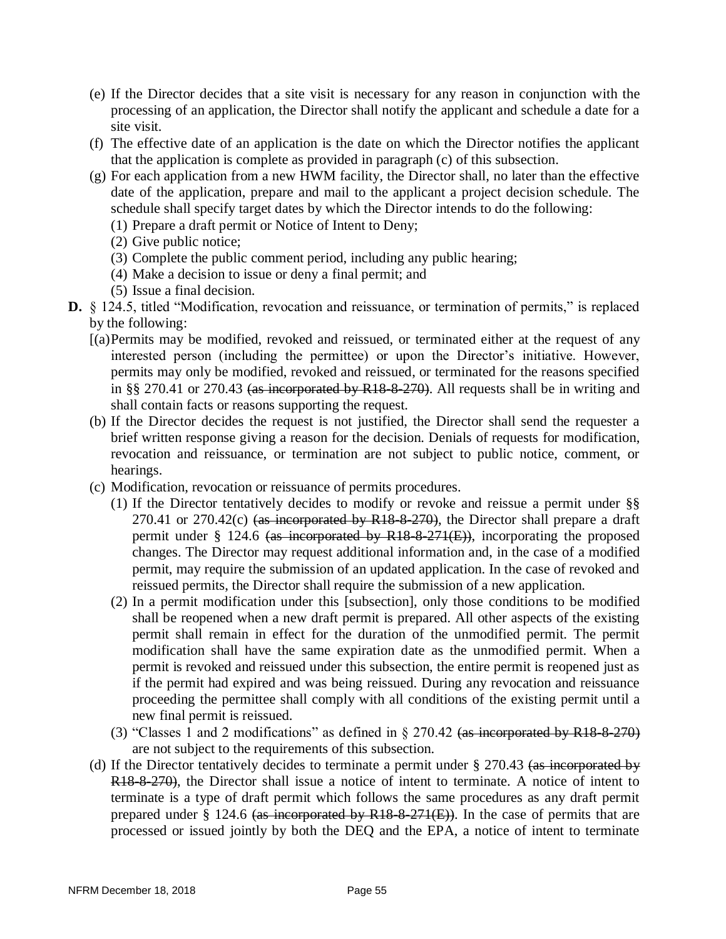- (e) If the Director decides that a site visit is necessary for any reason in conjunction with the processing of an application, the Director shall notify the applicant and schedule a date for a site visit.
- (f) The effective date of an application is the date on which the Director notifies the applicant that the application is complete as provided in paragraph (c) of this subsection.
- (g) For each application from a new HWM facility, the Director shall, no later than the effective date of the application, prepare and mail to the applicant a project decision schedule. The schedule shall specify target dates by which the Director intends to do the following:
	- (1) Prepare a draft permit or Notice of Intent to Deny;
	- (2) Give public notice;
	- (3) Complete the public comment period, including any public hearing;
	- (4) Make a decision to issue or deny a final permit; and
	- (5) Issue a final decision.
- **D.** § 124.5, titled "Modification, revocation and reissuance, or termination of permits," is replaced by the following:
	- [(a)Permits may be modified, revoked and reissued, or terminated either at the request of any interested person (including the permittee) or upon the Director's initiative. However, permits may only be modified, revoked and reissued, or terminated for the reasons specified in §§ 270.41 or 270.43  $\left($ as incorporated by R18-8-270). All requests shall be in writing and shall contain facts or reasons supporting the request.
	- (b) If the Director decides the request is not justified, the Director shall send the requester a brief written response giving a reason for the decision. Denials of requests for modification, revocation and reissuance, or termination are not subject to public notice, comment, or hearings.
	- (c) Modification, revocation or reissuance of permits procedures.
		- (1) If the Director tentatively decides to modify or revoke and reissue a permit under §§ 270.41 or  $270.42(c)$  (as incorporated by R18-8-270), the Director shall prepare a draft permit under § 124.6 (as incorporated by R18-8-271(E)), incorporating the proposed changes. The Director may request additional information and, in the case of a modified permit, may require the submission of an updated application. In the case of revoked and reissued permits, the Director shall require the submission of a new application.
		- (2) In a permit modification under this [subsection], only those conditions to be modified shall be reopened when a new draft permit is prepared. All other aspects of the existing permit shall remain in effect for the duration of the unmodified permit. The permit modification shall have the same expiration date as the unmodified permit. When a permit is revoked and reissued under this subsection, the entire permit is reopened just as if the permit had expired and was being reissued. During any revocation and reissuance proceeding the permittee shall comply with all conditions of the existing permit until a new final permit is reissued.
		- (3) "Classes 1 and 2 modifications" as defined in § 270.42 (as incorporated by R18-8-270) are not subject to the requirements of this subsection.
	- (d) If the Director tentatively decides to terminate a permit under § 270.43 (as incorporated by R18-8-270), the Director shall issue a notice of intent to terminate. A notice of intent to terminate is a type of draft permit which follows the same procedures as any draft permit prepared under  $\S$  124.6 (as incorporated by R18-8-271(E)). In the case of permits that are processed or issued jointly by both the DEQ and the EPA, a notice of intent to terminate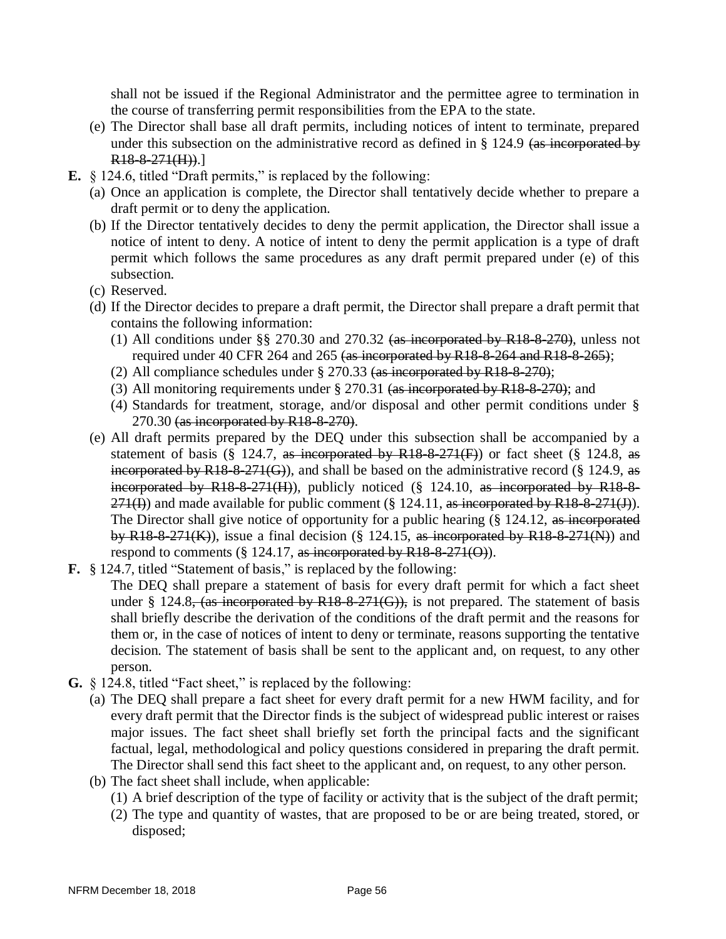shall not be issued if the Regional Administrator and the permittee agree to termination in the course of transferring permit responsibilities from the EPA to the state.

- (e) The Director shall base all draft permits, including notices of intent to terminate, prepared under this subsection on the administrative record as defined in § 124.9 (as incorporated by  $R18-8-271(H))$ .]
- **E.** § 124.6, titled "Draft permits," is replaced by the following:
	- (a) Once an application is complete, the Director shall tentatively decide whether to prepare a draft permit or to deny the application.
	- (b) If the Director tentatively decides to deny the permit application, the Director shall issue a notice of intent to deny. A notice of intent to deny the permit application is a type of draft permit which follows the same procedures as any draft permit prepared under (e) of this subsection.
	- (c) Reserved.
	- (d) If the Director decides to prepare a draft permit, the Director shall prepare a draft permit that contains the following information:
		- (1) All conditions under §§ 270.30 and 270.32 (as incorporated by R18-8-270), unless not required under 40 CFR 264 and 265 (as incorporated by R18-8-264 and R18-8-265);
		- (2) All compliance schedules under  $\S 270.33$  (as incorporated by R18-8-270);
		- (3) All monitoring requirements under § 270.31 (as incorporated by R18-8-270); and
		- (4) Standards for treatment, storage, and/or disposal and other permit conditions under § 270.30 (as incorporated by R18-8-270).
	- (e) All draft permits prepared by the DEQ under this subsection shall be accompanied by a statement of basis (§ 124.7, as incorporated by  $R18-8-271(F)$ ) or fact sheet (§ 124.8, as incorporated by R18-8-271(G)), and shall be based on the administrative record ( $\S$  124.9, as incorporated by R18-8-271(H)), publicly noticed (§ 124.10, as incorporated by R18-8-  $271(I)$ ) and made available for public comment (§ 124.11, as incorporated by R18-8-271(J)). The Director shall give notice of opportunity for a public hearing (§ 124.12, as incorporated by R18-8-271(K)), issue a final decision (§ 124.15, as incorporated by R18-8-271(N)) and respond to comments ( $\S$  124.17, as incorporated by R18-8-271(O)).
- **F.** § 124.7, titled "Statement of basis," is replaced by the following: The DEQ shall prepare a statement of basis for every draft permit for which a fact sheet under § 124.8, (as incorporated by R18-8-271(G)), is not prepared. The statement of basis shall briefly describe the derivation of the conditions of the draft permit and the reasons for them or, in the case of notices of intent to deny or terminate, reasons supporting the tentative decision. The statement of basis shall be sent to the applicant and, on request, to any other person.
- **G.** § 124.8, titled "Fact sheet," is replaced by the following:
	- (a) The DEQ shall prepare a fact sheet for every draft permit for a new HWM facility, and for every draft permit that the Director finds is the subject of widespread public interest or raises major issues. The fact sheet shall briefly set forth the principal facts and the significant factual, legal, methodological and policy questions considered in preparing the draft permit. The Director shall send this fact sheet to the applicant and, on request, to any other person.
		- (b) The fact sheet shall include, when applicable:
			- (1) A brief description of the type of facility or activity that is the subject of the draft permit;
			- (2) The type and quantity of wastes, that are proposed to be or are being treated, stored, or disposed;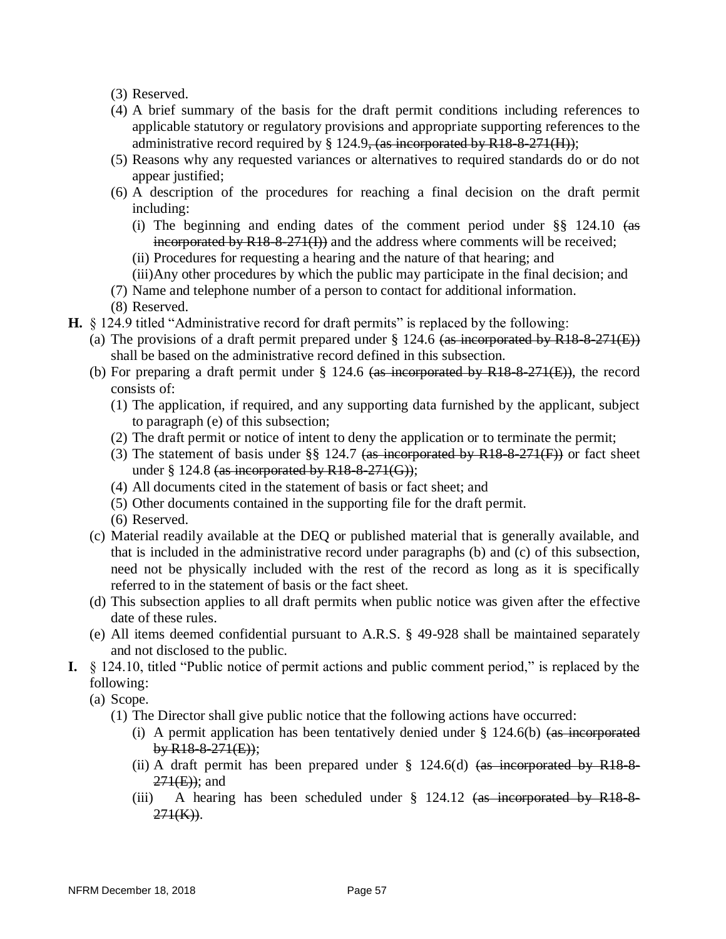(3) Reserved.

- (4) A brief summary of the basis for the draft permit conditions including references to applicable statutory or regulatory provisions and appropriate supporting references to the administrative record required by  $\S$  124.9, (as incorporated by R18-8-271(H));
- (5) Reasons why any requested variances or alternatives to required standards do or do not appear justified;
- (6) A description of the procedures for reaching a final decision on the draft permit including:
	- (i) The beginning and ending dates of the comment period under  $\S$ § 124.10 (as incorporated by R18-8-271(I)) and the address where comments will be received;
	- (ii) Procedures for requesting a hearing and the nature of that hearing; and
	- (iii)Any other procedures by which the public may participate in the final decision; and
- (7) Name and telephone number of a person to contact for additional information.
- (8) Reserved.
- **H.** § 124.9 titled "Administrative record for draft permits" is replaced by the following:
	- (a) The provisions of a draft permit prepared under  $\S$  124.6 (as incorporated by R18-8-271(E)) shall be based on the administrative record defined in this subsection.
	- (b) For preparing a draft permit under  $\S$  124.6 (as incorporated by R18-8-271(E)), the record consists of:
		- (1) The application, if required, and any supporting data furnished by the applicant, subject to paragraph (e) of this subsection;
		- (2) The draft permit or notice of intent to deny the application or to terminate the permit;
		- (3) The statement of basis under  $\S\S$  124.7 (as incorporated by R18-8-271(F)) or fact sheet under  $\S 124.8$  (as incorporated by R18-8-271(G));
		- (4) All documents cited in the statement of basis or fact sheet; and
		- (5) Other documents contained in the supporting file for the draft permit.
		- (6) Reserved.
	- (c) Material readily available at the DEQ or published material that is generally available, and that is included in the administrative record under paragraphs (b) and (c) of this subsection, need not be physically included with the rest of the record as long as it is specifically referred to in the statement of basis or the fact sheet.
	- (d) This subsection applies to all draft permits when public notice was given after the effective date of these rules.
	- (e) All items deemed confidential pursuant to A.R.S. § 49-928 shall be maintained separately and not disclosed to the public.
- **I.** § 124.10, titled "Public notice of permit actions and public comment period," is replaced by the following:

(a) Scope.

- (1) The Director shall give public notice that the following actions have occurred:
	- (i) A permit application has been tentatively denied under  $\S$  124.6(b) (as incorporated  $b \text{y} R18-8-271(E)$ ;
	- (ii) A draft permit has been prepared under  $\S$  124.6(d) (as incorporated by R18-8- $271(E)$ ; and
	- (iii) A hearing has been scheduled under  $\S$  124.12 (as incorporated by R18-8- $271(K)$ ).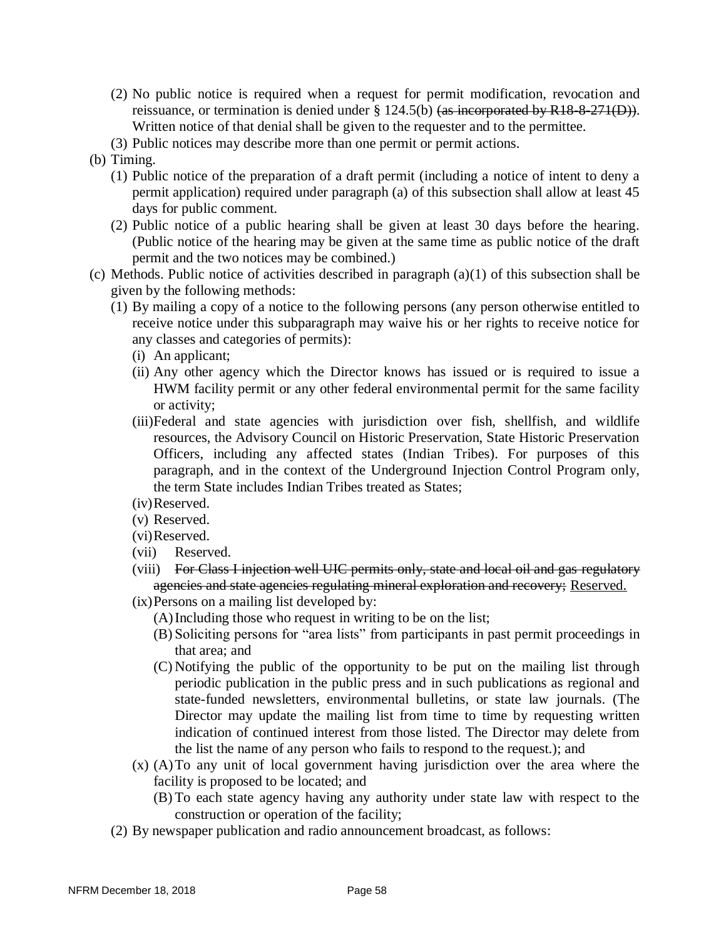- (2) No public notice is required when a request for permit modification, revocation and reissuance, or termination is denied under § 124.5(b) (as incorporated by R18-8-271(D)). Written notice of that denial shall be given to the requester and to the permittee.
- (3) Public notices may describe more than one permit or permit actions.
- (b) Timing.
	- (1) Public notice of the preparation of a draft permit (including a notice of intent to deny a permit application) required under paragraph (a) of this subsection shall allow at least 45 days for public comment.
	- (2) Public notice of a public hearing shall be given at least 30 days before the hearing. (Public notice of the hearing may be given at the same time as public notice of the draft permit and the two notices may be combined.)
- (c) Methods. Public notice of activities described in paragraph (a)(1) of this subsection shall be given by the following methods:
	- (1) By mailing a copy of a notice to the following persons (any person otherwise entitled to receive notice under this subparagraph may waive his or her rights to receive notice for any classes and categories of permits):
		- (i) An applicant;
		- (ii) Any other agency which the Director knows has issued or is required to issue a HWM facility permit or any other federal environmental permit for the same facility or activity;
		- (iii)Federal and state agencies with jurisdiction over fish, shellfish, and wildlife resources, the Advisory Council on Historic Preservation, State Historic Preservation Officers, including any affected states (Indian Tribes). For purposes of this paragraph, and in the context of the Underground Injection Control Program only, the term State includes Indian Tribes treated as States;
		- (iv)Reserved.
		- (v) Reserved.
		- (vi)Reserved.
		- (vii) Reserved.
		- (viii) For Class I injection well UIC permits only, state and local oil and gas regulatory agencies and state agencies regulating mineral exploration and recovery; Reserved.
		- (ix)Persons on a mailing list developed by:
			- (A)Including those who request in writing to be on the list;
			- (B) Soliciting persons for "area lists" from participants in past permit proceedings in that area; and
			- (C) Notifying the public of the opportunity to be put on the mailing list through periodic publication in the public press and in such publications as regional and state-funded newsletters, environmental bulletins, or state law journals. (The Director may update the mailing list from time to time by requesting written indication of continued interest from those listed. The Director may delete from the list the name of any person who fails to respond to the request.); and
		- (x) (A)To any unit of local government having jurisdiction over the area where the facility is proposed to be located; and
			- (B) To each state agency having any authority under state law with respect to the construction or operation of the facility;
	- (2) By newspaper publication and radio announcement broadcast, as follows: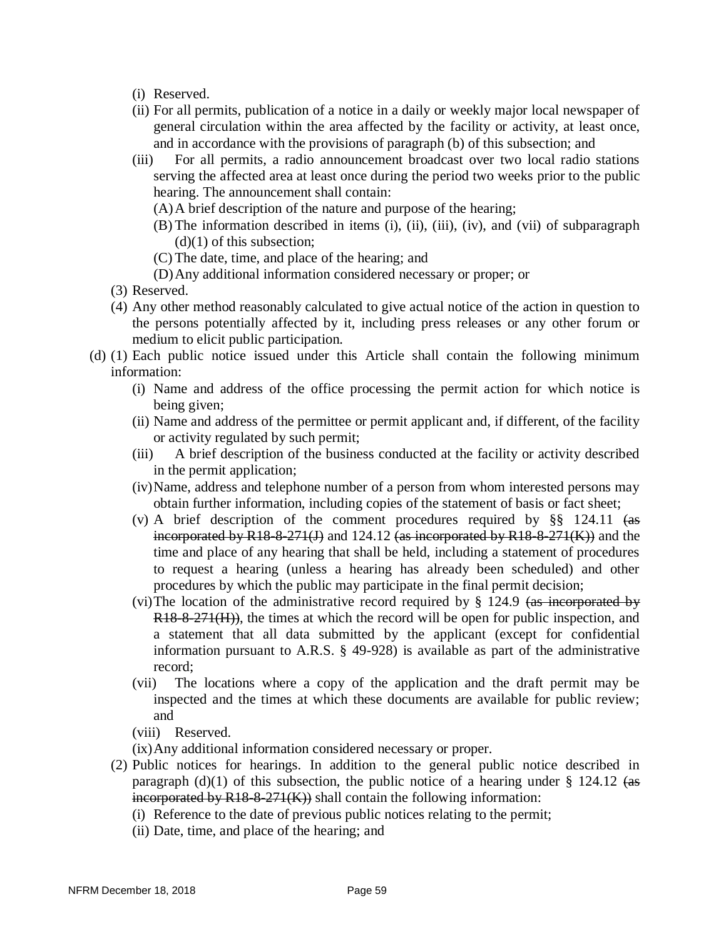- (i) Reserved.
- (ii) For all permits, publication of a notice in a daily or weekly major local newspaper of general circulation within the area affected by the facility or activity, at least once, and in accordance with the provisions of paragraph (b) of this subsection; and
- (iii) For all permits, a radio announcement broadcast over two local radio stations serving the affected area at least once during the period two weeks prior to the public hearing. The announcement shall contain:
	- (A)A brief description of the nature and purpose of the hearing;
	- (B) The information described in items (i), (ii), (iii), (iv), and (vii) of subparagraph  $(d)(1)$  of this subsection;
	- (C) The date, time, and place of the hearing; and
	- (D)Any additional information considered necessary or proper; or
- (3) Reserved.
- (4) Any other method reasonably calculated to give actual notice of the action in question to the persons potentially affected by it, including press releases or any other forum or medium to elicit public participation.
- (d) (1) Each public notice issued under this Article shall contain the following minimum information:
	- (i) Name and address of the office processing the permit action for which notice is being given;
	- (ii) Name and address of the permittee or permit applicant and, if different, of the facility or activity regulated by such permit;
	- (iii) A brief description of the business conducted at the facility or activity described in the permit application;
	- (iv)Name, address and telephone number of a person from whom interested persons may obtain further information, including copies of the statement of basis or fact sheet;
	- (v) A brief description of the comment procedures required by §§ 124.11 (as incorporated by  $R18-8-271(J)$  and  $124.12$  (as incorporated by  $R18-8-271(K)$ ) and the time and place of any hearing that shall be held, including a statement of procedures to request a hearing (unless a hearing has already been scheduled) and other procedures by which the public may participate in the final permit decision;
	- (vi)The location of the administrative record required by § 124.9 (as incorporated by R<sub>18-8-271</sub>(H)), the times at which the record will be open for public inspection, and a statement that all data submitted by the applicant (except for confidential information pursuant to A.R.S. § 49-928) is available as part of the administrative record;
	- (vii) The locations where a copy of the application and the draft permit may be inspected and the times at which these documents are available for public review; and
	- (viii) Reserved.
	- (ix)Any additional information considered necessary or proper.
	- (2) Public notices for hearings. In addition to the general public notice described in paragraph (d)(1) of this subsection, the public notice of a hearing under  $\S$  124.12 (as  $\frac{1}{2}$  incorporated by R18-8-271(K)) shall contain the following information:
		- (i) Reference to the date of previous public notices relating to the permit;
		- (ii) Date, time, and place of the hearing; and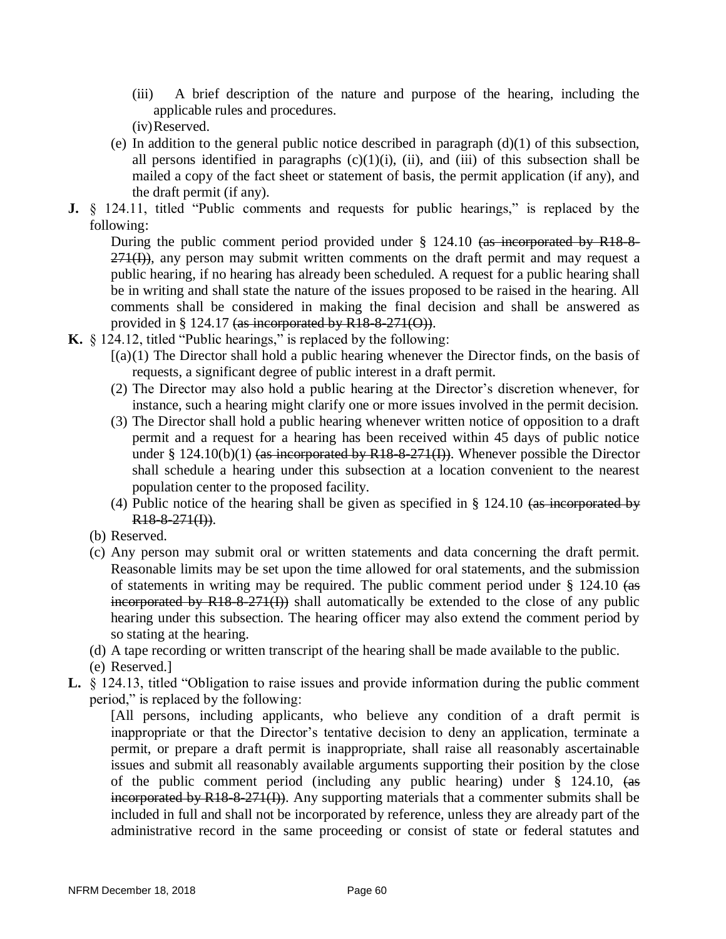- (iii) A brief description of the nature and purpose of the hearing, including the applicable rules and procedures.
- (iv)Reserved.
- (e) In addition to the general public notice described in paragraph  $(d)(1)$  of this subsection, all persons identified in paragraphs  $(c)(1)(i)$ ,  $(ii)$ , and  $(iii)$  of this subsection shall be mailed a copy of the fact sheet or statement of basis, the permit application (if any), and the draft permit (if any).
- **J.** § 124.11, titled "Public comments and requests for public hearings," is replaced by the following:

During the public comment period provided under § 124.10 (as incorporated by R18-8- $271(I)$ ), any person may submit written comments on the draft permit and may request a public hearing, if no hearing has already been scheduled. A request for a public hearing shall be in writing and shall state the nature of the issues proposed to be raised in the hearing. All comments shall be considered in making the final decision and shall be answered as provided in § 124.17  $\frac{4}{\text{as incorporated by R18-8-271(0)}}$ .

- **K.** § 124.12, titled "Public hearings," is replaced by the following:
	- $[(a)(1)$  The Director shall hold a public hearing whenever the Director finds, on the basis of requests, a significant degree of public interest in a draft permit.
	- (2) The Director may also hold a public hearing at the Director's discretion whenever, for instance, such a hearing might clarify one or more issues involved in the permit decision.
	- (3) The Director shall hold a public hearing whenever written notice of opposition to a draft permit and a request for a hearing has been received within 45 days of public notice under § 124.10(b)(1) (as incorporated by R18-8-271(I)). Whenever possible the Director shall schedule a hearing under this subsection at a location convenient to the nearest population center to the proposed facility.
	- (4) Public notice of the hearing shall be given as specified in  $\S$  124.10 (as incorporated by  $R18-8-271(I)$ ).
	- (b) Reserved.
	- (c) Any person may submit oral or written statements and data concerning the draft permit. Reasonable limits may be set upon the time allowed for oral statements, and the submission of statements in writing may be required. The public comment period under § 124.10 (as incorporated by  $R18-8-271(I)$ ) shall automatically be extended to the close of any public hearing under this subsection. The hearing officer may also extend the comment period by so stating at the hearing.
	- (d) A tape recording or written transcript of the hearing shall be made available to the public.
	- (e) Reserved.]
- **L.** § 124.13, titled "Obligation to raise issues and provide information during the public comment period," is replaced by the following:

[All persons, including applicants, who believe any condition of a draft permit is inappropriate or that the Director's tentative decision to deny an application, terminate a permit, or prepare a draft permit is inappropriate, shall raise all reasonably ascertainable issues and submit all reasonably available arguments supporting their position by the close of the public comment period (including any public hearing) under § 124.10, (as incorporated by R18-8-271(I)). Any supporting materials that a commenter submits shall be included in full and shall not be incorporated by reference, unless they are already part of the administrative record in the same proceeding or consist of state or federal statutes and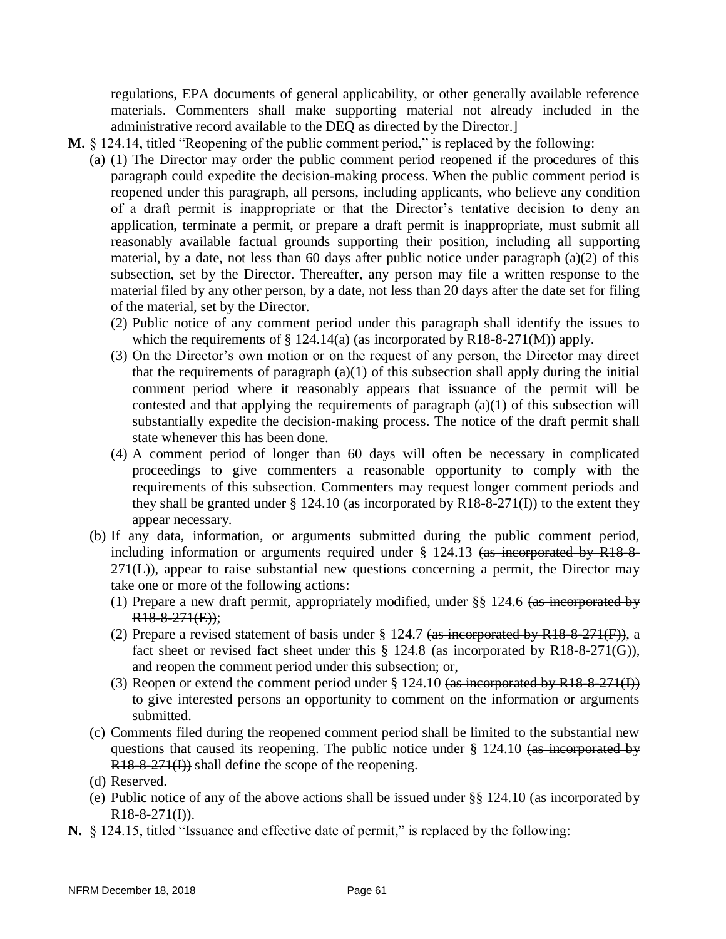regulations, EPA documents of general applicability, or other generally available reference materials. Commenters shall make supporting material not already included in the administrative record available to the DEQ as directed by the Director.]

- **M.** § 124.14, titled "Reopening of the public comment period," is replaced by the following:
	- (a) (1) The Director may order the public comment period reopened if the procedures of this paragraph could expedite the decision-making process. When the public comment period is reopened under this paragraph, all persons, including applicants, who believe any condition of a draft permit is inappropriate or that the Director's tentative decision to deny an application, terminate a permit, or prepare a draft permit is inappropriate, must submit all reasonably available factual grounds supporting their position, including all supporting material, by a date, not less than 60 days after public notice under paragraph (a)(2) of this subsection, set by the Director. Thereafter, any person may file a written response to the material filed by any other person, by a date, not less than 20 days after the date set for filing of the material, set by the Director.
		- (2) Public notice of any comment period under this paragraph shall identify the issues to which the requirements of  $\S 124.14(a)$  (as incorporated by R18-8-271(M)) apply.
		- (3) On the Director's own motion or on the request of any person, the Director may direct that the requirements of paragraph  $(a)(1)$  of this subsection shall apply during the initial comment period where it reasonably appears that issuance of the permit will be contested and that applying the requirements of paragraph (a)(1) of this subsection will substantially expedite the decision-making process. The notice of the draft permit shall state whenever this has been done.
		- (4) A comment period of longer than 60 days will often be necessary in complicated proceedings to give commenters a reasonable opportunity to comply with the requirements of this subsection. Commenters may request longer comment periods and they shall be granted under  $\S 124.10$  (as incorporated by R18-8-271(I)) to the extent they appear necessary.
	- (b) If any data, information, or arguments submitted during the public comment period, including information or arguments required under § 124.13 (as incorporated by R18-8-  $271(L)$ ), appear to raise substantial new questions concerning a permit, the Director may take one or more of the following actions:
		- (1) Prepare a new draft permit, appropriately modified, under §§ 124.6 (as incorporated by R18-8-271(E));
		- (2) Prepare a revised statement of basis under  $\S 124.7$  (as incorporated by R18-8-271(F)), a fact sheet or revised fact sheet under this § 124.8 (as incorporated by R18-8-271(G)), and reopen the comment period under this subsection; or,
		- (3) Reopen or extend the comment period under  $\S 124.10$  (as incorporated by R18-8-271(I)) to give interested persons an opportunity to comment on the information or arguments submitted.
	- (c) Comments filed during the reopened comment period shall be limited to the substantial new questions that caused its reopening. The public notice under § 124.10 (as incorporated by R18-8-271(I)) shall define the scope of the reopening.
	- (d) Reserved.
	- (e) Public notice of any of the above actions shall be issued under §§ 124.10 (as incorporated by R18-8-271(I)).
- **N.** § 124.15, titled "Issuance and effective date of permit," is replaced by the following: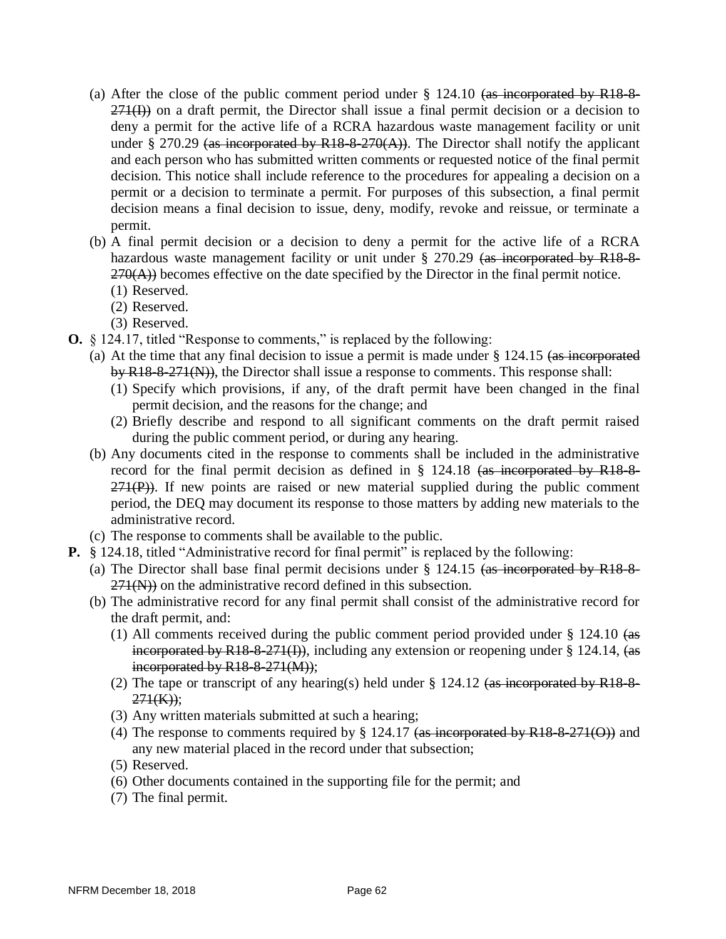- (a) After the close of the public comment period under  $\S$  124.10 (as incorporated by R18-8- $271(I)$ ) on a draft permit, the Director shall issue a final permit decision or a decision to deny a permit for the active life of a RCRA hazardous waste management facility or unit under § 270.29 (as incorporated by R18-8-270(A)). The Director shall notify the applicant and each person who has submitted written comments or requested notice of the final permit decision. This notice shall include reference to the procedures for appealing a decision on a permit or a decision to terminate a permit. For purposes of this subsection, a final permit decision means a final decision to issue, deny, modify, revoke and reissue, or terminate a permit.
- (b) A final permit decision or a decision to deny a permit for the active life of a RCRA hazardous waste management facility or unit under § 270.29 (as incorporated by R18-8- $270(A)$ ) becomes effective on the date specified by the Director in the final permit notice.
	- (1) Reserved.
	- (2) Reserved.
	- (3) Reserved.
- **O.** § 124.17, titled "Response to comments," is replaced by the following:
	- (a) At the time that any final decision to issue a permit is made under § 124.15 (as incorporated by R18-8-271(N)), the Director shall issue a response to comments. This response shall:
		- (1) Specify which provisions, if any, of the draft permit have been changed in the final permit decision, and the reasons for the change; and
		- (2) Briefly describe and respond to all significant comments on the draft permit raised during the public comment period, or during any hearing.
	- (b) Any documents cited in the response to comments shall be included in the administrative record for the final permit decision as defined in § 124.18 (as incorporated by R18-8-  $271(P)$ ). If new points are raised or new material supplied during the public comment period, the DEQ may document its response to those matters by adding new materials to the administrative record.
	- (c) The response to comments shall be available to the public.
- **P.** § 124.18, titled "Administrative record for final permit" is replaced by the following:
	- (a) The Director shall base final permit decisions under § 124.15 (as incorporated by R18-8-  $271(N)$ ) on the administrative record defined in this subsection.
	- (b) The administrative record for any final permit shall consist of the administrative record for the draft permit, and:
		- (1) All comments received during the public comment period provided under § 124.10 (as incorporated by  $R18-8-271(f)$ ), including any extension or reopening under § 124.14,  $\left( \text{as} \right)$ incorporated by R18-8-271(M));
		- (2) The tape or transcript of any hearing(s) held under  $\S$  124.12 (as incorporated by R18-8- $271(K)$ ;
		- (3) Any written materials submitted at such a hearing;
		- (4) The response to comments required by § 124.17 (as incorporated by R18-8-271(O)) and any new material placed in the record under that subsection;
		- (5) Reserved.
		- (6) Other documents contained in the supporting file for the permit; and
		- (7) The final permit.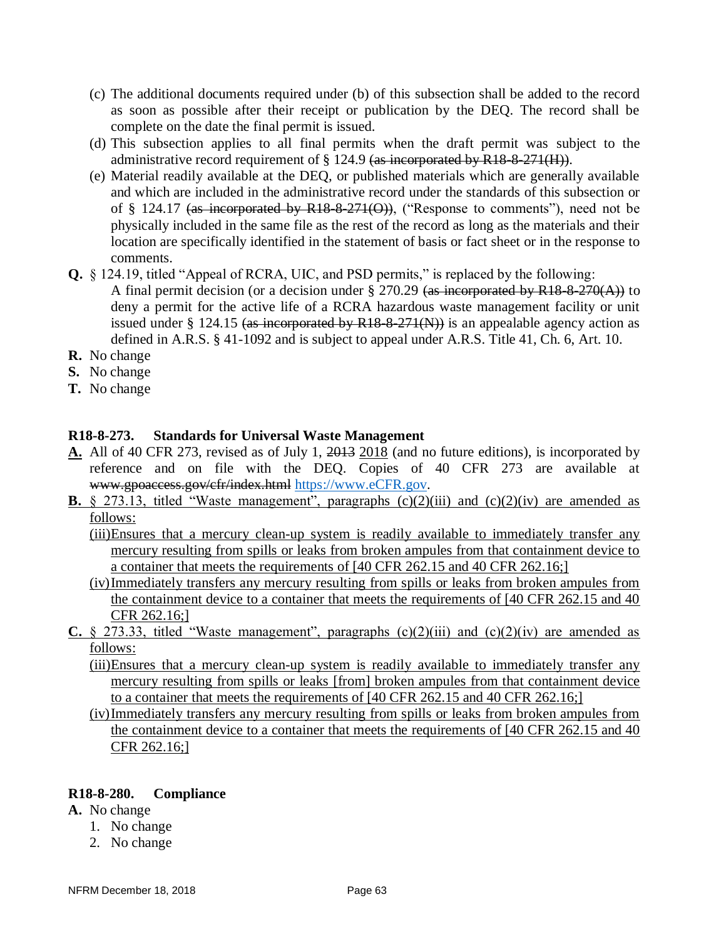- (c) The additional documents required under (b) of this subsection shall be added to the record as soon as possible after their receipt or publication by the DEQ. The record shall be complete on the date the final permit is issued.
- (d) This subsection applies to all final permits when the draft permit was subject to the administrative record requirement of  $\S 124.9$  (as incorporated by R18-8-271(H)).
- (e) Material readily available at the DEQ, or published materials which are generally available and which are included in the administrative record under the standards of this subsection or of § 124.17 (as incorporated by R18-8-271(O)), ("Response to comments"), need not be physically included in the same file as the rest of the record as long as the materials and their location are specifically identified in the statement of basis or fact sheet or in the response to comments.
- **Q.** § 124.19, titled "Appeal of RCRA, UIC, and PSD permits," is replaced by the following:
	- A final permit decision (or a decision under § 270.29 (as incorporated by R18-8-270(A)) to deny a permit for the active life of a RCRA hazardous waste management facility or unit issued under § 124.15 (as incorporated by  $R18-8-271(N)$ ) is an appealable agency action as defined in A.R.S. § 41-1092 and is subject to appeal under A.R.S. Title 41, Ch. 6, Art. 10.
- **R.** No change
- **S.** No change
- **T.** No change

### **R18-8-273. Standards for Universal Waste Management**

- **A.** All of 40 CFR 273, revised as of July 1, 2013 2018 (and no future editions), is incorporated by reference and on file with the DEQ. Copies of 40 CFR 273 are available at www.gpoaccess.gov/cfr/index.html [https://www.eCFR.gov.](https://www.ecfr.gov/)
- **B.**  $\&$  273.13, titled "Waste management", paragraphs  $(c)(2)(iii)$  and  $(c)(2)(iv)$  are amended as follows:
	- (iii)Ensures that a mercury clean-up system is readily available to immediately transfer any mercury resulting from spills or leaks from broken ampules from that containment device to a container that meets the requirements of [40 CFR 262.15 and 40 CFR 262.16;]
	- (iv)Immediately transfers any mercury resulting from spills or leaks from broken ampules from the containment device to a container that meets the requirements of [40 CFR 262.15 and 40 CFR 262.16;]
- **C.** § 273.33, titled "Waste management", paragraphs  $(c)(2)(iii)$  and  $(c)(2)(iv)$  are amended as follows:
	- (iii)Ensures that a mercury clean-up system is readily available to immediately transfer any mercury resulting from spills or leaks [from] broken ampules from that containment device to a container that meets the requirements of [40 CFR 262.15 and 40 CFR 262.16;]
	- (iv)Immediately transfers any mercury resulting from spills or leaks from broken ampules from the containment device to a container that meets the requirements of [40 CFR 262.15 and 40 CFR 262.16;]

### **R18-8-280. Compliance**

- **A.** No change
	- 1. No change
	- 2. No change